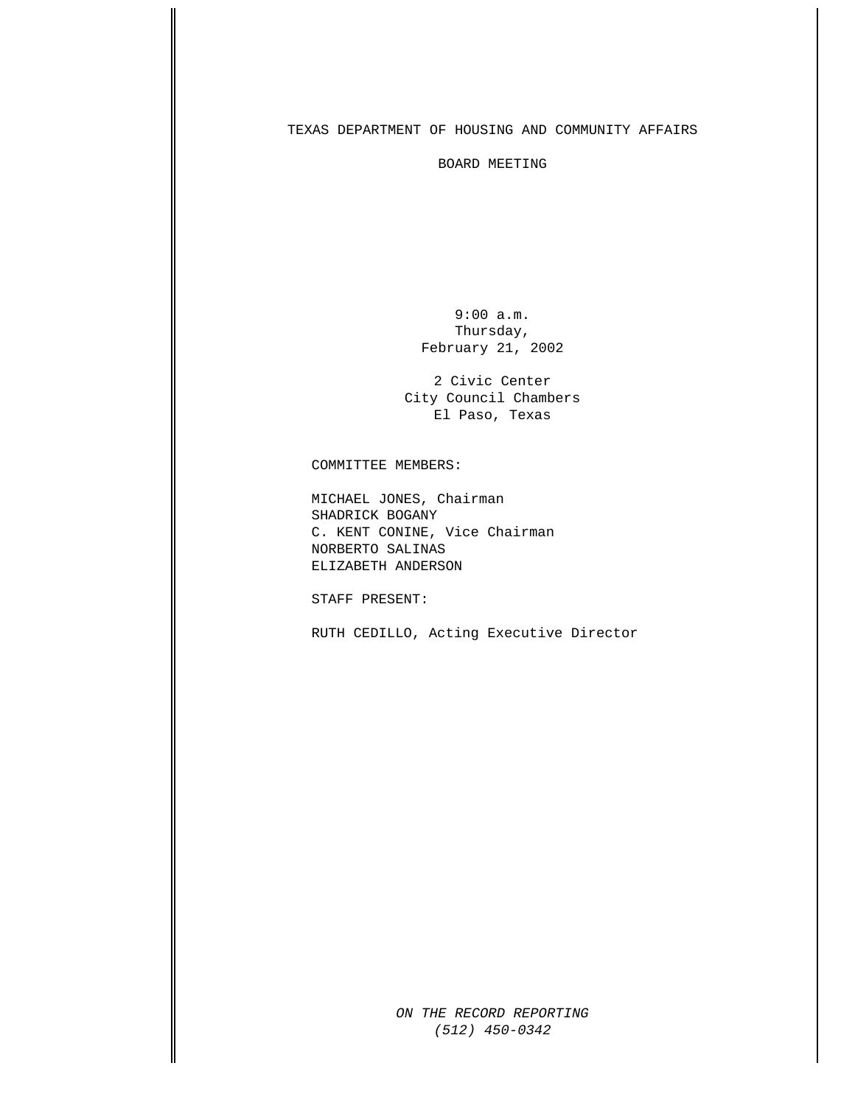## TEXAS DEPARTMENT OF HOUSING AND COMMUNITY AFFAIRS

BOARD MEETING

 9:00 a.m. Thursday, February 21, 2002

2 Civic Center City Council Chambers El Paso, Texas

COMMITTEE MEMBERS:

MICHAEL JONES, Chairman SHADRICK BOGANY C. KENT CONINE, Vice Chairman NORBERTO SALINAS ELIZABETH ANDERSON

STAFF PRESENT:

RUTH CEDILLO, Acting Executive Director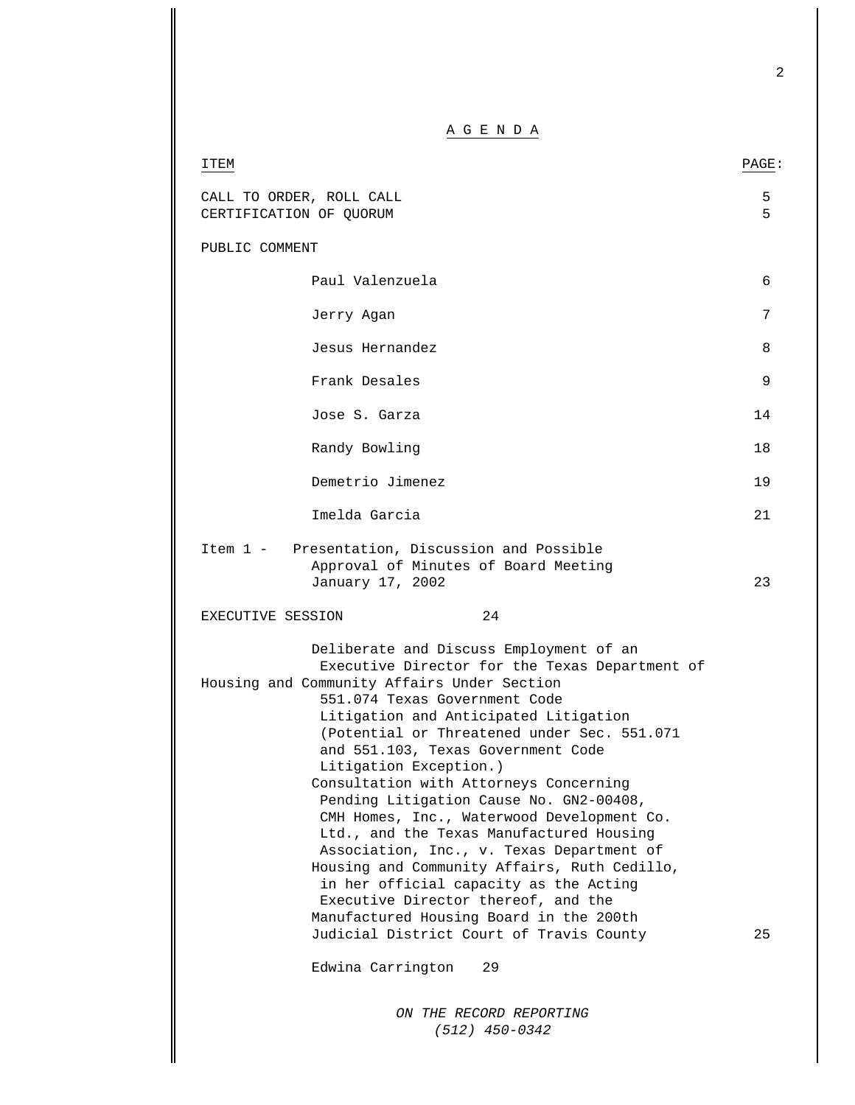2

A G E N D A

| ITEM                                                |                                                                                                                                                                                                                                                                                                                                                                                                                                                                                                                                                                                                                                                                                                                                                                                        | PAGE:   |
|-----------------------------------------------------|----------------------------------------------------------------------------------------------------------------------------------------------------------------------------------------------------------------------------------------------------------------------------------------------------------------------------------------------------------------------------------------------------------------------------------------------------------------------------------------------------------------------------------------------------------------------------------------------------------------------------------------------------------------------------------------------------------------------------------------------------------------------------------------|---------|
| CALL TO ORDER, ROLL CALL<br>CERTIFICATION OF QUORUM |                                                                                                                                                                                                                                                                                                                                                                                                                                                                                                                                                                                                                                                                                                                                                                                        | 5<br>5. |
| PUBLIC COMMENT                                      |                                                                                                                                                                                                                                                                                                                                                                                                                                                                                                                                                                                                                                                                                                                                                                                        |         |
|                                                     | Paul Valenzuela                                                                                                                                                                                                                                                                                                                                                                                                                                                                                                                                                                                                                                                                                                                                                                        | 6       |
|                                                     | Jerry Agan                                                                                                                                                                                                                                                                                                                                                                                                                                                                                                                                                                                                                                                                                                                                                                             | 7       |
|                                                     | Jesus Hernandez                                                                                                                                                                                                                                                                                                                                                                                                                                                                                                                                                                                                                                                                                                                                                                        | 8       |
|                                                     | Frank Desales                                                                                                                                                                                                                                                                                                                                                                                                                                                                                                                                                                                                                                                                                                                                                                          | 9       |
|                                                     | Jose S. Garza                                                                                                                                                                                                                                                                                                                                                                                                                                                                                                                                                                                                                                                                                                                                                                          | 14      |
|                                                     | Randy Bowling                                                                                                                                                                                                                                                                                                                                                                                                                                                                                                                                                                                                                                                                                                                                                                          | 18      |
|                                                     | Demetrio Jimenez                                                                                                                                                                                                                                                                                                                                                                                                                                                                                                                                                                                                                                                                                                                                                                       | 19      |
|                                                     | Imelda Garcia                                                                                                                                                                                                                                                                                                                                                                                                                                                                                                                                                                                                                                                                                                                                                                          | 21      |
| EXECUTIVE SESSION                                   | Item 1 - Presentation, Discussion and Possible<br>Approval of Minutes of Board Meeting<br>January 17, 2002<br>24                                                                                                                                                                                                                                                                                                                                                                                                                                                                                                                                                                                                                                                                       | 23      |
|                                                     | Deliberate and Discuss Employment of an<br>Executive Director for the Texas Department of<br>Housing and Community Affairs Under Section<br>551.074 Texas Government Code<br>Litigation and Anticipated Litigation<br>(Potential or Threatened under Sec. 551.071)<br>and 551.103, Texas Government Code<br>Litigation Exception.)<br>Consultation with Attorneys Concerning<br>Pending Litigation Cause No. GN2-00408,<br>CMH Homes, Inc., Waterwood Development Co.<br>Ltd., and the Texas Manufactured Housing<br>Association, Inc., v. Texas Department of<br>Housing and Community Affairs, Ruth Cedillo,<br>in her official capacity as the Acting<br>Executive Director thereof, and the<br>Manufactured Housing Board in the 200th<br>Judicial District Court of Travis County | 25      |
|                                                     | Edwina Carrington<br>29                                                                                                                                                                                                                                                                                                                                                                                                                                                                                                                                                                                                                                                                                                                                                                |         |
|                                                     | ON THE RECORD REPORTING<br>$(512)$ 450-0342                                                                                                                                                                                                                                                                                                                                                                                                                                                                                                                                                                                                                                                                                                                                            |         |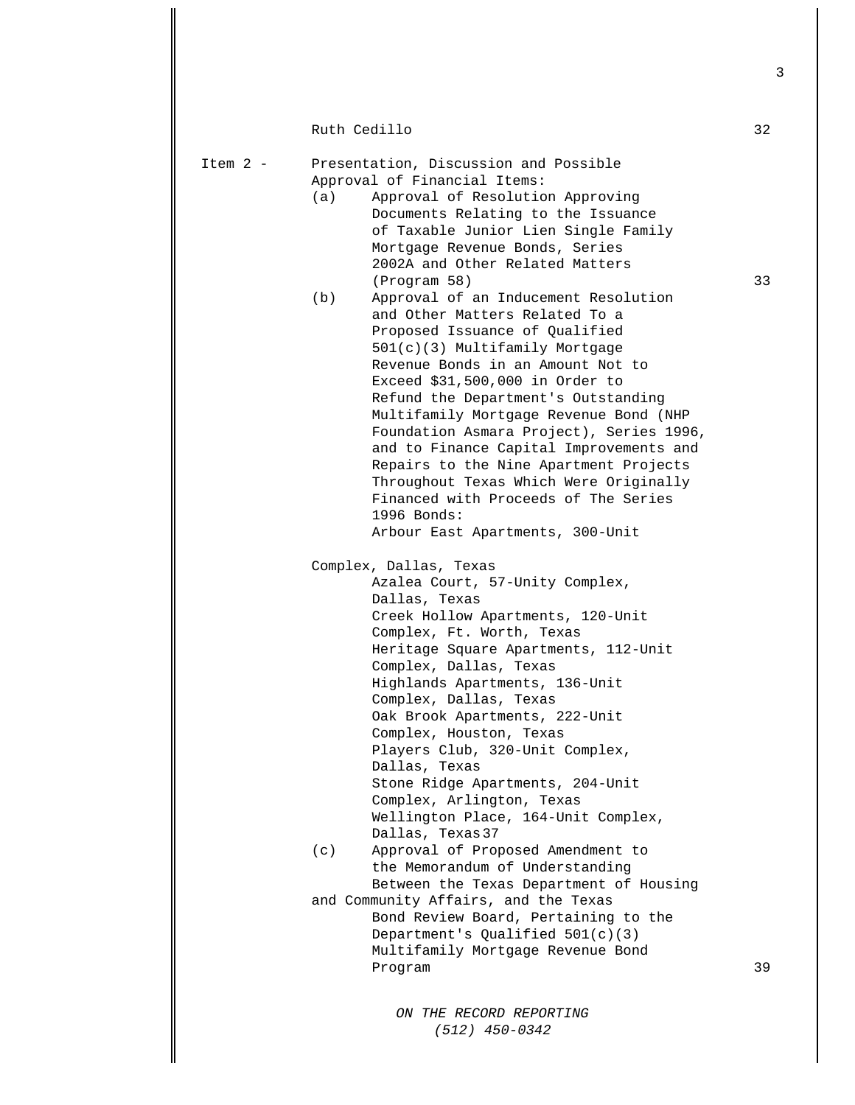*ON THE RECORD REPORTING*  Ruth Cedillo 32 Item 2 - Presentation, Discussion and Possible Approval of Financial Items: (a) Approval of Resolution Approving Documents Relating to the Issuance of Taxable Junior Lien Single Family Mortgage Revenue Bonds, Series 2002A and Other Related Matters (Program 58) 33 (b) Approval of an Inducement Resolution and Other Matters Related To a Proposed Issuance of Qualified 501(c)(3) Multifamily Mortgage Revenue Bonds in an Amount Not to Exceed \$31,500,000 in Order to Refund the Department's Outstanding Multifamily Mortgage Revenue Bond (NHP Foundation Asmara Project), Series 1996, and to Finance Capital Improvements and Repairs to the Nine Apartment Projects Throughout Texas Which Were Originally Financed with Proceeds of The Series 1996 Bonds: Arbour East Apartments, 300-Unit Complex, Dallas, Texas Azalea Court, 57-Unity Complex, Dallas, Texas Creek Hollow Apartments, 120-Unit Complex, Ft. Worth, Texas Heritage Square Apartments, 112-Unit Complex, Dallas, Texas Highlands Apartments, 136-Unit Complex, Dallas, Texas Oak Brook Apartments, 222-Unit Complex, Houston, Texas Players Club, 320-Unit Complex, Dallas, Texas Stone Ridge Apartments, 204-Unit Complex, Arlington, Texas Wellington Place, 164-Unit Complex, Dallas, Texas 37 (c) Approval of Proposed Amendment to the Memorandum of Understanding Between the Texas Department of Housing and Community Affairs, and the Texas Bond Review Board, Pertaining to the Department's Qualified 501(c)(3) Multifamily Mortgage Revenue Bond Program 39

 *(512) 450-0342*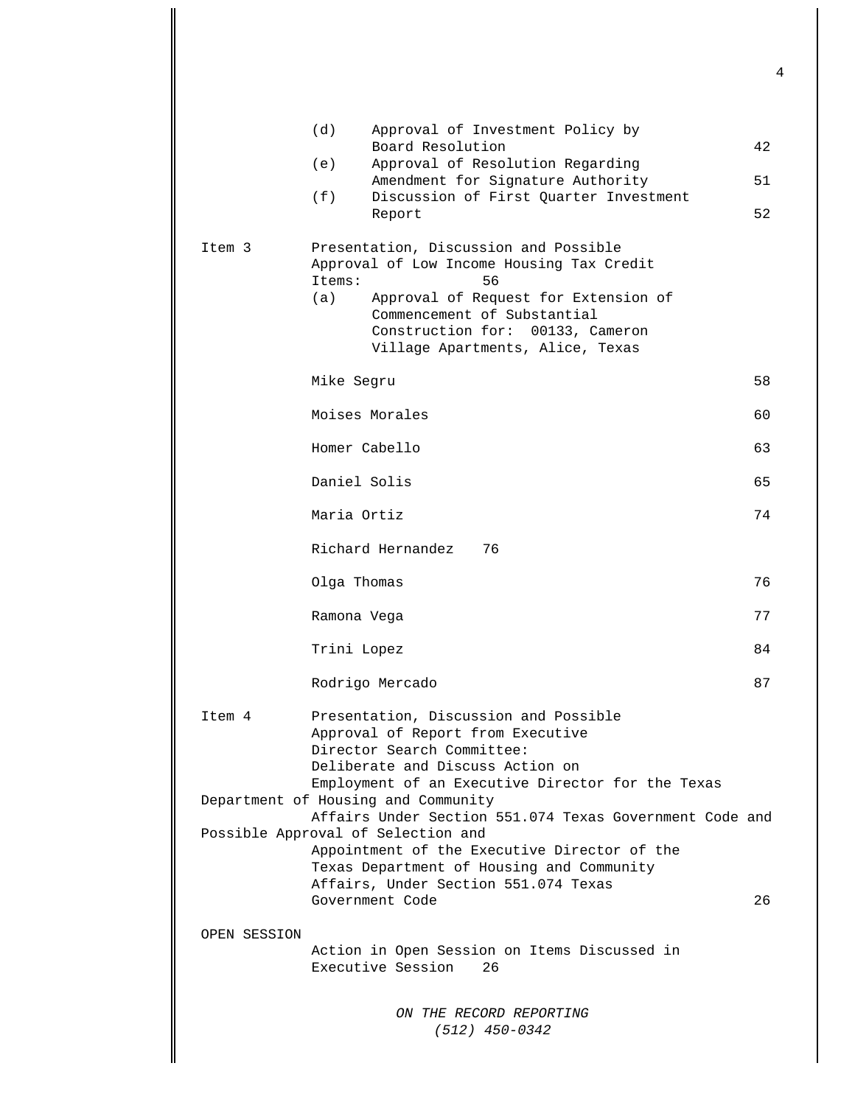|              | (d)<br>Approval of Investment Policy by<br>Board Resolution                                                                                                                                                                                              |    |
|--------------|----------------------------------------------------------------------------------------------------------------------------------------------------------------------------------------------------------------------------------------------------------|----|
|              | (e)<br>Approval of Resolution Regarding                                                                                                                                                                                                                  | 42 |
|              | Amendment for Signature Authority                                                                                                                                                                                                                        | 51 |
|              | (f)<br>Discussion of First Quarter Investment<br>Report                                                                                                                                                                                                  | 52 |
| Item 3       | Presentation, Discussion and Possible<br>Approval of Low Income Housing Tax Credit<br>56<br>Items:<br>(a)<br>Approval of Request for Extension of<br>Commencement of Substantial<br>Construction for: 00133, Cameron<br>Village Apartments, Alice, Texas |    |
|              | Mike Segru                                                                                                                                                                                                                                               | 58 |
|              | Moises Morales                                                                                                                                                                                                                                           | 60 |
|              | Homer Cabello                                                                                                                                                                                                                                            | 63 |
|              | Daniel Solis                                                                                                                                                                                                                                             | 65 |
|              | Maria Ortiz                                                                                                                                                                                                                                              | 74 |
|              | Richard Hernandez<br>76                                                                                                                                                                                                                                  |    |
|              | Olga Thomas                                                                                                                                                                                                                                              | 76 |
|              | Ramona Vega                                                                                                                                                                                                                                              | 77 |
|              | Trini Lopez                                                                                                                                                                                                                                              | 84 |
|              | Rodrigo Mercado                                                                                                                                                                                                                                          | 87 |
| Item 4       | Presentation, Discussion and Possible<br>Approval of Report from Executive<br>Director Search Committee:<br>Deliberate and Discuss Action on<br>Employment of an Executive Director for the Texas                                                        |    |
|              | Department of Housing and Community<br>Affairs Under Section 551.074 Texas Government Code and                                                                                                                                                           |    |
|              | Possible Approval of Selection and<br>Appointment of the Executive Director of the<br>Texas Department of Housing and Community<br>Affairs, Under Section 551.074 Texas                                                                                  |    |
|              | Government Code                                                                                                                                                                                                                                          | 26 |
| OPEN SESSION |                                                                                                                                                                                                                                                          |    |
|              | Action in Open Session on Items Discussed in<br>Executive Session<br>26                                                                                                                                                                                  |    |
|              | ON THE RECORD REPORTING<br>$(512)$ 450-0342                                                                                                                                                                                                              |    |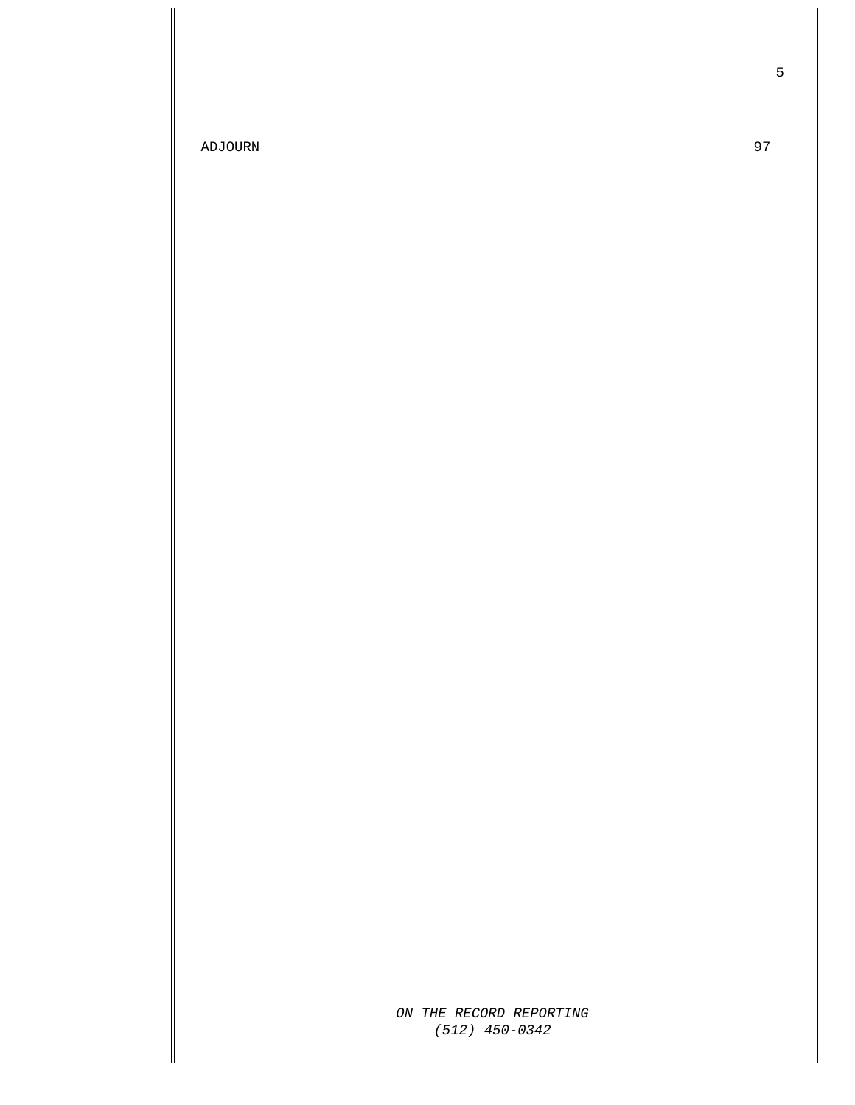ADJOURN 97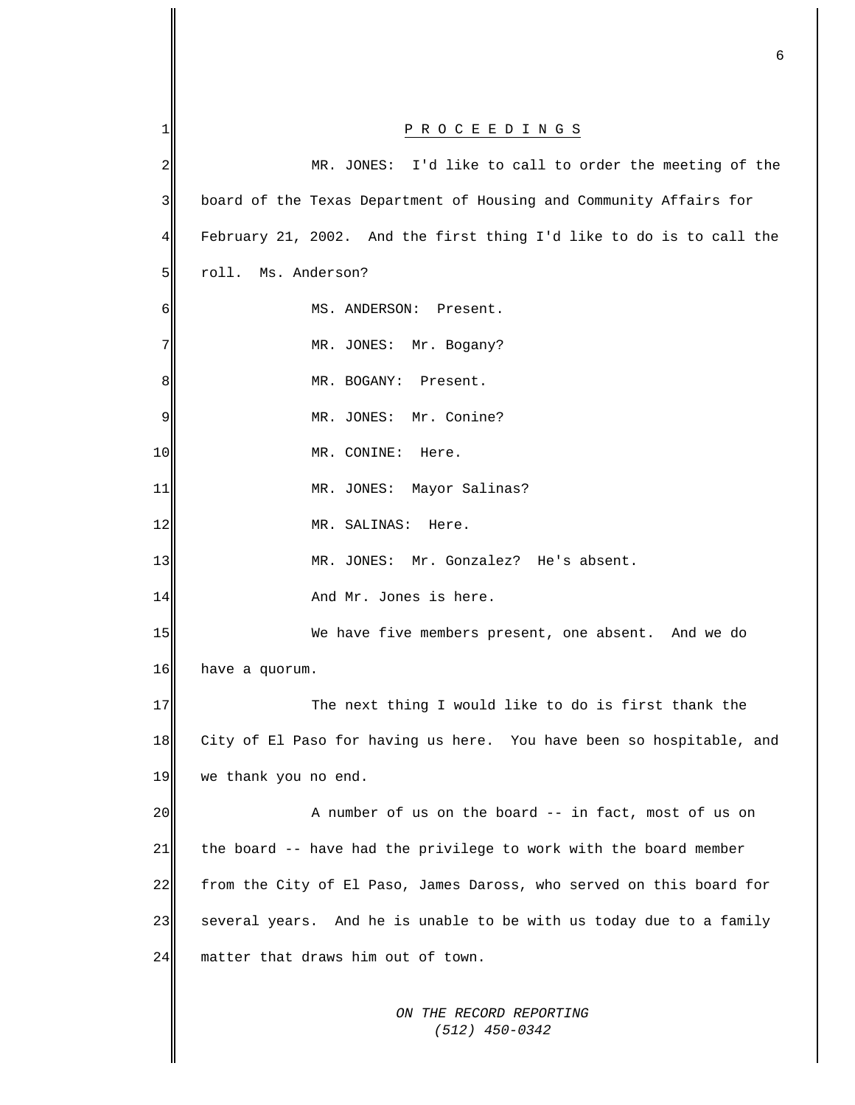| 1  | P R O C E E D I N G S                                                |
|----|----------------------------------------------------------------------|
| 2  | MR. JONES: I'd like to call to order the meeting of the              |
| 3  | board of the Texas Department of Housing and Community Affairs for   |
| 4  | February 21, 2002. And the first thing I'd like to do is to call the |
| 5  | roll. Ms. Anderson?                                                  |
| 6  | MS. ANDERSON: Present.                                               |
| 7  | MR. JONES: Mr. Bogany?                                               |
| 8  | MR. BOGANY: Present.                                                 |
| 9  | MR. JONES: Mr. Conine?                                               |
| 10 | MR. CONINE: Here.                                                    |
| 11 | MR. JONES: Mayor Salinas?                                            |
| 12 | MR. SALINAS:<br>Here.                                                |
| 13 | MR. JONES: Mr. Gonzalez? He's absent.                                |
| 14 | And Mr. Jones is here.                                               |
| 15 | We have five members present, one absent. And we do                  |
| 16 | have a quorum.                                                       |
| 17 | The next thing I would like to do is first thank the                 |
| 18 | City of El Paso for having us here. You have been so hospitable, and |
| 19 | we thank you no end.                                                 |
| 20 | A number of us on the board -- in fact, most of us on                |
| 21 | the board -- have had the privilege to work with the board member    |
| 22 | from the City of El Paso, James Daross, who served on this board for |
| 23 | several years. And he is unable to be with us today due to a family  |
| 24 | matter that draws him out of town.                                   |
|    | ON THE RECORD REPORTING<br>$(512)$ 450-0342                          |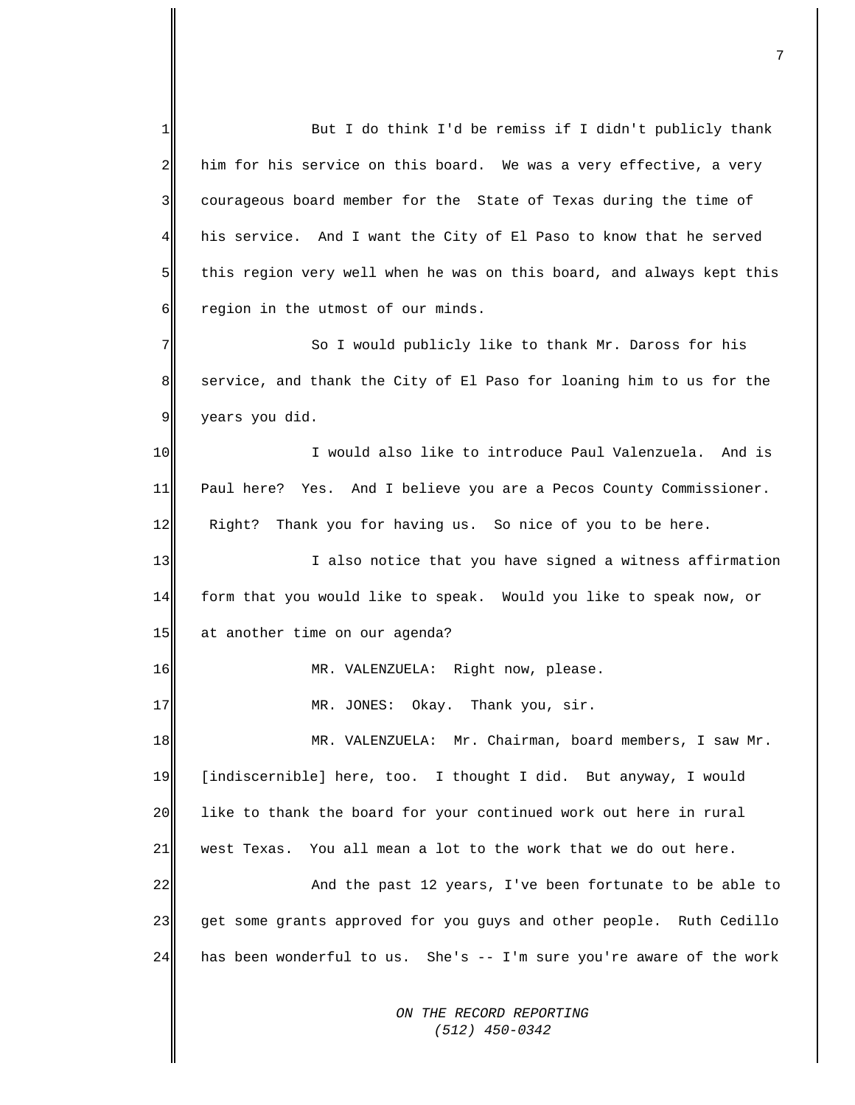*ON THE RECORD REPORTING*  But I do think I'd be remiss if I didn't publicly thank him for his service on this board. We was a very effective, a very courageous board member for the State of Texas during the time of his service. And I want the City of El Paso to know that he served this region very well when he was on this board, and always kept this region in the utmost of our minds. 1  $\overline{2}$ 3 4 5 6 7 8 9 10 11 12 13 14 15 16 17 18 19 20 21 22 23 24 So I would publicly like to thank Mr. Daross for his service, and thank the City of El Paso for loaning him to us for the years you did. I would also like to introduce Paul Valenzuela. And is Paul here? Yes. And I believe you are a Pecos County Commissioner. Right? Thank you for having us. So nice of you to be here. I also notice that you have signed a witness affirmation form that you would like to speak. Would you like to speak now, or at another time on our agenda? MR. VALENZUELA: Right now, please. MR. JONES: Okay. Thank you, sir. MR. VALENZUELA: Mr. Chairman, board members, I saw Mr. [indiscernible] here, too. I thought I did. But anyway, I would like to thank the board for your continued work out here in rural west Texas. You all mean a lot to the work that we do out here. And the past 12 years, I've been fortunate to be able to get some grants approved for you guys and other people. Ruth Cedillo has been wonderful to us. She's -- I'm sure you're aware of the work

 *(512) 450-0342*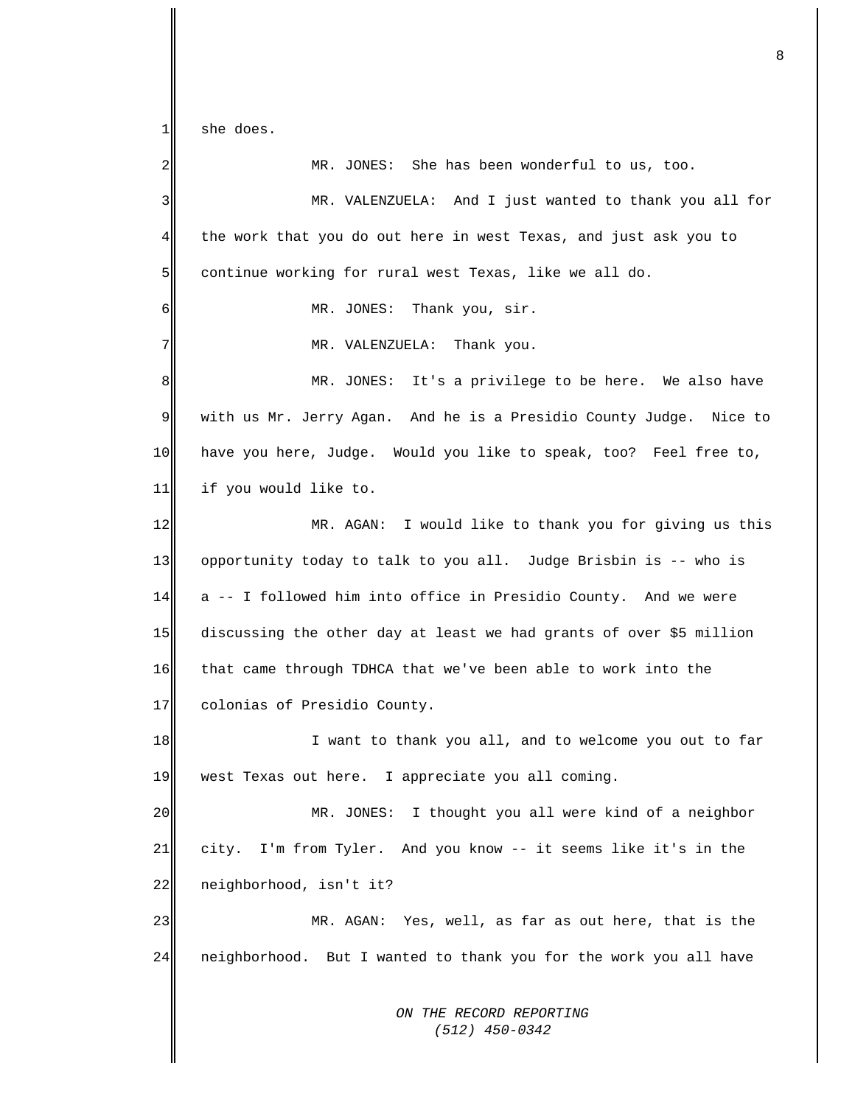*ON THE RECORD REPORTING*  1 she does.  $2\parallel$ 3 4 5 6 7 8 9 10 11 12 13 14 15 16 17 18 19 20 21 22 23 24 MR. JONES: She has been wonderful to us, too. MR. VALENZUELA: And I just wanted to thank you all for the work that you do out here in west Texas, and just ask you to continue working for rural west Texas, like we all do. MR. JONES: Thank you, sir. MR. VALENZUELA: Thank you. MR. JONES: It's a privilege to be here. We also have with us Mr. Jerry Agan. And he is a Presidio County Judge. Nice to have you here, Judge. Would you like to speak, too? Feel free to, if you would like to. MR. AGAN: I would like to thank you for giving us this opportunity today to talk to you all. Judge Brisbin is -- who is a -- I followed him into office in Presidio County. And we were discussing the other day at least we had grants of over \$5 million that came through TDHCA that we've been able to work into the colonias of Presidio County. I want to thank you all, and to welcome you out to far west Texas out here. I appreciate you all coming. MR. JONES: I thought you all were kind of a neighbor city. I'm from Tyler. And you know -- it seems like it's in the neighborhood, isn't it? MR. AGAN: Yes, well, as far as out here, that is the neighborhood. But I wanted to thank you for the work you all have

8

 *(512) 450-0342*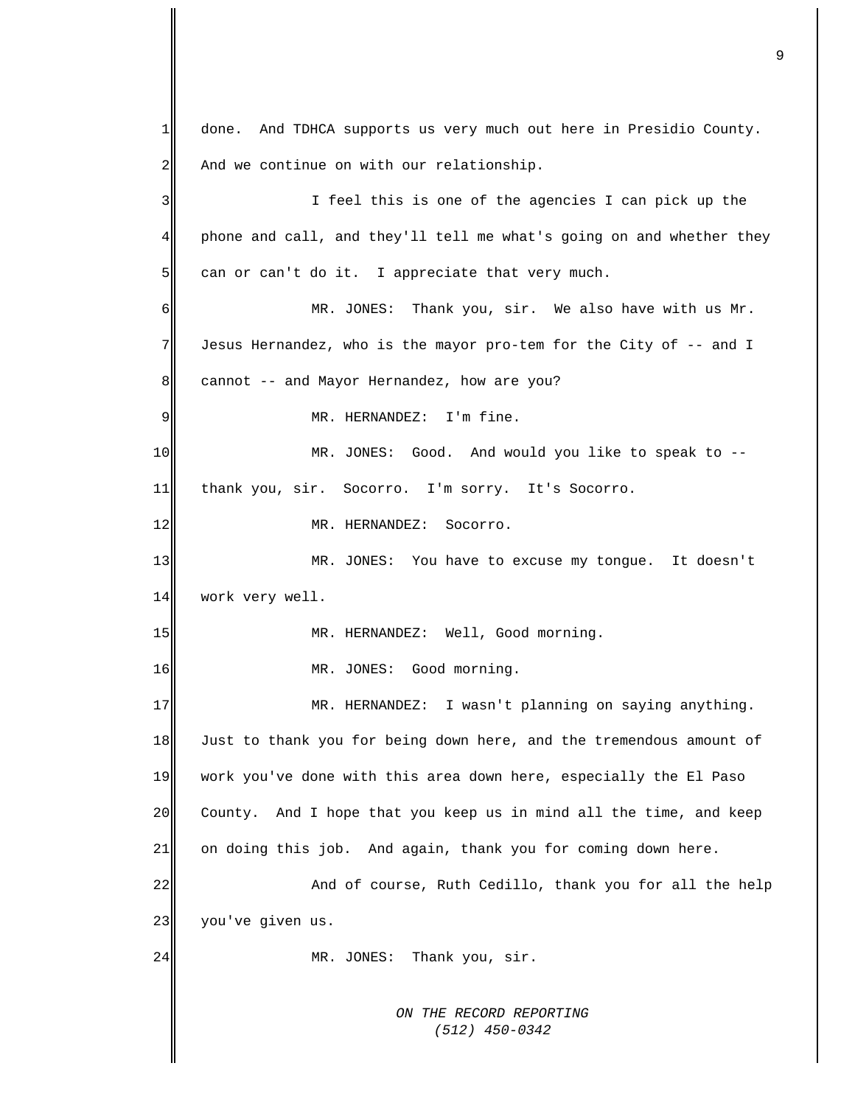*ON THE RECORD REPORTING (512) 450-0342* done. And TDHCA supports us very much out here in Presidio County. And we continue on with our relationship. 1 2 3 4 5 6 7 8 9 10 11 12 13 14 15 16 17 18 19 20 21 22 23 24 I feel this is one of the agencies I can pick up the phone and call, and they'll tell me what's going on and whether they can or can't do it. I appreciate that very much. MR. JONES: Thank you, sir. We also have with us Mr. Jesus Hernandez, who is the mayor pro-tem for the City of -- and I cannot -- and Mayor Hernandez, how are you? MR. HERNANDEZ: I'm fine. MR. JONES: Good. And would you like to speak to - thank you, sir. Socorro. I'm sorry. It's Socorro. MR. HERNANDEZ: Socorro. MR. JONES: You have to excuse my tongue. It doesn't work very well. MR. HERNANDEZ: Well, Good morning. MR. JONES: Good morning. MR. HERNANDEZ: I wasn't planning on saying anything. Just to thank you for being down here, and the tremendous amount of work you've done with this area down here, especially the El Paso County. And I hope that you keep us in mind all the time, and keep on doing this job. And again, thank you for coming down here. And of course, Ruth Cedillo, thank you for all the help you've given us. MR. JONES: Thank you, sir.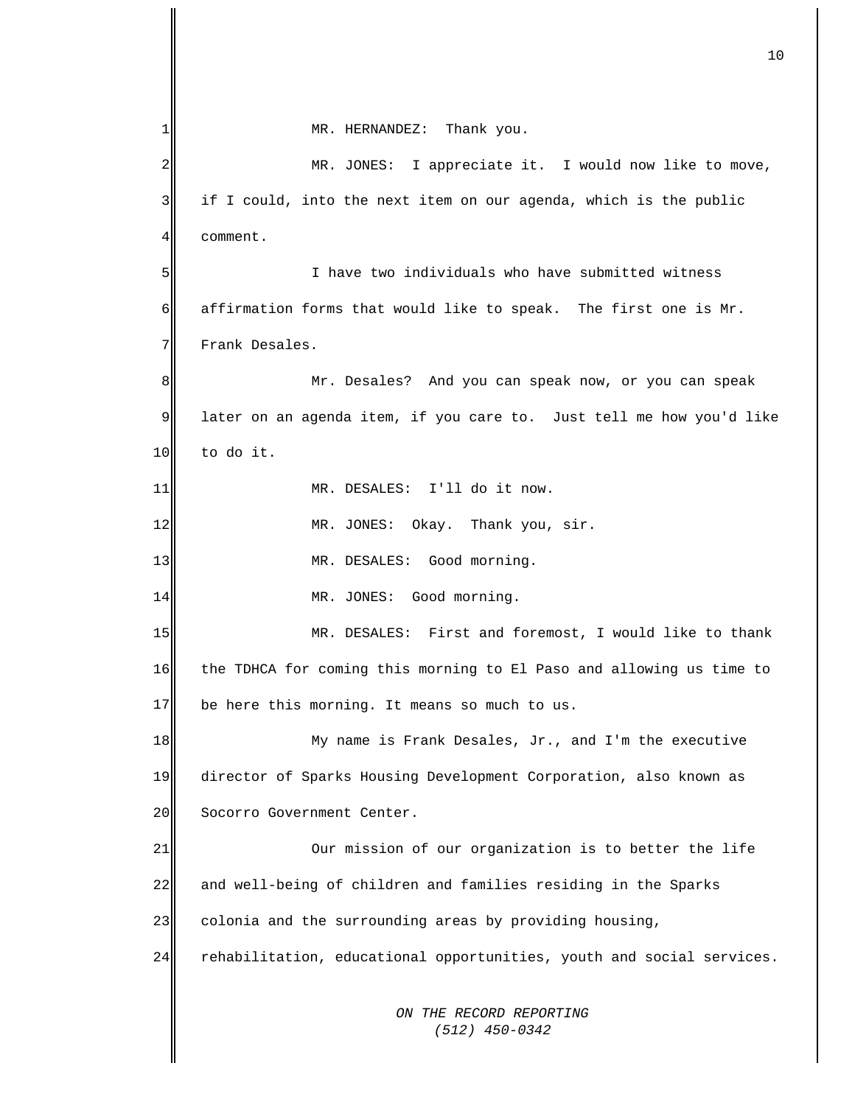*ON THE RECORD REPORTING (512) 450-0342* 1 2 3 4 5 6 7 8 9 10 11 12 13 14 15 16 17 18 19 20 21 22 23 24 MR. HERNANDEZ: Thank you. MR. JONES: I appreciate it. I would now like to move, if I could, into the next item on our agenda, which is the public comment. I have two individuals who have submitted witness affirmation forms that would like to speak. The first one is Mr. Frank Desales. Mr. Desales? And you can speak now, or you can speak later on an agenda item, if you care to. Just tell me how you'd like to do it. MR. DESALES: I'll do it now. MR. JONES: Okay. Thank you, sir. MR. DESALES: Good morning. MR. JONES: Good morning. MR. DESALES: First and foremost, I would like to thank the TDHCA for coming this morning to El Paso and allowing us time to be here this morning. It means so much to us. My name is Frank Desales, Jr., and I'm the executive director of Sparks Housing Development Corporation, also known as Socorro Government Center. Our mission of our organization is to better the life and well-being of children and families residing in the Sparks colonia and the surrounding areas by providing housing, rehabilitation, educational opportunities, youth and social services.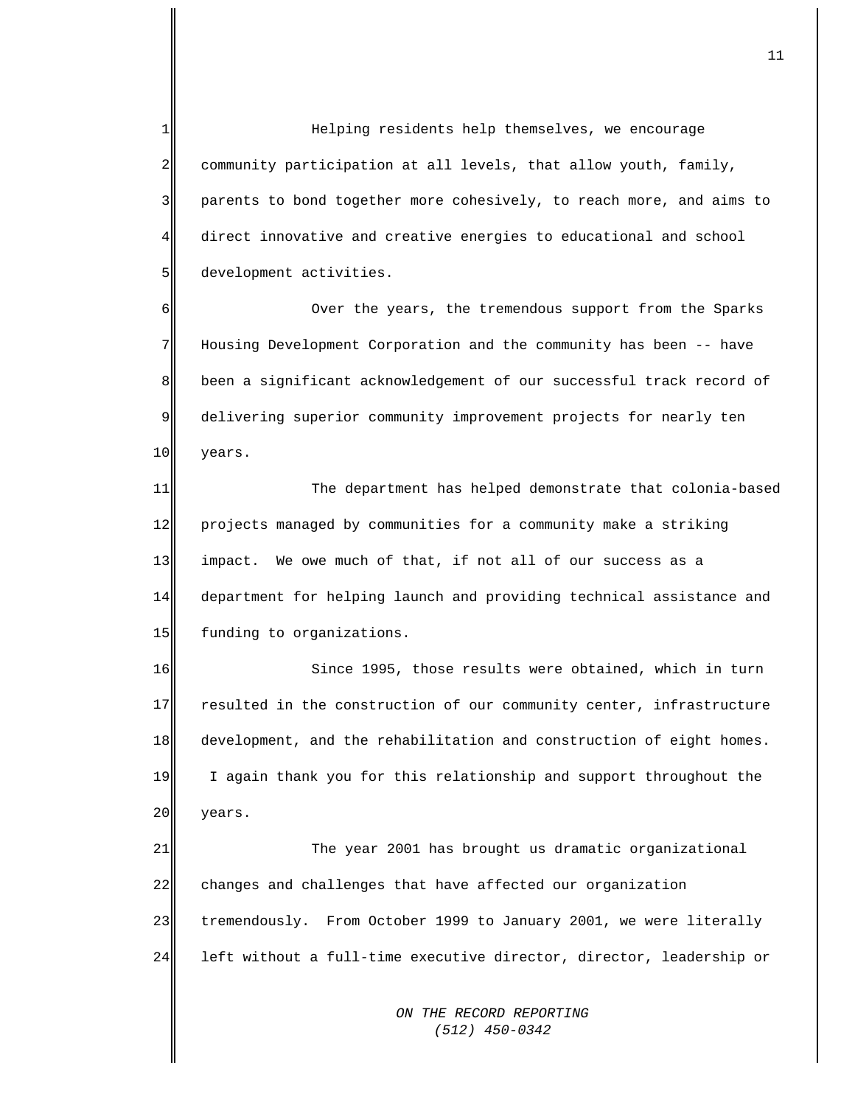1  $\overline{2}$ 3 4 5 Helping residents help themselves, we encourage community participation at all levels, that allow youth, family, parents to bond together more cohesively, to reach more, and aims to direct innovative and creative energies to educational and school development activities.

6 7 8 9 10 Over the years, the tremendous support from the Sparks Housing Development Corporation and the community has been -- have been a significant acknowledgement of our successful track record of delivering superior community improvement projects for nearly ten years.

11 12 13 14 15 The department has helped demonstrate that colonia-based projects managed by communities for a community make a striking impact. We owe much of that, if not all of our success as a department for helping launch and providing technical assistance and funding to organizations.

16 17 18 19 20 Since 1995, those results were obtained, which in turn resulted in the construction of our community center, infrastructure development, and the rehabilitation and construction of eight homes. I again thank you for this relationship and support throughout the years.

21 22 23 24 The year 2001 has brought us dramatic organizational changes and challenges that have affected our organization tremendously. From October 1999 to January 2001, we were literally left without a full-time executive director, director, leadership or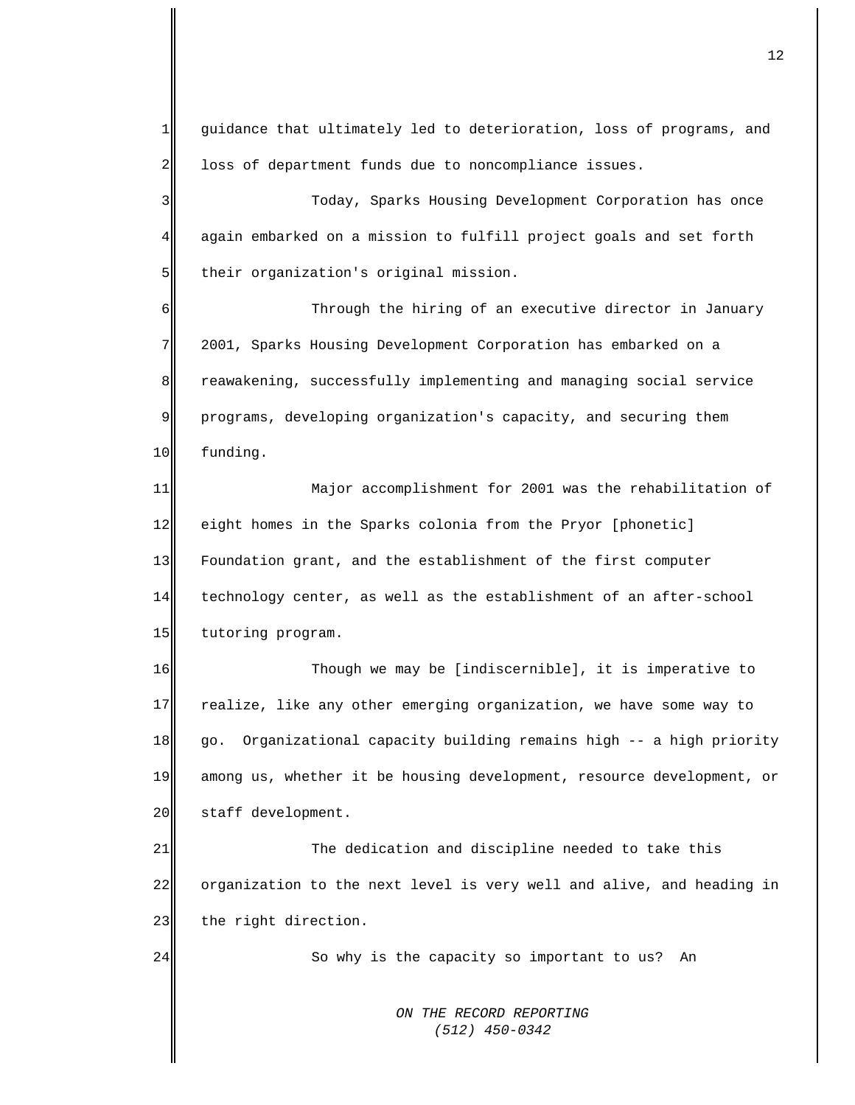1 2 guidance that ultimately led to deterioration, loss of programs, and loss of department funds due to noncompliance issues.

3 4 5 Today, Sparks Housing Development Corporation has once again embarked on a mission to fulfill project goals and set forth their organization's original mission.

6 7 8 9 10 Through the hiring of an executive director in January 2001, Sparks Housing Development Corporation has embarked on a reawakening, successfully implementing and managing social service programs, developing organization's capacity, and securing them funding.

11 12 13 14 15 Major accomplishment for 2001 was the rehabilitation of eight homes in the Sparks colonia from the Pryor [phonetic] Foundation grant, and the establishment of the first computer technology center, as well as the establishment of an after-school tutoring program.

16 17 18 19 20 Though we may be [indiscernible], it is imperative to realize, like any other emerging organization, we have some way to go. Organizational capacity building remains high -- a high priority among us, whether it be housing development, resource development, or staff development.

21 22 23 The dedication and discipline needed to take this organization to the next level is very well and alive, and heading in the right direction.

24

So why is the capacity so important to us? An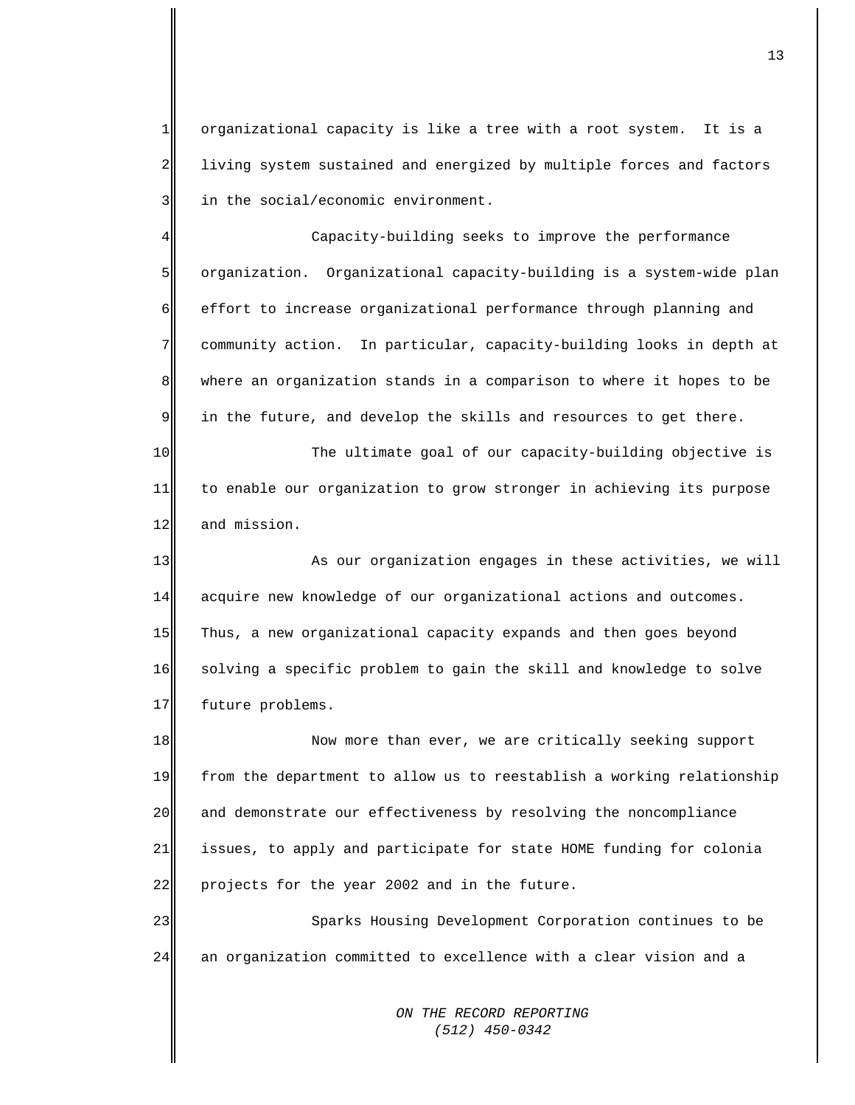1  $2\parallel$ 3 organizational capacity is like a tree with a root system. It is a living system sustained and energized by multiple forces and factors in the social/economic environment.

4 5 6 7 8 9 Capacity-building seeks to improve the performance organization. Organizational capacity-building is a system-wide plan effort to increase organizational performance through planning and community action. In particular, capacity-building looks in depth at where an organization stands in a comparison to where it hopes to be in the future, and develop the skills and resources to get there.

10 11 12 The ultimate goal of our capacity-building objective is to enable our organization to grow stronger in achieving its purpose and mission.

13 14 15 16 17 As our organization engages in these activities, we will acquire new knowledge of our organizational actions and outcomes. Thus, a new organizational capacity expands and then goes beyond solving a specific problem to gain the skill and knowledge to solve future problems.

18 19 20 21 22 Now more than ever, we are critically seeking support from the department to allow us to reestablish a working relationship and demonstrate our effectiveness by resolving the noncompliance issues, to apply and participate for state HOME funding for colonia projects for the year 2002 and in the future.

23 24 Sparks Housing Development Corporation continues to be an organization committed to excellence with a clear vision and a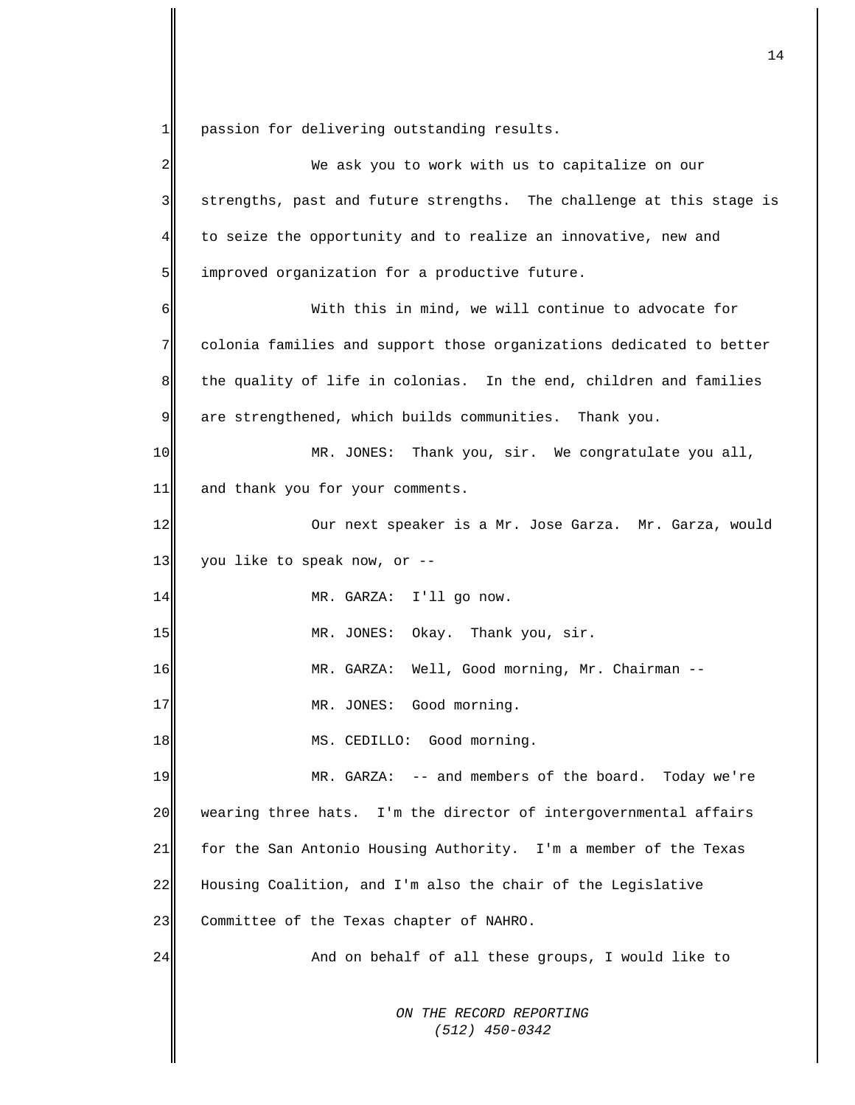1 passion for delivering outstanding results.

| 2           | We ask you to work with us to capitalize on our                      |
|-------------|----------------------------------------------------------------------|
| 3           | strengths, past and future strengths. The challenge at this stage is |
| 4           | to seize the opportunity and to realize an innovative, new and       |
| 5           | improved organization for a productive future.                       |
| 6           | With this in mind, we will continue to advocate for                  |
| 7           | colonia families and support those organizations dedicated to better |
| 8           | the quality of life in colonias. In the end, children and families   |
| $\mathsf 9$ | are strengthened, which builds communities. Thank you.               |
| 10          | MR. JONES: Thank you, sir. We congratulate you all,                  |
| 11          | and thank you for your comments.                                     |
| 12          | Our next speaker is a Mr. Jose Garza. Mr. Garza, would               |
| 13          | you like to speak now, or --                                         |
| 14          | MR. GARZA: I'll go now.                                              |
| 15          | MR. JONES: Okay. Thank you, sir.                                     |
| 16          | MR. GARZA: Well, Good morning, Mr. Chairman --                       |
| 17          | MR. JONES: Good morning.                                             |
| 18          | MS. CEDILLO: Good morning.                                           |
| 19          | MR. GARZA: -- and members of the board. Today we're                  |
| 20          | wearing three hats. I'm the director of intergovernmental affairs    |
| 21          | for the San Antonio Housing Authority. I'm a member of the Texas     |
| 22          | Housing Coalition, and I'm also the chair of the Legislative         |
| 23          | Committee of the Texas chapter of NAHRO.                             |
| 24          | And on behalf of all these groups, I would like to                   |
|             | ON THE RECORD REPORTING<br>$(512)$ 450-0342                          |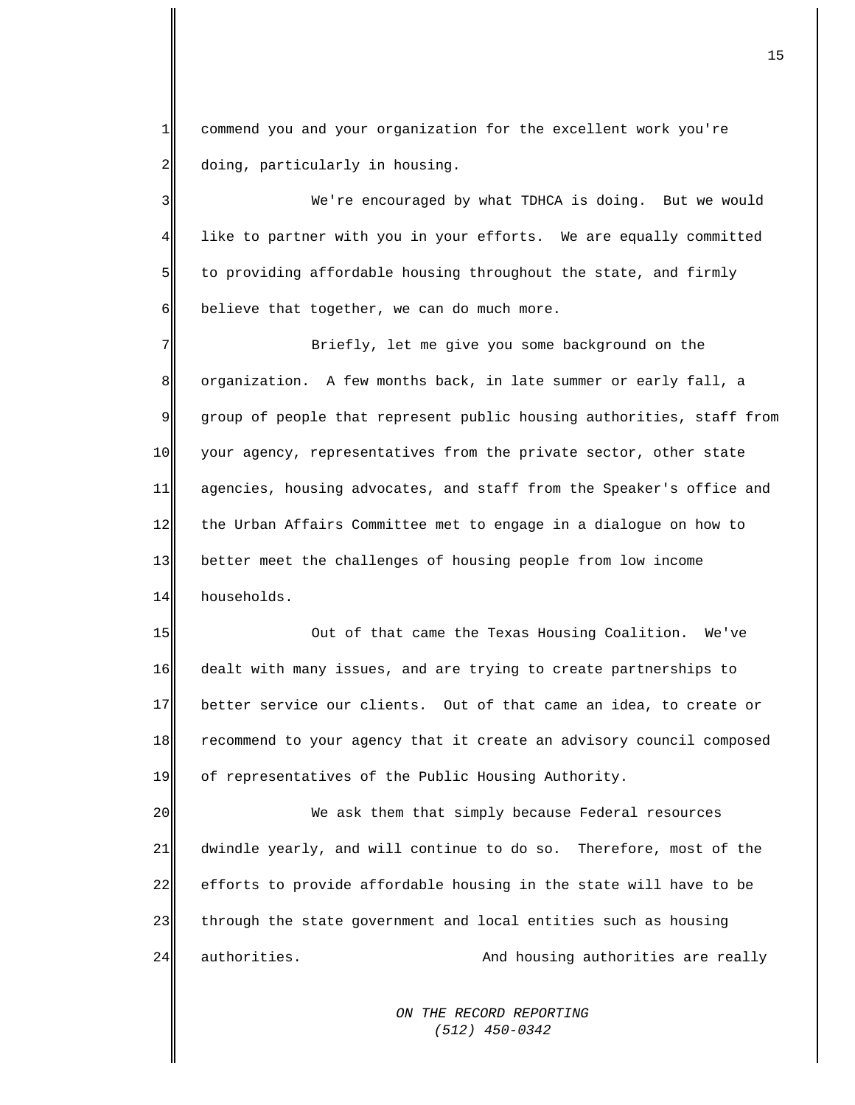1 2 commend you and your organization for the excellent work you're doing, particularly in housing.

3 4 5 6 We're encouraged by what TDHCA is doing. But we would like to partner with you in your efforts. We are equally committed to providing affordable housing throughout the state, and firmly believe that together, we can do much more.

7 8 9 10 11 12 13 14 Briefly, let me give you some background on the organization. A few months back, in late summer or early fall, a group of people that represent public housing authorities, staff from your agency, representatives from the private sector, other state agencies, housing advocates, and staff from the Speaker's office and the Urban Affairs Committee met to engage in a dialogue on how to better meet the challenges of housing people from low income households.

15 16 17 18 19 Out of that came the Texas Housing Coalition. We've dealt with many issues, and are trying to create partnerships to better service our clients. Out of that came an idea, to create or recommend to your agency that it create an advisory council composed of representatives of the Public Housing Authority.

20 21 22 23 24 We ask them that simply because Federal resources dwindle yearly, and will continue to do so. Therefore, most of the efforts to provide affordable housing in the state will have to be through the state government and local entities such as housing authorities. And housing authorities are really

> *ON THE RECORD REPORTING (512) 450-0342*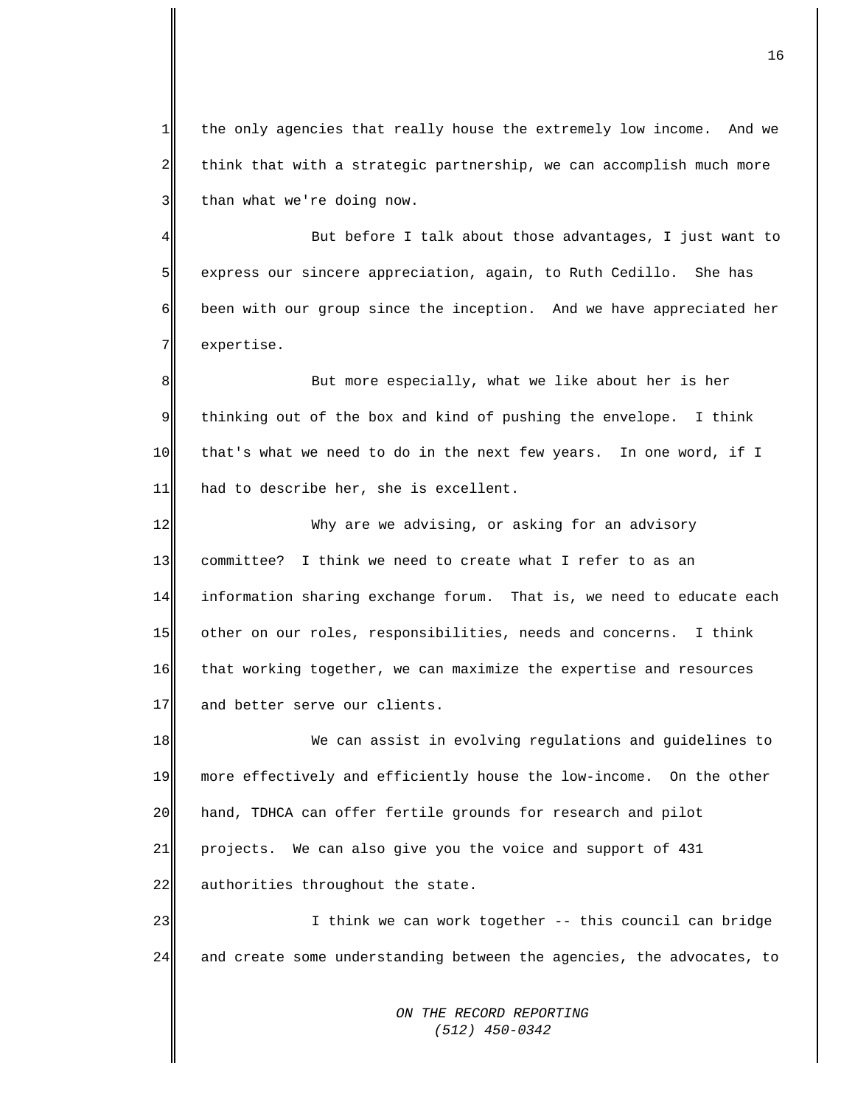$1$ 2 3 the only agencies that really house the extremely low income. And we think that with a strategic partnership, we can accomplish much more than what we're doing now.

4 5 6 7 But before I talk about those advantages, I just want to express our sincere appreciation, again, to Ruth Cedillo. She has been with our group since the inception. And we have appreciated her expertise.

8 9 10 11 But more especially, what we like about her is her thinking out of the box and kind of pushing the envelope. I think that's what we need to do in the next few years. In one word, if I had to describe her, she is excellent.

12 13 14 15 16 17 Why are we advising, or asking for an advisory committee? I think we need to create what I refer to as an information sharing exchange forum. That is, we need to educate each other on our roles, responsibilities, needs and concerns. I think that working together, we can maximize the expertise and resources and better serve our clients.

18 19 20 21 22 We can assist in evolving regulations and guidelines to more effectively and efficiently house the low-income. On the other hand, TDHCA can offer fertile grounds for research and pilot projects. We can also give you the voice and support of 431 authorities throughout the state.

23 24 I think we can work together -- this council can bridge and create some understanding between the agencies, the advocates, to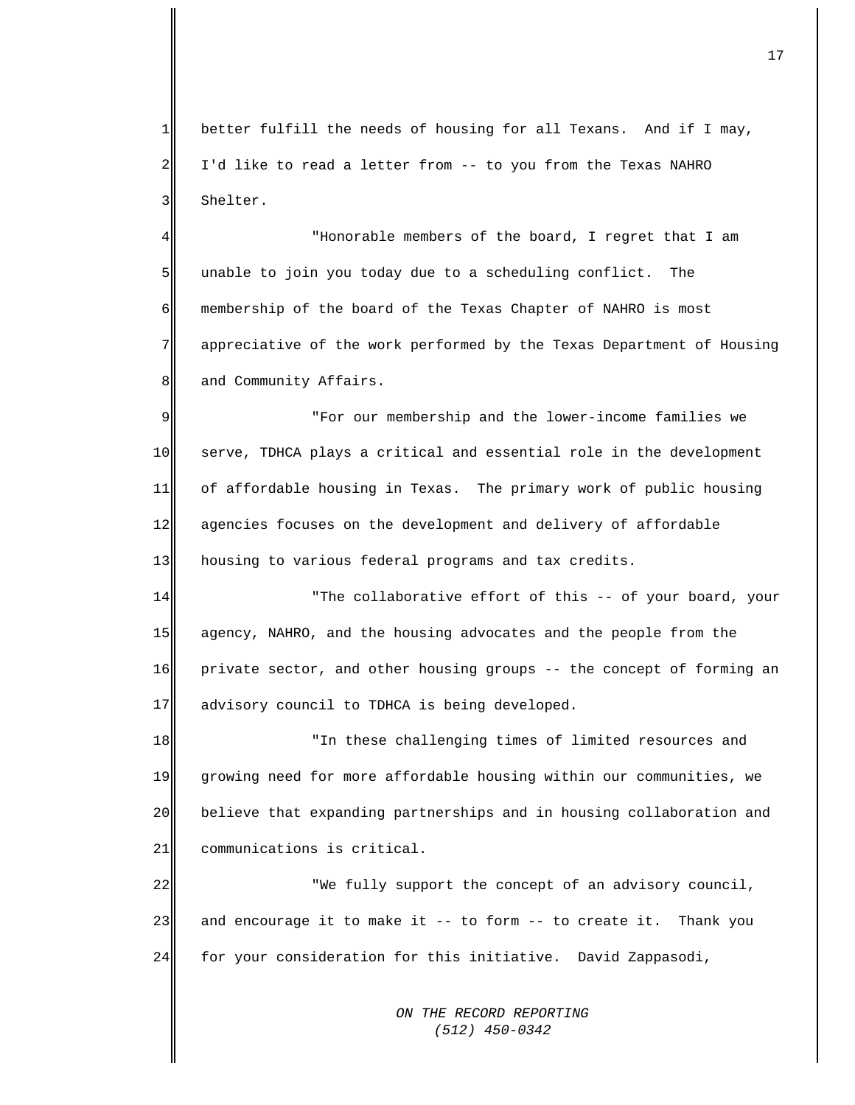1  $2\parallel$ 3 better fulfill the needs of housing for all Texans. And if I may, I'd like to read a letter from -- to you from the Texas NAHRO Shelter.

4 5 6 7 8 "Honorable members of the board, I regret that I am unable to join you today due to a scheduling conflict. The membership of the board of the Texas Chapter of NAHRO is most appreciative of the work performed by the Texas Department of Housing and Community Affairs.

9 10 11 12 13 "For our membership and the lower-income families we serve, TDHCA plays a critical and essential role in the development of affordable housing in Texas. The primary work of public housing agencies focuses on the development and delivery of affordable housing to various federal programs and tax credits.

14 15 16 17 "The collaborative effort of this -- of your board, your agency, NAHRO, and the housing advocates and the people from the private sector, and other housing groups -- the concept of forming an advisory council to TDHCA is being developed.

18 19 20 21 "In these challenging times of limited resources and growing need for more affordable housing within our communities, we believe that expanding partnerships and in housing collaboration and communications is critical.

22 23 24 "We fully support the concept of an advisory council, and encourage it to make it -- to form -- to create it. Thank you for your consideration for this initiative. David Zappasodi,

> *ON THE RECORD REPORTING (512) 450-0342*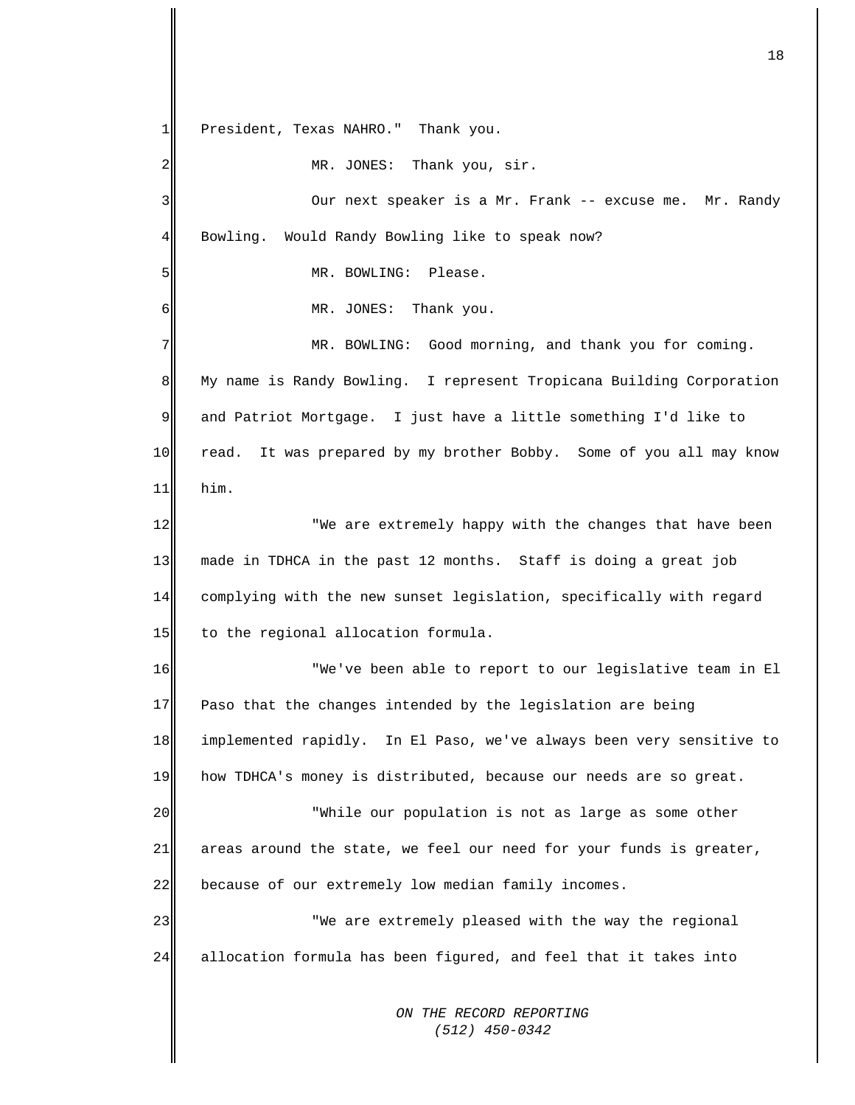*ON THE RECORD REPORTING (512) 450-0342*  $1$  $2\parallel$ 3 4 5 6 7 8 9 10 11 12 13 14 15 16 17 18 19 20 21 22 23 24 President, Texas NAHRO." Thank you. MR. JONES: Thank you, sir. Our next speaker is a Mr. Frank -- excuse me. Mr. Randy Bowling. Would Randy Bowling like to speak now? MR. BOWLING: Please. MR. JONES: Thank you. MR. BOWLING: Good morning, and thank you for coming. My name is Randy Bowling. I represent Tropicana Building Corporation and Patriot Mortgage. I just have a little something I'd like to read. It was prepared by my brother Bobby. Some of you all may know him. "We are extremely happy with the changes that have been made in TDHCA in the past 12 months. Staff is doing a great job complying with the new sunset legislation, specifically with regard to the regional allocation formula. "We've been able to report to our legislative team in El Paso that the changes intended by the legislation are being implemented rapidly. In El Paso, we've always been very sensitive to how TDHCA's money is distributed, because our needs are so great. "While our population is not as large as some other areas around the state, we feel our need for your funds is greater, because of our extremely low median family incomes. "We are extremely pleased with the way the regional allocation formula has been figured, and feel that it takes into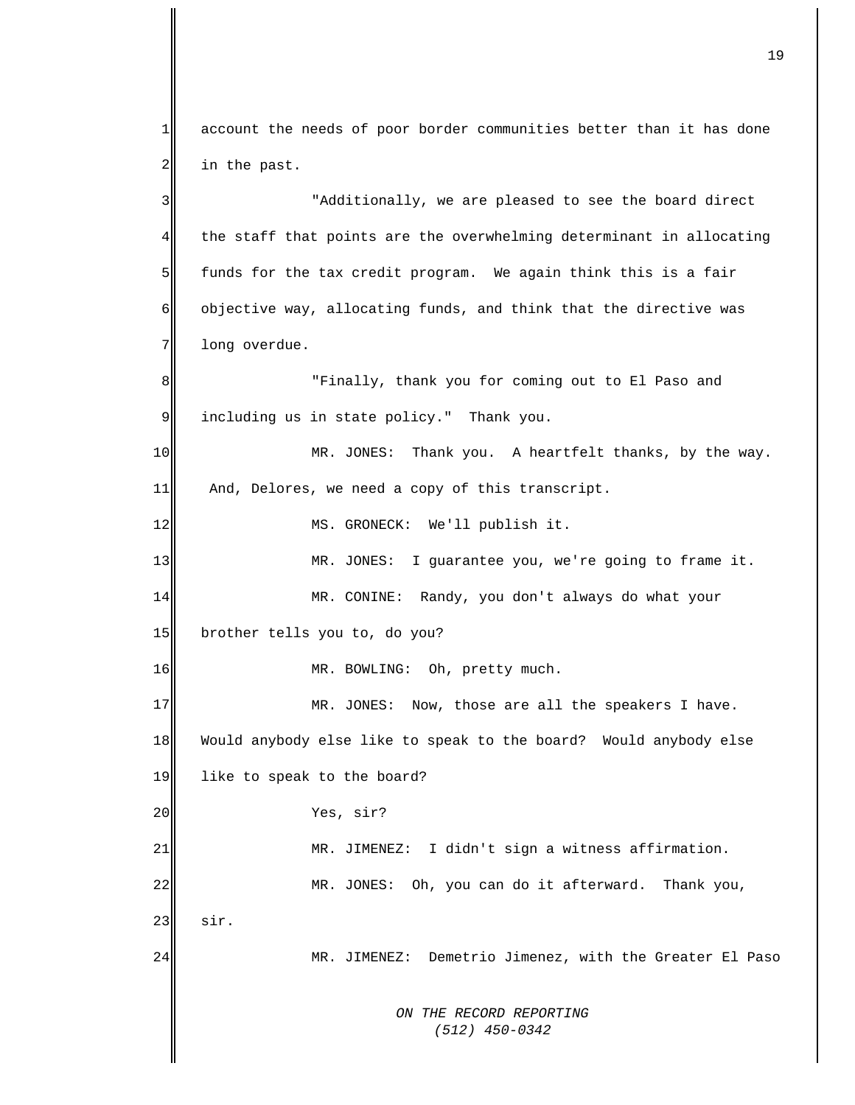*ON THE RECORD REPORTING (512) 450-0342*  $1$ 2 3 4 5 6 7 8 9 10 11 12 13 14 15 16 17 18 19 20 21 22 23 24 account the needs of poor border communities better than it has done in the past. "Additionally, we are pleased to see the board direct the staff that points are the overwhelming determinant in allocating funds for the tax credit program. We again think this is a fair objective way, allocating funds, and think that the directive was long overdue. "Finally, thank you for coming out to El Paso and including us in state policy." Thank you. MR. JONES: Thank you. A heartfelt thanks, by the way. And, Delores, we need a copy of this transcript. MS. GRONECK: We'll publish it. MR. JONES: I guarantee you, we're going to frame it. MR. CONINE: Randy, you don't always do what your brother tells you to, do you? MR. BOWLING: Oh, pretty much. MR. JONES: Now, those are all the speakers I have. Would anybody else like to speak to the board? Would anybody else like to speak to the board? Yes, sir? MR. JIMENEZ: I didn't sign a witness affirmation. MR. JONES: Oh, you can do it afterward. Thank you, sir. MR. JIMENEZ: Demetrio Jimenez, with the Greater El Paso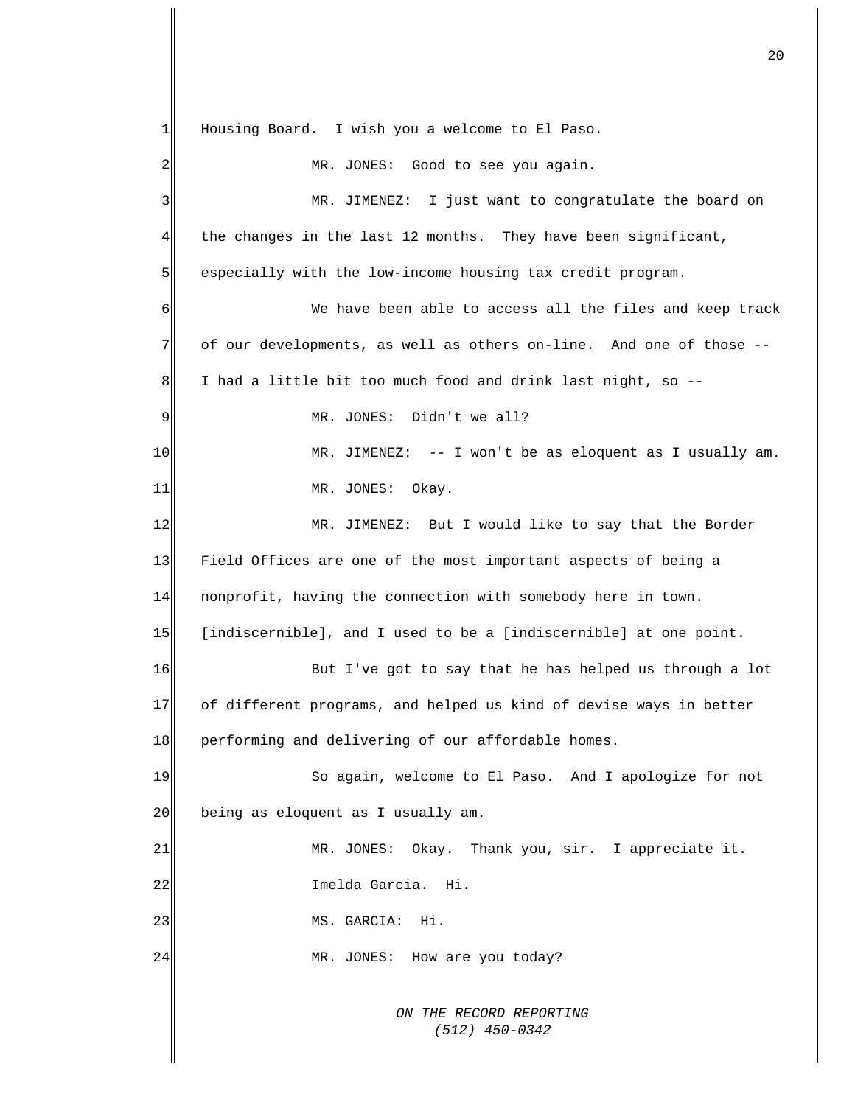*ON THE RECORD REPORTING (512) 450-0342*  $1$  $2\parallel$ 3 4 5 6 7 8 9 10 11 12 13 14 15 16 17 18 19 20 21 22 23 24 Housing Board. I wish you a welcome to El Paso. MR. JONES: Good to see you again. MR. JIMENEZ: I just want to congratulate the board on the changes in the last 12 months. They have been significant, especially with the low-income housing tax credit program. We have been able to access all the files and keep track of our developments, as well as others on-line. And one of those -- I had a little bit too much food and drink last night, so -- MR. JONES: Didn't we all? MR. JIMENEZ: -- I won't be as eloquent as I usually am. MR. JONES: Okay. MR. JIMENEZ: But I would like to say that the Border Field Offices are one of the most important aspects of being a nonprofit, having the connection with somebody here in town. [indiscernible], and I used to be a [indiscernible] at one point. But I've got to say that he has helped us through a lot of different programs, and helped us kind of devise ways in better performing and delivering of our affordable homes. So again, welcome to El Paso. And I apologize for not being as eloquent as I usually am. MR. JONES: Okay. Thank you, sir. I appreciate it. Imelda Garcia. Hi. MS. GARCIA: Hi. MR. JONES: How are you today?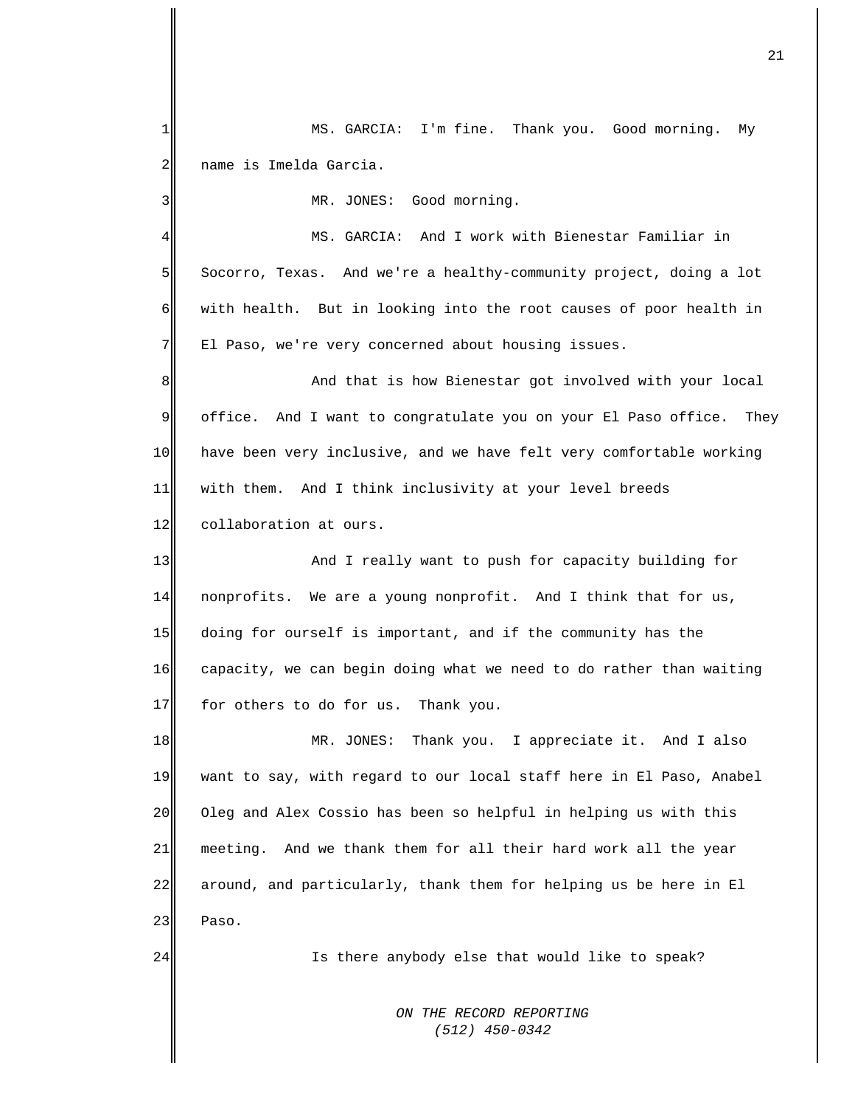*ON THE RECORD REPORTING (512) 450-0342* 1 2 3 4 5 6 7 8 9 10 11 12 13 14 15 16 17 18 19 20 21 22 23 24 MS. GARCIA: I'm fine. Thank you. Good morning. My name is Imelda Garcia. MR. JONES: Good morning. MS. GARCIA: And I work with Bienestar Familiar in Socorro, Texas. And we're a healthy-community project, doing a lot with health. But in looking into the root causes of poor health in El Paso, we're very concerned about housing issues. And that is how Bienestar got involved with your local office. And I want to congratulate you on your El Paso office. They have been very inclusive, and we have felt very comfortable working with them. And I think inclusivity at your level breeds collaboration at ours. And I really want to push for capacity building for nonprofits. We are a young nonprofit. And I think that for us, doing for ourself is important, and if the community has the capacity, we can begin doing what we need to do rather than waiting for others to do for us. Thank you. MR. JONES: Thank you. I appreciate it. And I also want to say, with regard to our local staff here in El Paso, Anabel Oleg and Alex Cossio has been so helpful in helping us with this meeting. And we thank them for all their hard work all the year around, and particularly, thank them for helping us be here in El Paso. Is there anybody else that would like to speak?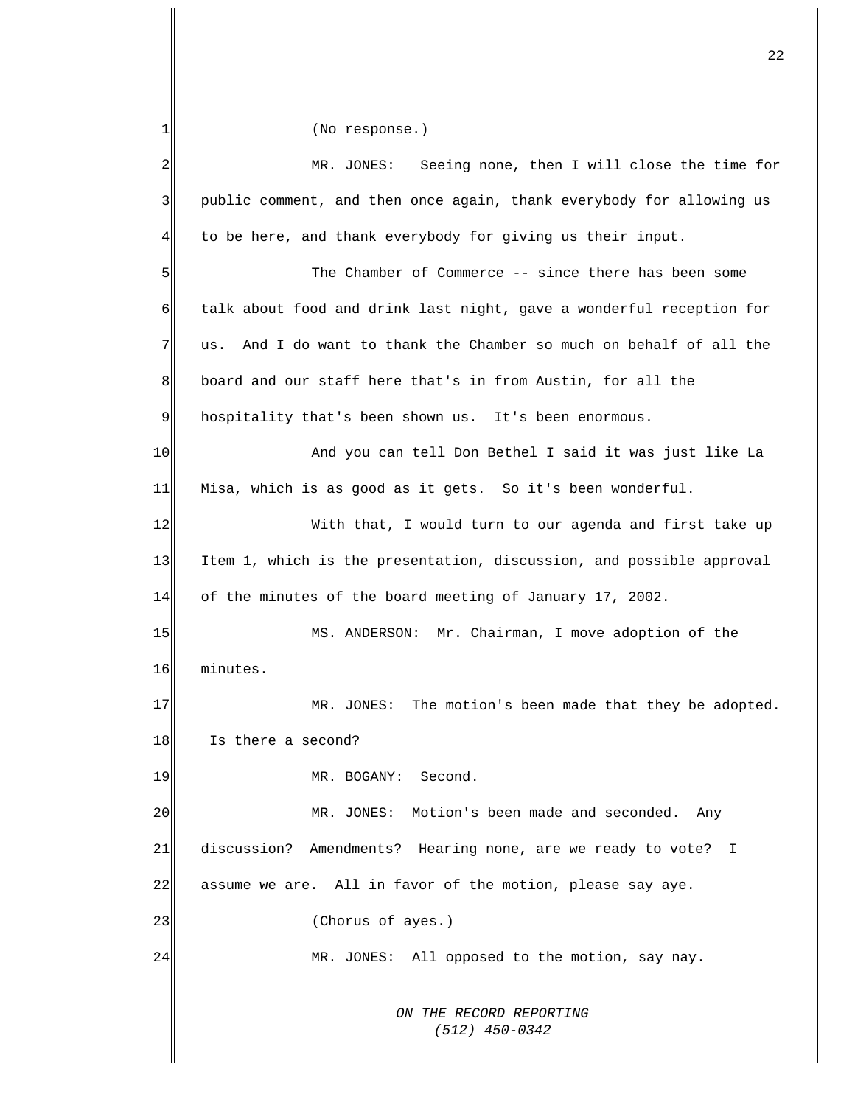*ON THE RECORD REPORTING (512) 450-0342* 1 2 3 4 5 6 7 8 9 10 11 12 13 14 15 16 17 18 19 20 21 22 23 24 (No response.) MR. JONES: Seeing none, then I will close the time for public comment, and then once again, thank everybody for allowing us to be here, and thank everybody for giving us their input. The Chamber of Commerce -- since there has been some talk about food and drink last night, gave a wonderful reception for us. And I do want to thank the Chamber so much on behalf of all the board and our staff here that's in from Austin, for all the hospitality that's been shown us. It's been enormous. And you can tell Don Bethel I said it was just like La Misa, which is as good as it gets. So it's been wonderful. With that, I would turn to our agenda and first take up Item 1, which is the presentation, discussion, and possible approval of the minutes of the board meeting of January 17, 2002. MS. ANDERSON: Mr. Chairman, I move adoption of the minutes. MR. JONES: The motion's been made that they be adopted. Is there a second? MR. BOGANY: Second. MR. JONES: Motion's been made and seconded. Any discussion? Amendments? Hearing none, are we ready to vote? I assume we are. All in favor of the motion, please say aye. (Chorus of ayes.) MR. JONES: All opposed to the motion, say nay.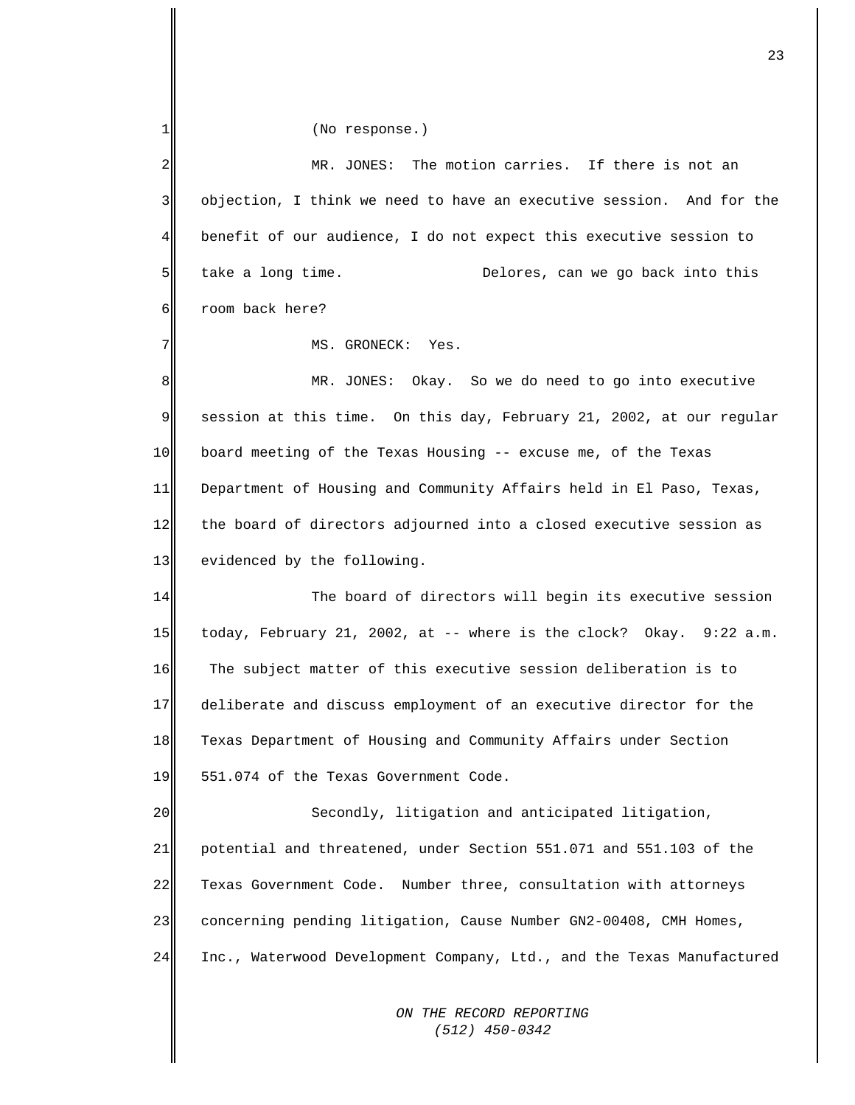| 1           | (No response.)                                                        |
|-------------|-----------------------------------------------------------------------|
| 2           | MR. JONES: The motion carries. If there is not an                     |
| 3           | objection, I think we need to have an executive session. And for the  |
| 4           | benefit of our audience, I do not expect this executive session to    |
| 5           | take a long time.<br>Delores, can we go back into this                |
| 6           | room back here?                                                       |
| 7           | MS. GRONECK: Yes.                                                     |
| 8           | MR. JONES: Okay. So we do need to go into executive                   |
| $\mathsf 9$ | session at this time. On this day, February 21, 2002, at our regular  |
| 10          | board meeting of the Texas Housing -- excuse me, of the Texas         |
| 11          | Department of Housing and Community Affairs held in El Paso, Texas,   |
| 12          | the board of directors adjourned into a closed executive session as   |
| 13          | evidenced by the following.                                           |
| 14          | The board of directors will begin its executive session               |
| 15          | today, February 21, 2002, at -- where is the clock? Okay. 9:22 a.m.   |
| 16          | The subject matter of this executive session deliberation is to       |
| 17          | deliberate and discuss employment of an executive director for the    |
| 18          | Texas Department of Housing and Community Affairs under Section       |
| 19          | 551.074 of the Texas Government Code.                                 |
| 20          | Secondly, litigation and anticipated litigation,                      |
| 21          | potential and threatened, under Section 551.071 and 551.103 of the    |
| 22          | Texas Government Code. Number three, consultation with attorneys      |
| 23          | concerning pending litigation, Cause Number GN2-00408, CMH Homes,     |
| 24          | Inc., Waterwood Development Company, Ltd., and the Texas Manufactured |
|             | ON THE RECORD REPORTING                                               |

 *(512) 450-0342*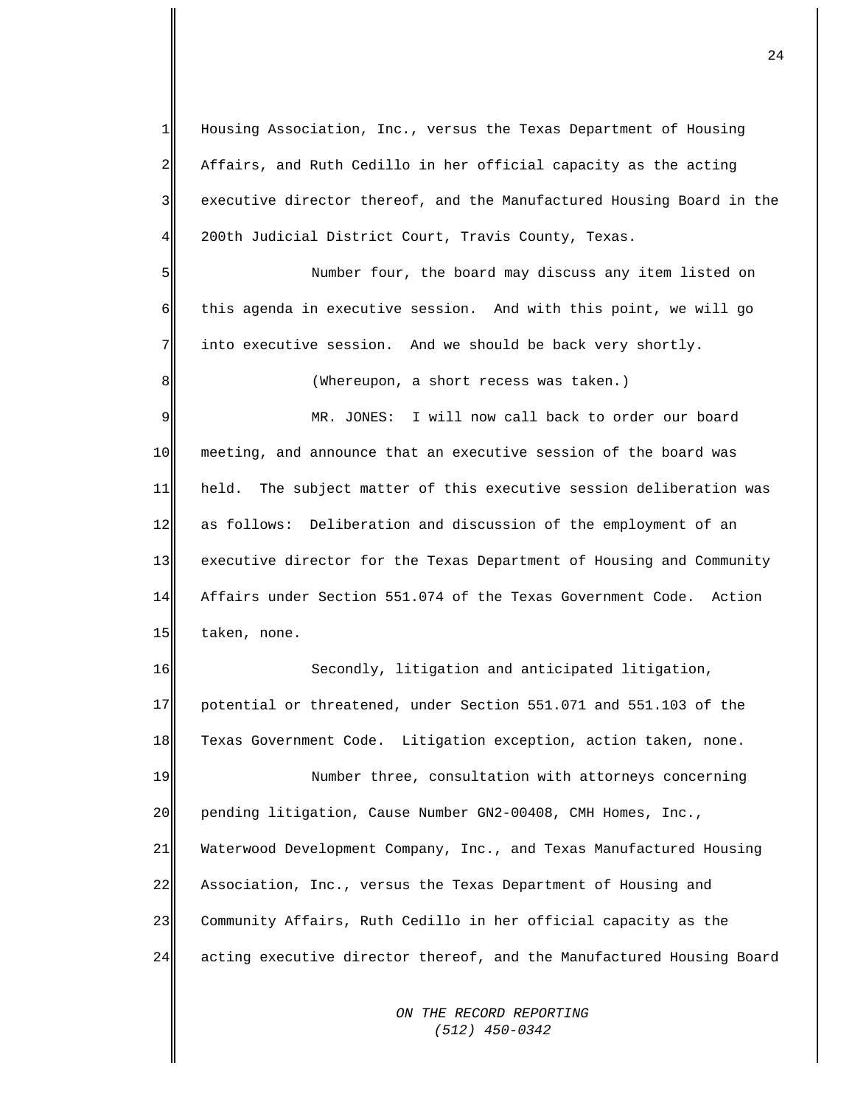1  $2\parallel$ 3 4 Housing Association, Inc., versus the Texas Department of Housing Affairs, and Ruth Cedillo in her official capacity as the acting executive director thereof, and the Manufactured Housing Board in the 200th Judicial District Court, Travis County, Texas.

5 6 7 Number four, the board may discuss any item listed on this agenda in executive session. And with this point, we will go into executive session. And we should be back very shortly.

(Whereupon, a short recess was taken.)

8

9 10 11 12 13 14 15 MR. JONES: I will now call back to order our board meeting, and announce that an executive session of the board was held. The subject matter of this executive session deliberation was as follows: Deliberation and discussion of the employment of an executive director for the Texas Department of Housing and Community Affairs under Section 551.074 of the Texas Government Code. Action taken, none.

16 17 18 Secondly, litigation and anticipated litigation, potential or threatened, under Section 551.071 and 551.103 of the Texas Government Code. Litigation exception, action taken, none.

19 20 21 22 23 24 Number three, consultation with attorneys concerning pending litigation, Cause Number GN2-00408, CMH Homes, Inc., Waterwood Development Company, Inc., and Texas Manufactured Housing Association, Inc., versus the Texas Department of Housing and Community Affairs, Ruth Cedillo in her official capacity as the acting executive director thereof, and the Manufactured Housing Board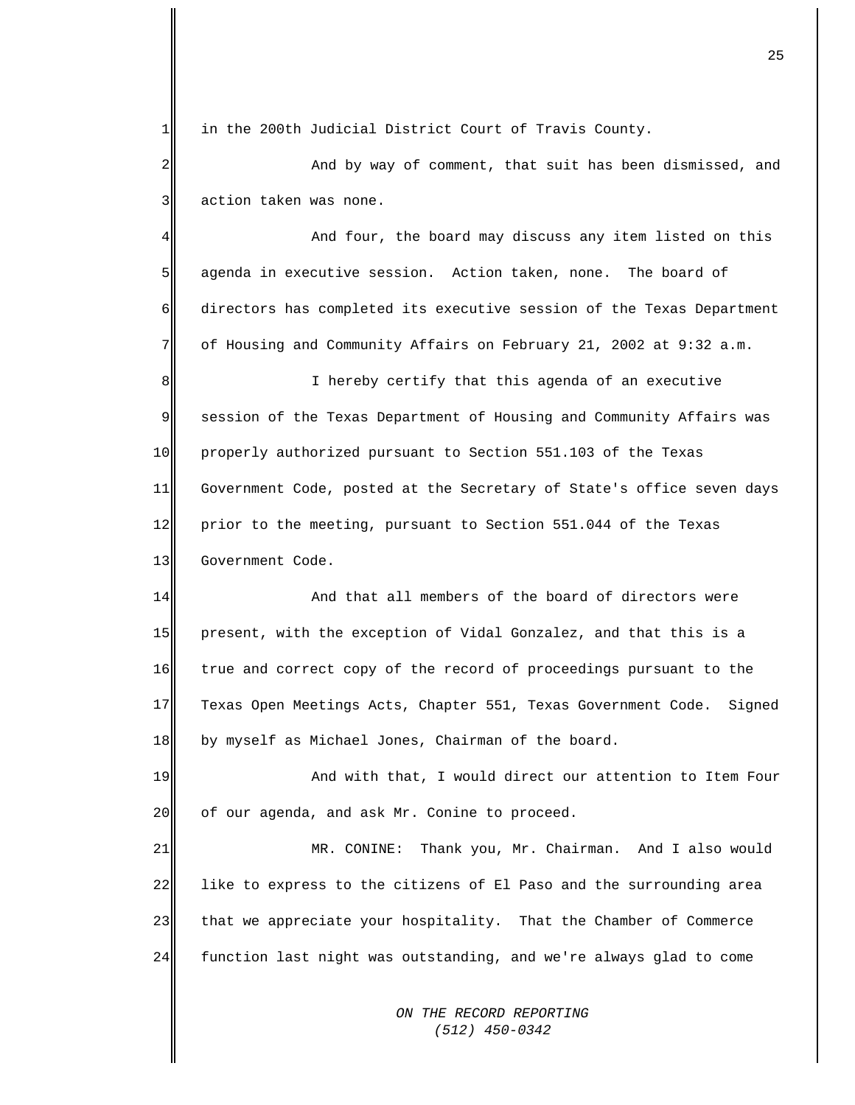$1$ in the 200th Judicial District Court of Travis County.

 $2\parallel$ 3 And by way of comment, that suit has been dismissed, and action taken was none.

4 5 6 7 And four, the board may discuss any item listed on this agenda in executive session. Action taken, none. The board of directors has completed its executive session of the Texas Department of Housing and Community Affairs on February 21, 2002 at 9:32 a.m.

8 9 10 11 12 13 I hereby certify that this agenda of an executive session of the Texas Department of Housing and Community Affairs was properly authorized pursuant to Section 551.103 of the Texas Government Code, posted at the Secretary of State's office seven days prior to the meeting, pursuant to Section 551.044 of the Texas Government Code.

14 15 16 17 18 And that all members of the board of directors were present, with the exception of Vidal Gonzalez, and that this is a true and correct copy of the record of proceedings pursuant to the Texas Open Meetings Acts, Chapter 551, Texas Government Code. Signed by myself as Michael Jones, Chairman of the board.

19 20 And with that, I would direct our attention to Item Four of our agenda, and ask Mr. Conine to proceed.

21 22 23 24 MR. CONINE: Thank you, Mr. Chairman. And I also would like to express to the citizens of El Paso and the surrounding area that we appreciate your hospitality. That the Chamber of Commerce function last night was outstanding, and we're always glad to come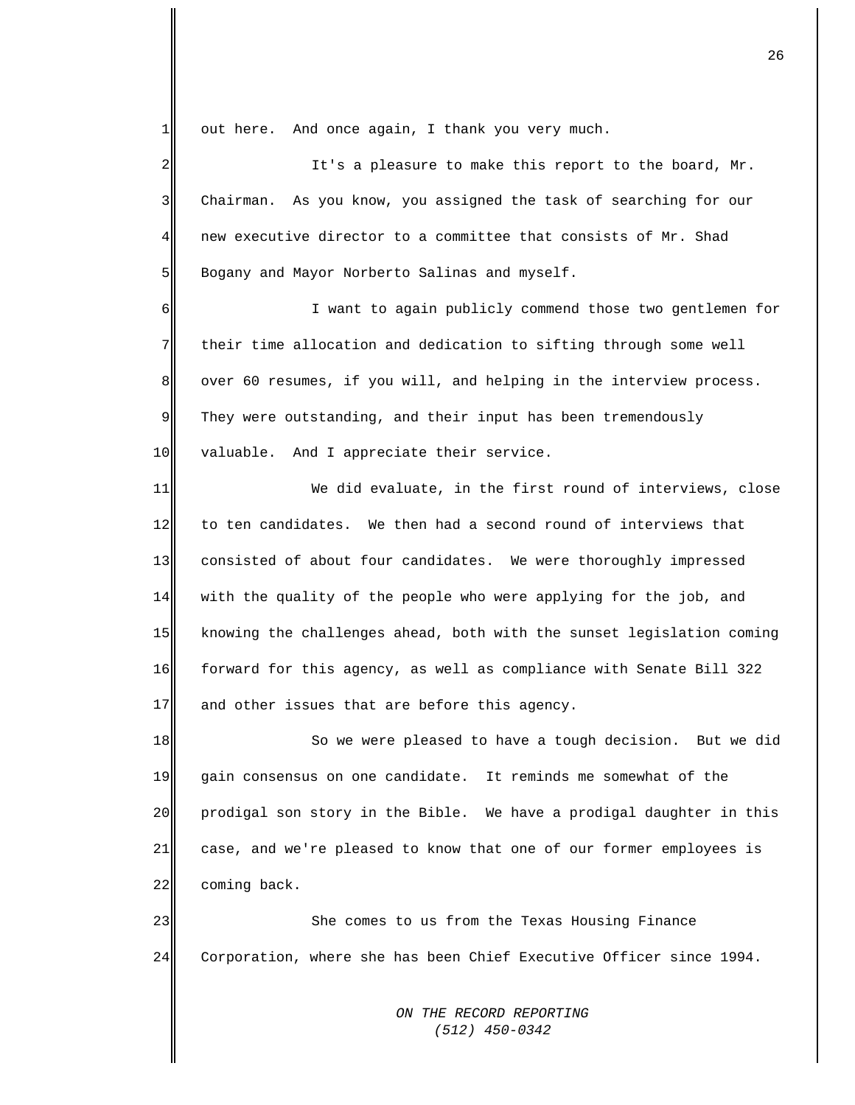1 out here. And once again, I thank you very much.

 $2\parallel$ 3 4 5 It's a pleasure to make this report to the board, Mr. Chairman. As you know, you assigned the task of searching for our new executive director to a committee that consists of Mr. Shad Bogany and Mayor Norberto Salinas and myself.

6 7 8 9 10 I want to again publicly commend those two gentlemen for their time allocation and dedication to sifting through some well over 60 resumes, if you will, and helping in the interview process. They were outstanding, and their input has been tremendously valuable. And I appreciate their service.

11 12 13 14 15 16 17 We did evaluate, in the first round of interviews, close to ten candidates. We then had a second round of interviews that consisted of about four candidates. We were thoroughly impressed with the quality of the people who were applying for the job, and knowing the challenges ahead, both with the sunset legislation coming forward for this agency, as well as compliance with Senate Bill 322 and other issues that are before this agency.

18 19 20 21 22 So we were pleased to have a tough decision. But we did gain consensus on one candidate. It reminds me somewhat of the prodigal son story in the Bible. We have a prodigal daughter in this case, and we're pleased to know that one of our former employees is coming back.

23 24 She comes to us from the Texas Housing Finance Corporation, where she has been Chief Executive Officer since 1994.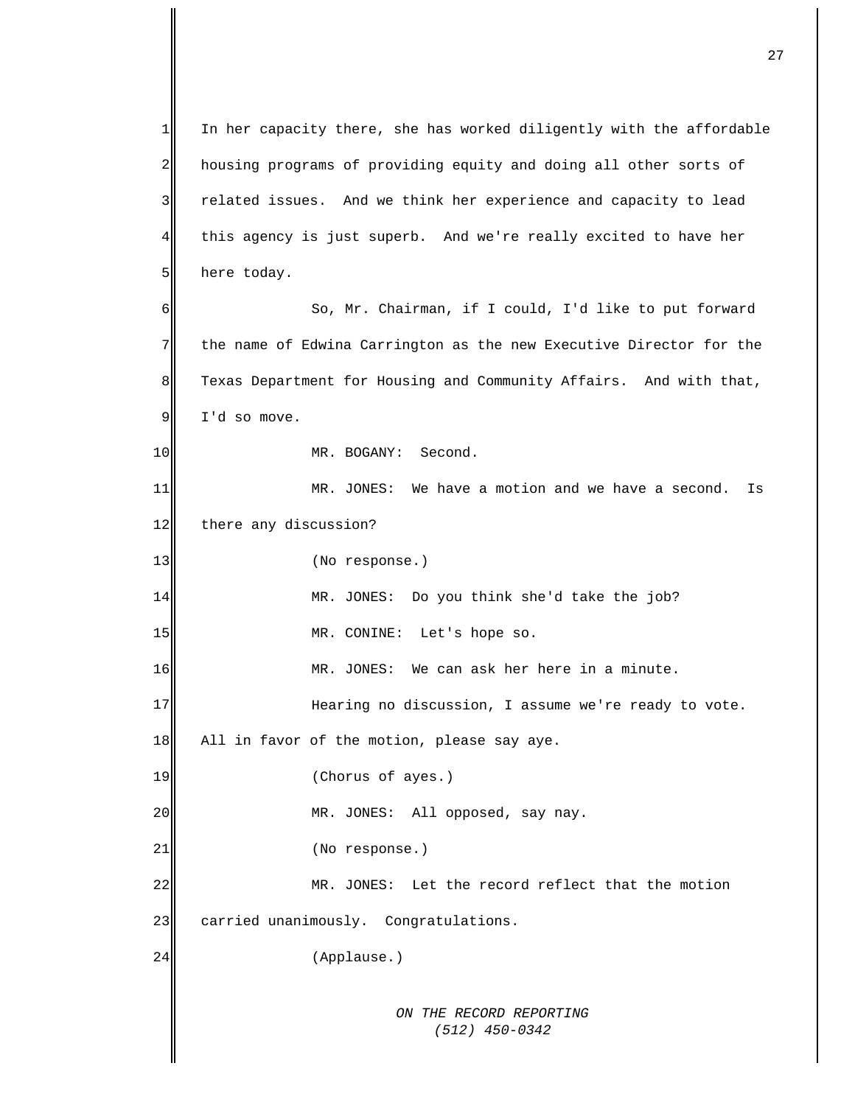*ON THE RECORD REPORTING (512) 450-0342*  $1$ 2 3 4 5 6 7 8 9 10 11 12 13 14 15 16 17 18 19 20 21 22 23 24 In her capacity there, she has worked diligently with the affordable housing programs of providing equity and doing all other sorts of related issues. And we think her experience and capacity to lead this agency is just superb. And we're really excited to have her here today. So, Mr. Chairman, if I could, I'd like to put forward the name of Edwina Carrington as the new Executive Director for the Texas Department for Housing and Community Affairs. And with that, I'd so move. MR. BOGANY: Second. MR. JONES: We have a motion and we have a second. Is there any discussion? (No response.) MR. JONES: Do you think she'd take the job? MR. CONINE: Let's hope so. MR. JONES: We can ask her here in a minute. Hearing no discussion, I assume we're ready to vote. All in favor of the motion, please say aye. (Chorus of ayes.) MR. JONES: All opposed, say nay. (No response.) MR. JONES: Let the record reflect that the motion carried unanimously. Congratulations. (Applause.)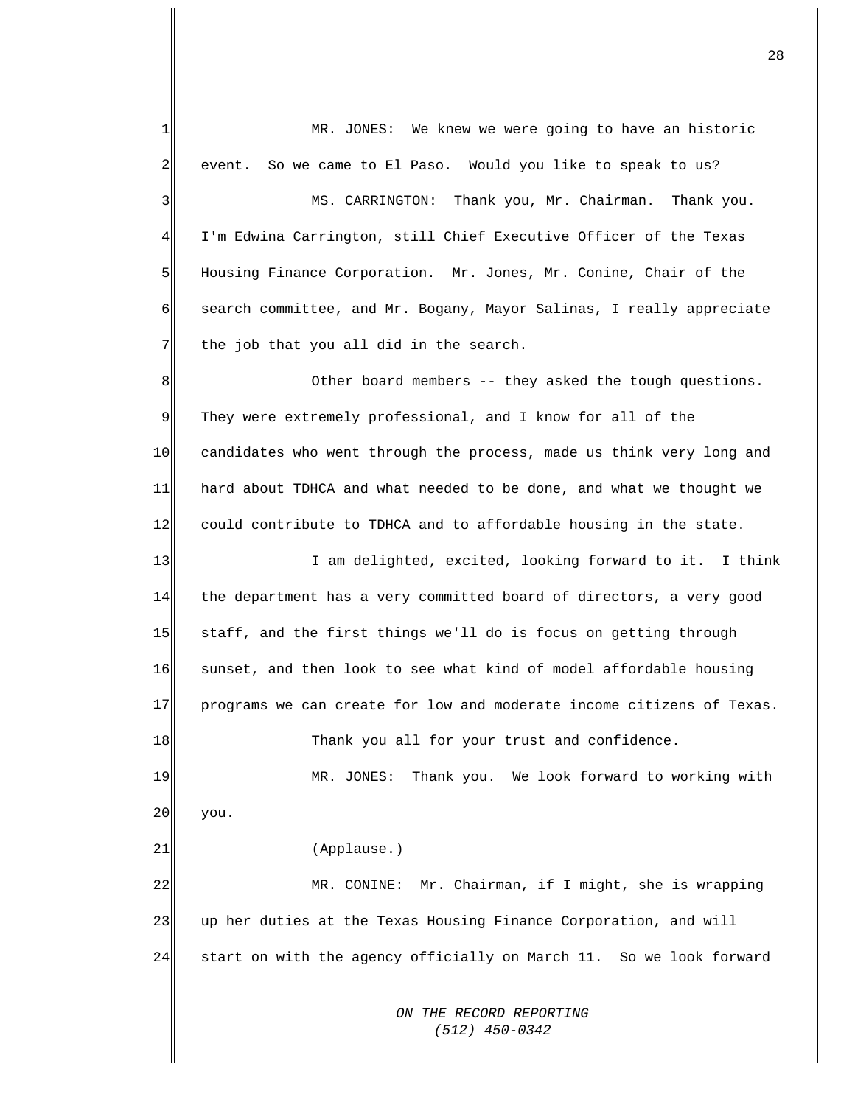*ON THE RECORD REPORTING*  1  $\overline{2}$ 3 4 5 6 7 8 9 10 11 12 13 14 15 16 17 18 19 20 21 22 23 24 MR. JONES: We knew we were going to have an historic event. So we came to El Paso. Would you like to speak to us? MS. CARRINGTON: Thank you, Mr. Chairman. Thank you. I'm Edwina Carrington, still Chief Executive Officer of the Texas Housing Finance Corporation. Mr. Jones, Mr. Conine, Chair of the search committee, and Mr. Bogany, Mayor Salinas, I really appreciate the job that you all did in the search. Other board members -- they asked the tough questions. They were extremely professional, and I know for all of the candidates who went through the process, made us think very long and hard about TDHCA and what needed to be done, and what we thought we could contribute to TDHCA and to affordable housing in the state. I am delighted, excited, looking forward to it. I think the department has a very committed board of directors, a very good staff, and the first things we'll do is focus on getting through sunset, and then look to see what kind of model affordable housing programs we can create for low and moderate income citizens of Texas. Thank you all for your trust and confidence. MR. JONES: Thank you. We look forward to working with you. (Applause.) MR. CONINE: Mr. Chairman, if I might, she is wrapping up her duties at the Texas Housing Finance Corporation, and will start on with the agency officially on March 11. So we look forward

 *(512) 450-0342*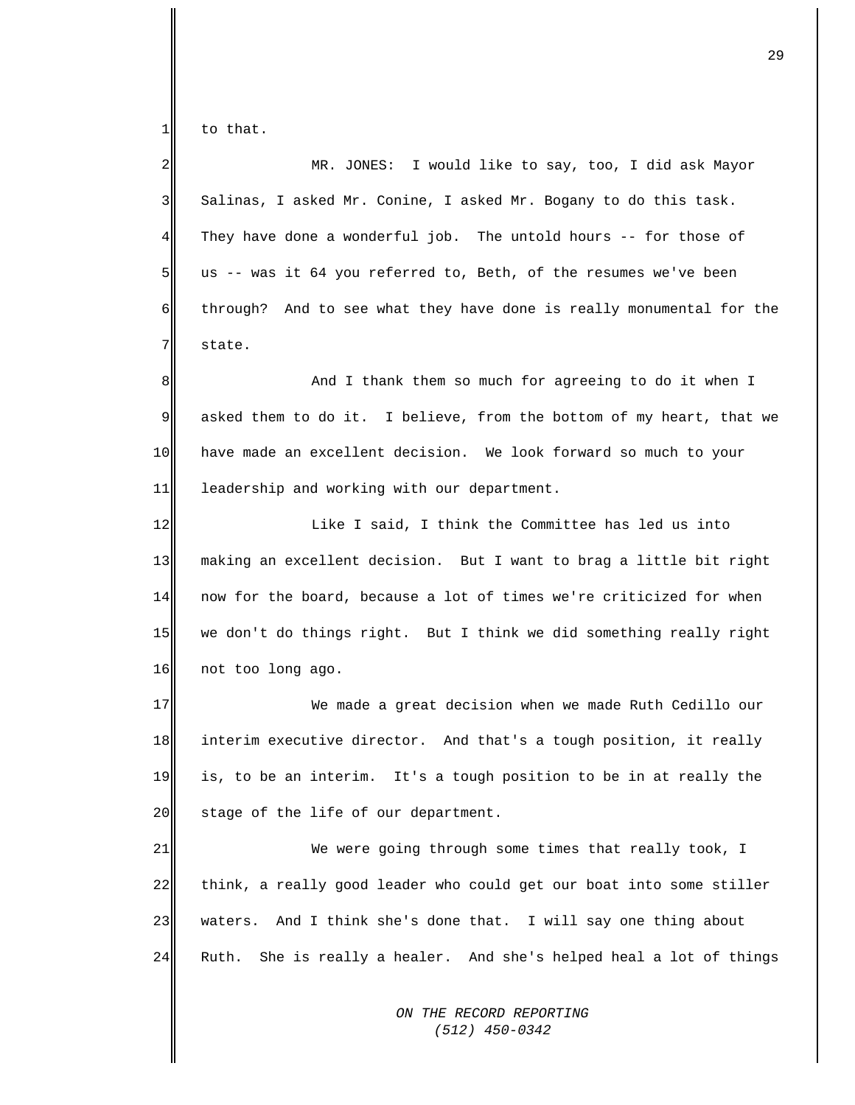1 to that.

 $2\parallel$ 3 4 5 6 7 MR. JONES: I would like to say, too, I did ask Mayor Salinas, I asked Mr. Conine, I asked Mr. Bogany to do this task. They have done a wonderful job. The untold hours -- for those of us -- was it 64 you referred to, Beth, of the resumes we've been through? And to see what they have done is really monumental for the state.

8 9 10 11 And I thank them so much for agreeing to do it when I asked them to do it. I believe, from the bottom of my heart, that we have made an excellent decision. We look forward so much to your leadership and working with our department.

12 13 14 15 16 Like I said, I think the Committee has led us into making an excellent decision. But I want to brag a little bit right now for the board, because a lot of times we're criticized for when we don't do things right. But I think we did something really right not too long ago.

17 18 19 20 We made a great decision when we made Ruth Cedillo our interim executive director. And that's a tough position, it really is, to be an interim. It's a tough position to be in at really the stage of the life of our department.

21 22 23 24 We were going through some times that really took, I think, a really good leader who could get our boat into some stiller waters. And I think she's done that. I will say one thing about Ruth. She is really a healer. And she's helped heal a lot of things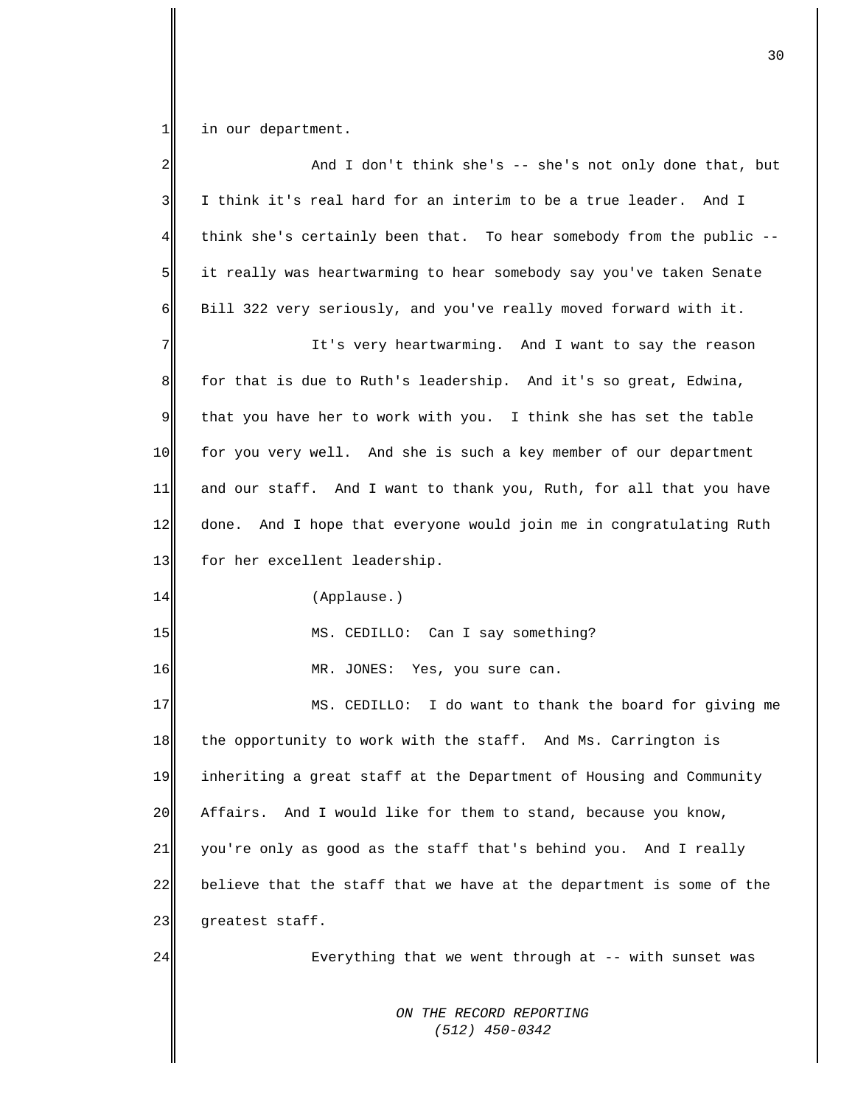$\frac{1}{\sqrt{2}}$ in our department.

| 2           | And I don't think she's $-$ she's not only done that, but              |
|-------------|------------------------------------------------------------------------|
| 3           | I think it's real hard for an interim to be a true leader. And I       |
| 4           | think she's certainly been that. To hear somebody from the public --   |
| 5           | it really was heartwarming to hear somebody say you've taken Senate    |
| 6           | Bill 322 very seriously, and you've really moved forward with it.      |
| 7           | It's very heartwarming. And I want to say the reason                   |
| 8           | for that is due to Ruth's leadership. And it's so great, Edwina,       |
| $\mathsf 9$ | that you have her to work with you. I think she has set the table      |
| 10          | for you very well. And she is such a key member of our department      |
| 11          | and our staff. And I want to thank you, Ruth, for all that you have    |
| 12          | And I hope that everyone would join me in congratulating Ruth<br>done. |
| 13          | for her excellent leadership.                                          |
| 14          | (Applause.)                                                            |
| 15          | MS. CEDILLO: Can I say something?                                      |
| 16          | MR. JONES: Yes, you sure can.                                          |
| $17$        | MS. CEDILLO: I do want to thank the board for giving me                |
| 18          | the opportunity to work with the staff. And Ms. Carrington is          |
| 19          | inheriting a great staff at the Department of Housing and Community    |
| 20          | And I would like for them to stand, because you know,<br>Affairs.      |
| 21          | you're only as good as the staff that's behind you. And I really       |
| 22          | believe that the staff that we have at the department is some of the   |
| 23          | greatest staff.                                                        |
| 24          | Everything that we went through at -- with sunset was                  |
|             | ON THE RECORD REPORTING<br>$(512)$ 450-0342                            |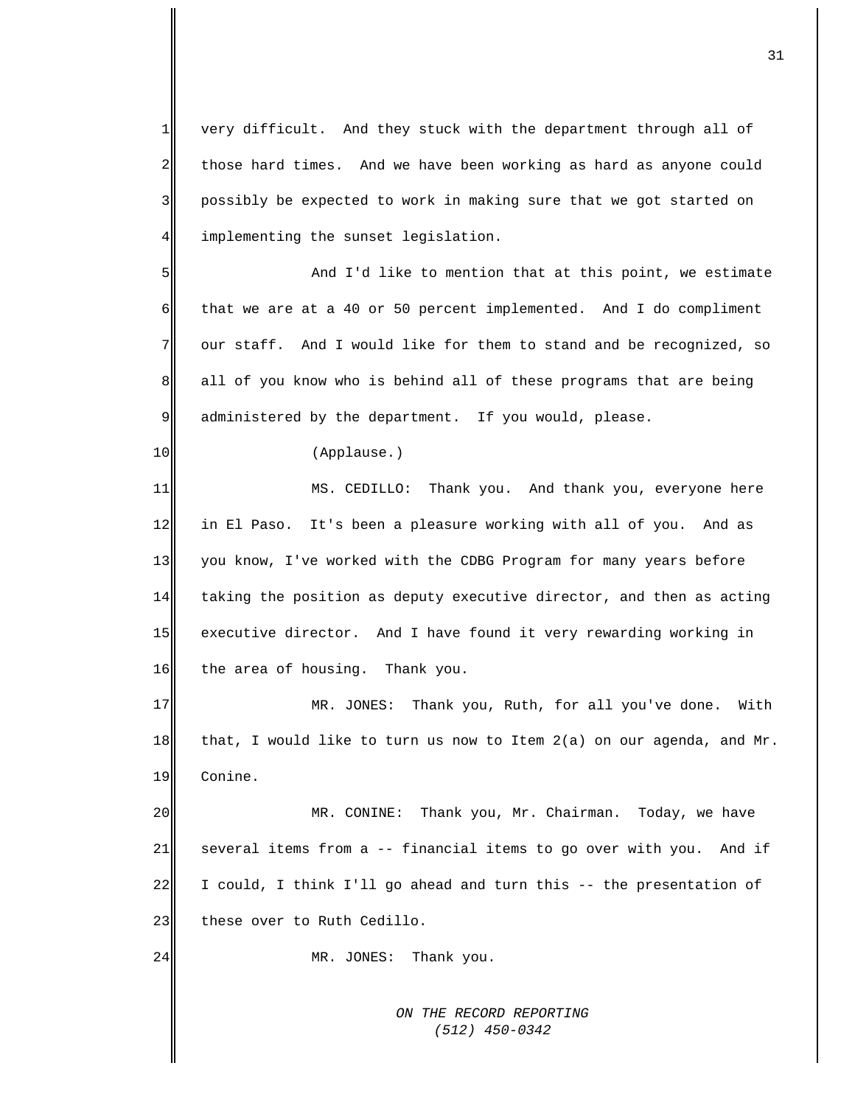1 2 3 4 very difficult. And they stuck with the department through all of those hard times. And we have been working as hard as anyone could possibly be expected to work in making sure that we got started on implementing the sunset legislation.

5 6 7 8 9 And I'd like to mention that at this point, we estimate that we are at a 40 or 50 percent implemented. And I do compliment our staff. And I would like for them to stand and be recognized, so all of you know who is behind all of these programs that are being administered by the department. If you would, please.

(Applause.)

10

24

11 12 13 14 15 16 MS. CEDILLO: Thank you. And thank you, everyone here in El Paso. It's been a pleasure working with all of you. And as you know, I've worked with the CDBG Program for many years before taking the position as deputy executive director, and then as acting executive director. And I have found it very rewarding working in the area of housing. Thank you.

17 18 19 MR. JONES: Thank you, Ruth, for all you've done. With that, I would like to turn us now to Item 2(a) on our agenda, and Mr. Conine.

20 21 22 23 MR. CONINE: Thank you, Mr. Chairman. Today, we have several items from a -- financial items to go over with you. And if I could, I think I'll go ahead and turn this -- the presentation of these over to Ruth Cedillo.

MR. JONES: Thank you.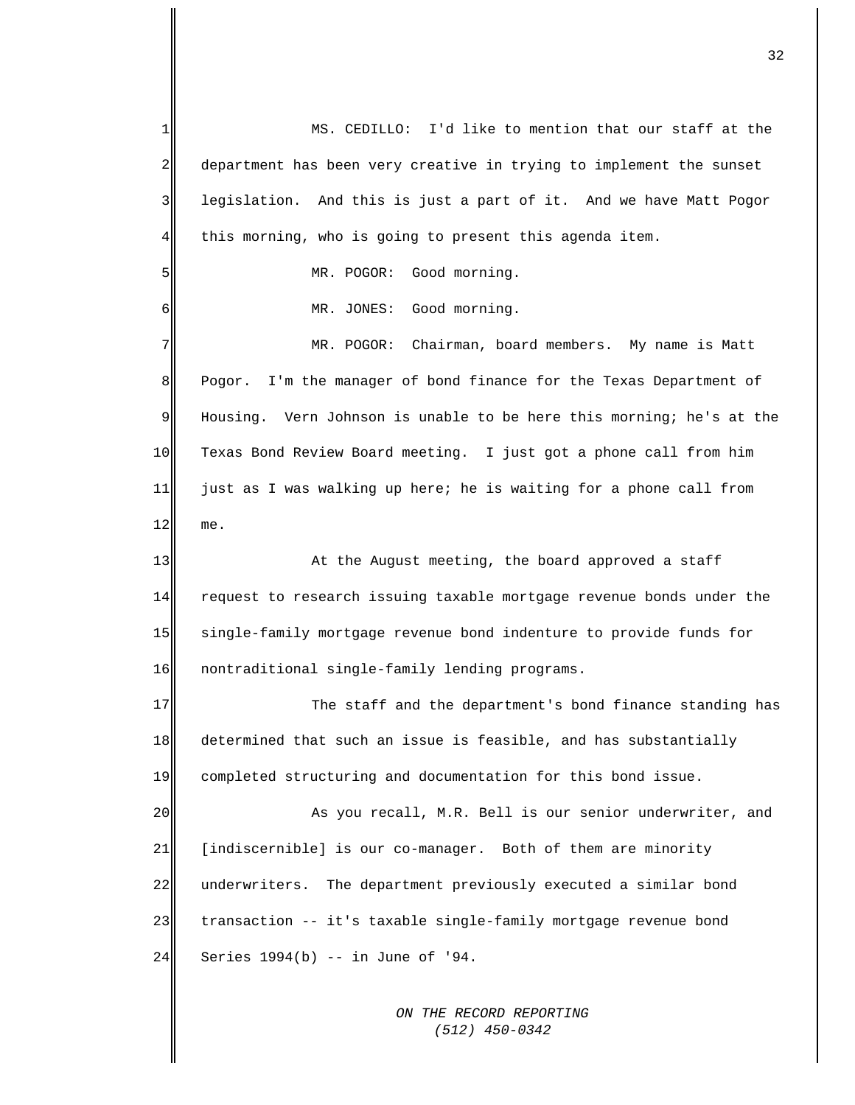1  $\overline{2}$ 3 4 5 6 7 8 9 10 11 12 13 14 15 16 17 18 19 20 21 22 23 24 MS. CEDILLO: I'd like to mention that our staff at the department has been very creative in trying to implement the sunset legislation. And this is just a part of it. And we have Matt Pogor this morning, who is going to present this agenda item. MR. POGOR: Good morning. MR. JONES: Good morning. MR. POGOR: Chairman, board members. My name is Matt Pogor. I'm the manager of bond finance for the Texas Department of Housing. Vern Johnson is unable to be here this morning; he's at the Texas Bond Review Board meeting. I just got a phone call from him just as I was walking up here; he is waiting for a phone call from me. At the August meeting, the board approved a staff request to research issuing taxable mortgage revenue bonds under the single-family mortgage revenue bond indenture to provide funds for nontraditional single-family lending programs. The staff and the department's bond finance standing has determined that such an issue is feasible, and has substantially completed structuring and documentation for this bond issue. As you recall, M.R. Bell is our senior underwriter, and [indiscernible] is our co-manager. Both of them are minority underwriters. The department previously executed a similar bond transaction -- it's taxable single-family mortgage revenue bond Series 1994(b) -- in June of '94.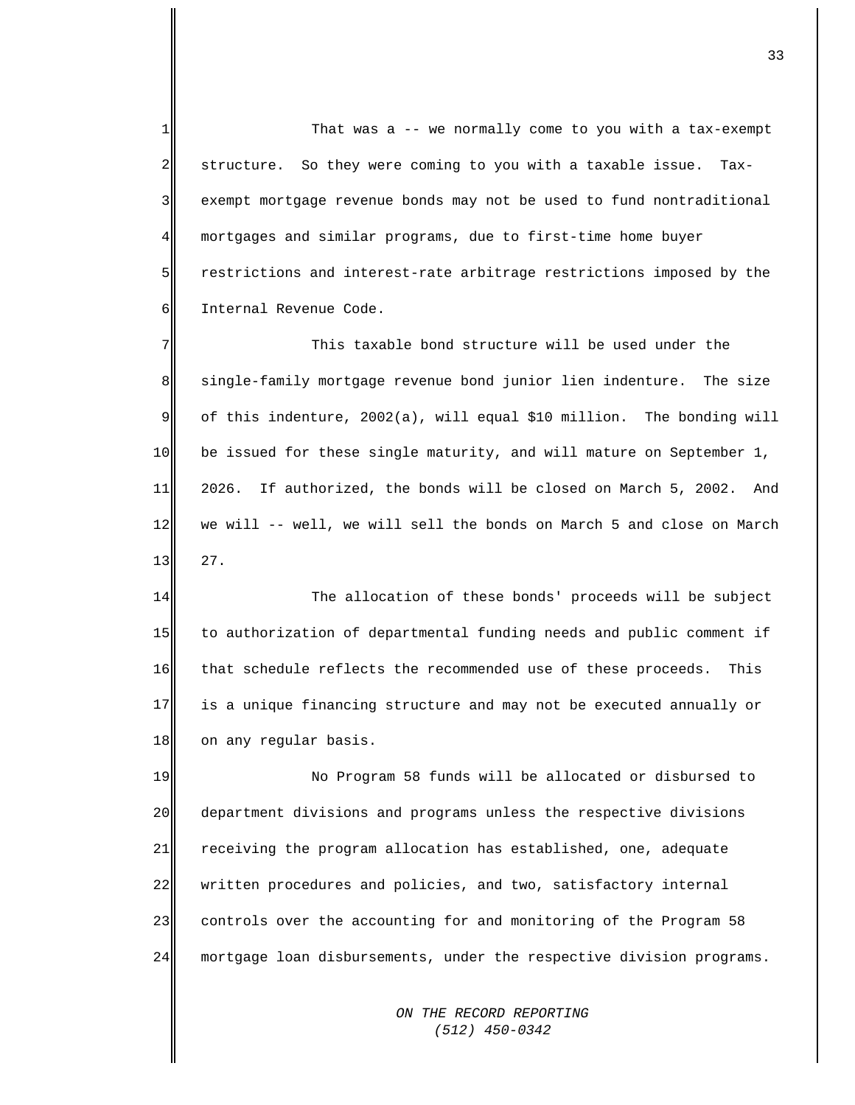1  $\overline{2}$ 3 4 5 6 That was a -- we normally come to you with a tax-exempt structure. So they were coming to you with a taxable issue. Taxexempt mortgage revenue bonds may not be used to fund nontraditional mortgages and similar programs, due to first-time home buyer restrictions and interest-rate arbitrage restrictions imposed by the Internal Revenue Code.

7 8 9 10 11 12 13 This taxable bond structure will be used under the single-family mortgage revenue bond junior lien indenture. The size of this indenture, 2002(a), will equal \$10 million. The bonding will be issued for these single maturity, and will mature on September 1, 2026. If authorized, the bonds will be closed on March 5, 2002. And we will -- well, we will sell the bonds on March 5 and close on March 27.

14 15 16 17 18 The allocation of these bonds' proceeds will be subject to authorization of departmental funding needs and public comment if that schedule reflects the recommended use of these proceeds. This is a unique financing structure and may not be executed annually or on any regular basis.

19 20 21 22 23 24 No Program 58 funds will be allocated or disbursed to department divisions and programs unless the respective divisions receiving the program allocation has established, one, adequate written procedures and policies, and two, satisfactory internal controls over the accounting for and monitoring of the Program 58 mortgage loan disbursements, under the respective division programs.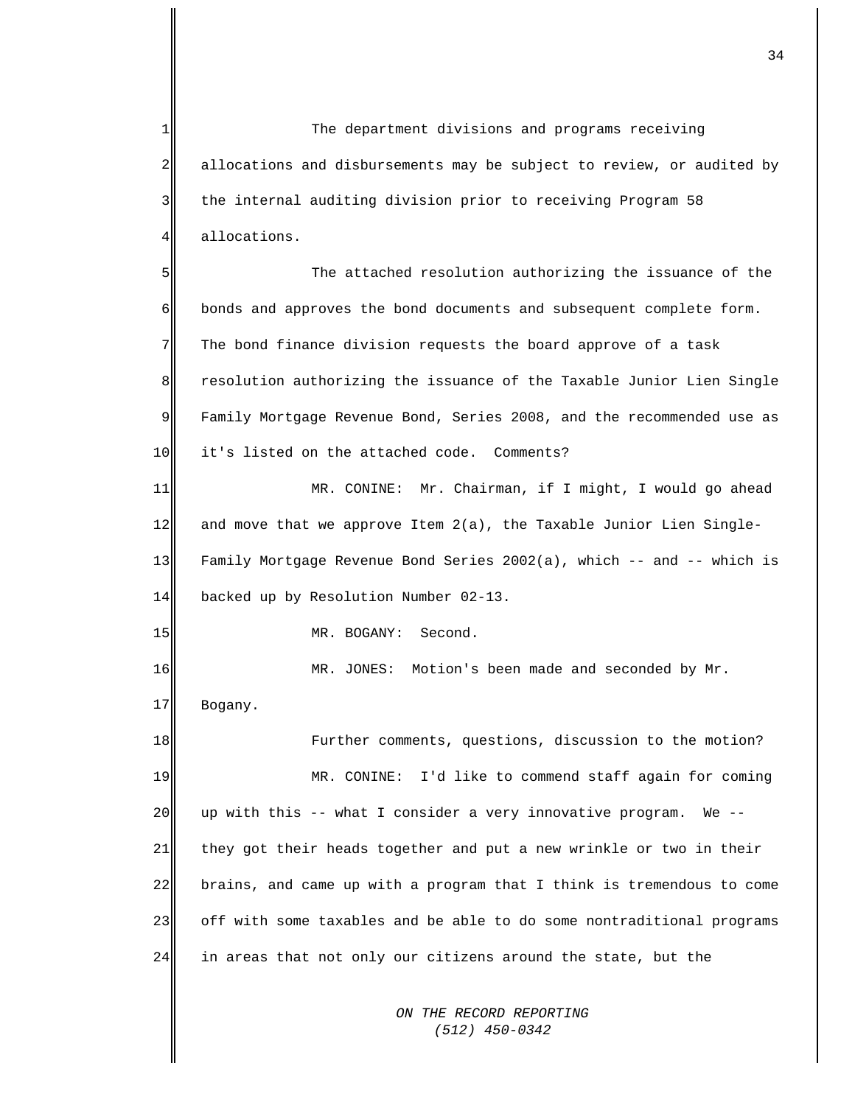*ON THE RECORD REPORTING*  1  $\overline{2}$ 3 4 5 6 7 8 9 10 11 12 13 14 15 16 17 18 19 20 21 22 23 24 The department divisions and programs receiving allocations and disbursements may be subject to review, or audited by the internal auditing division prior to receiving Program 58 allocations. The attached resolution authorizing the issuance of the bonds and approves the bond documents and subsequent complete form. The bond finance division requests the board approve of a task resolution authorizing the issuance of the Taxable Junior Lien Single Family Mortgage Revenue Bond, Series 2008, and the recommended use as it's listed on the attached code. Comments? MR. CONINE: Mr. Chairman, if I might, I would go ahead and move that we approve Item  $2(a)$ , the Taxable Junior Lien Single-Family Mortgage Revenue Bond Series 2002(a), which -- and -- which is backed up by Resolution Number 02-13. MR. BOGANY: Second. MR. JONES: Motion's been made and seconded by Mr. Bogany. Further comments, questions, discussion to the motion? MR. CONINE: I'd like to commend staff again for coming up with this -- what I consider a very innovative program. We - they got their heads together and put a new wrinkle or two in their brains, and came up with a program that I think is tremendous to come off with some taxables and be able to do some nontraditional programs in areas that not only our citizens around the state, but the

 *(512) 450-0342*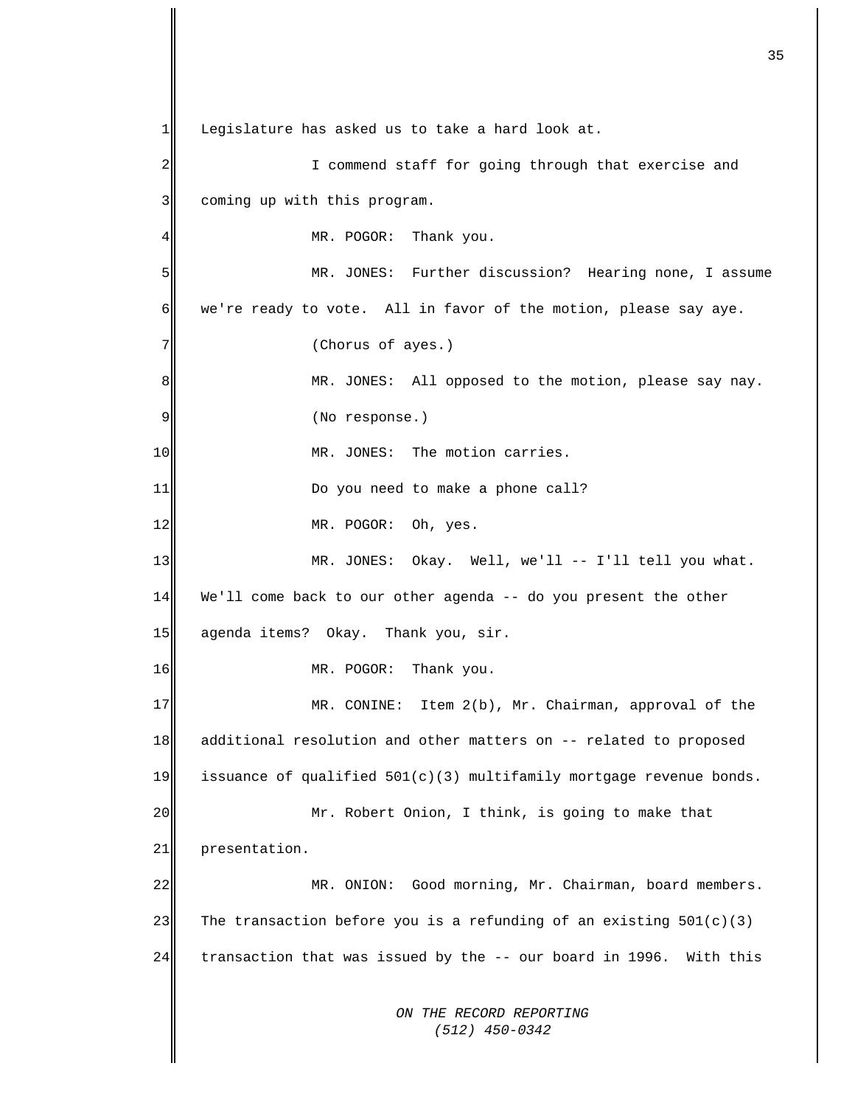*ON THE RECORD REPORTING (512) 450-0342*  $1$ 2 3 4 5 6 7 8 9 10 11 12 13 14 15 16 17 18 19 20 21 22 23 24 Legislature has asked us to take a hard look at. I commend staff for going through that exercise and coming up with this program. MR. POGOR: Thank you. MR. JONES: Further discussion? Hearing none, I assume we're ready to vote. All in favor of the motion, please say aye. (Chorus of ayes.) MR. JONES: All opposed to the motion, please say nay. (No response.) MR. JONES: The motion carries. Do you need to make a phone call? MR. POGOR: Oh, yes. MR. JONES: Okay. Well, we'll -- I'll tell you what. We'll come back to our other agenda -- do you present the other agenda items? Okay. Thank you, sir. MR. POGOR: Thank you. MR. CONINE: Item 2(b), Mr. Chairman, approval of the additional resolution and other matters on -- related to proposed issuance of qualified  $501(c)(3)$  multifamily mortgage revenue bonds. Mr. Robert Onion, I think, is going to make that presentation. MR. ONION: Good morning, Mr. Chairman, board members. The transaction before you is a refunding of an existing  $501(c)(3)$ transaction that was issued by the -- our board in 1996. With this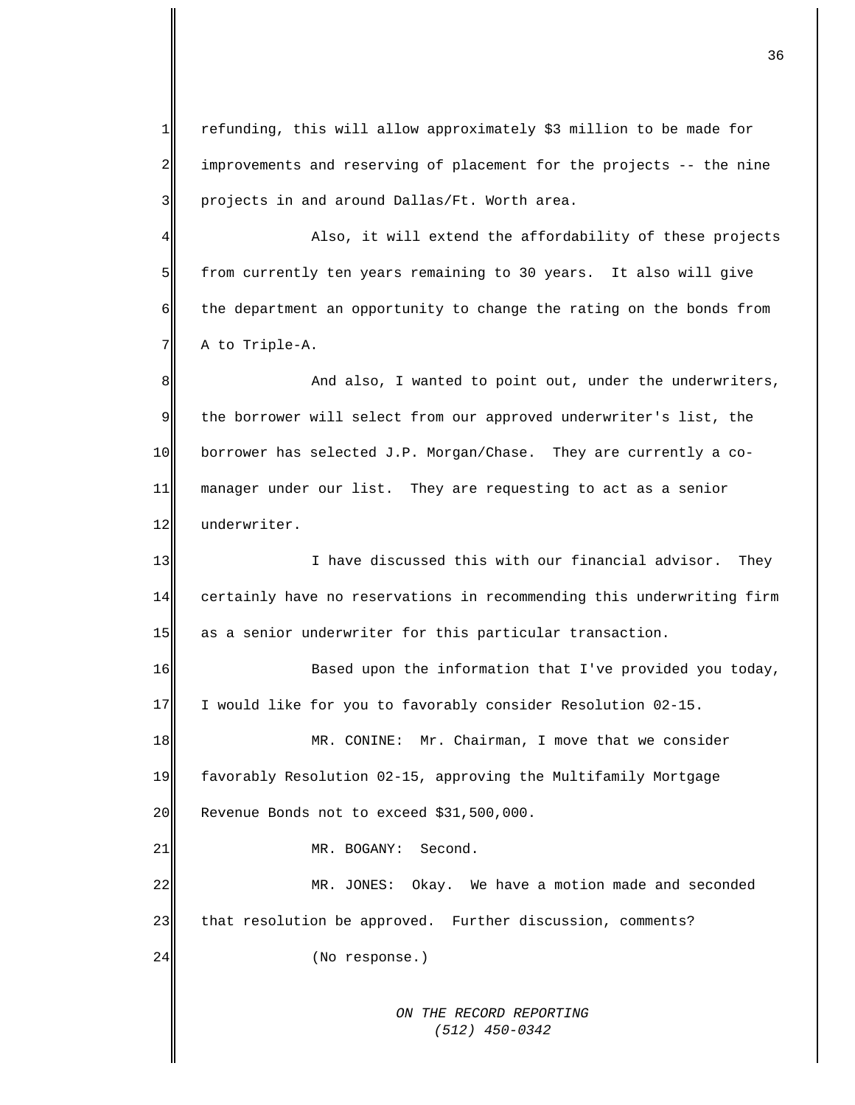*ON THE RECORD REPORTING (512) 450-0342*  $1$ 2 3 4 5 6 7 8 9 10 11 12 13 14 15 16 17 18 19 20 21 22 23 24 refunding, this will allow approximately \$3 million to be made for improvements and reserving of placement for the projects -- the nine projects in and around Dallas/Ft. Worth area. Also, it will extend the affordability of these projects from currently ten years remaining to 30 years. It also will give the department an opportunity to change the rating on the bonds from A to Triple-A. And also, I wanted to point out, under the underwriters, the borrower will select from our approved underwriter's list, the borrower has selected J.P. Morgan/Chase. They are currently a comanager under our list. They are requesting to act as a senior underwriter. I have discussed this with our financial advisor. They certainly have no reservations in recommending this underwriting firm as a senior underwriter for this particular transaction. Based upon the information that I've provided you today, I would like for you to favorably consider Resolution 02-15. MR. CONINE: Mr. Chairman, I move that we consider favorably Resolution 02-15, approving the Multifamily Mortgage Revenue Bonds not to exceed \$31,500,000. MR. BOGANY: Second. MR. JONES: Okay. We have a motion made and seconded that resolution be approved. Further discussion, comments? (No response.)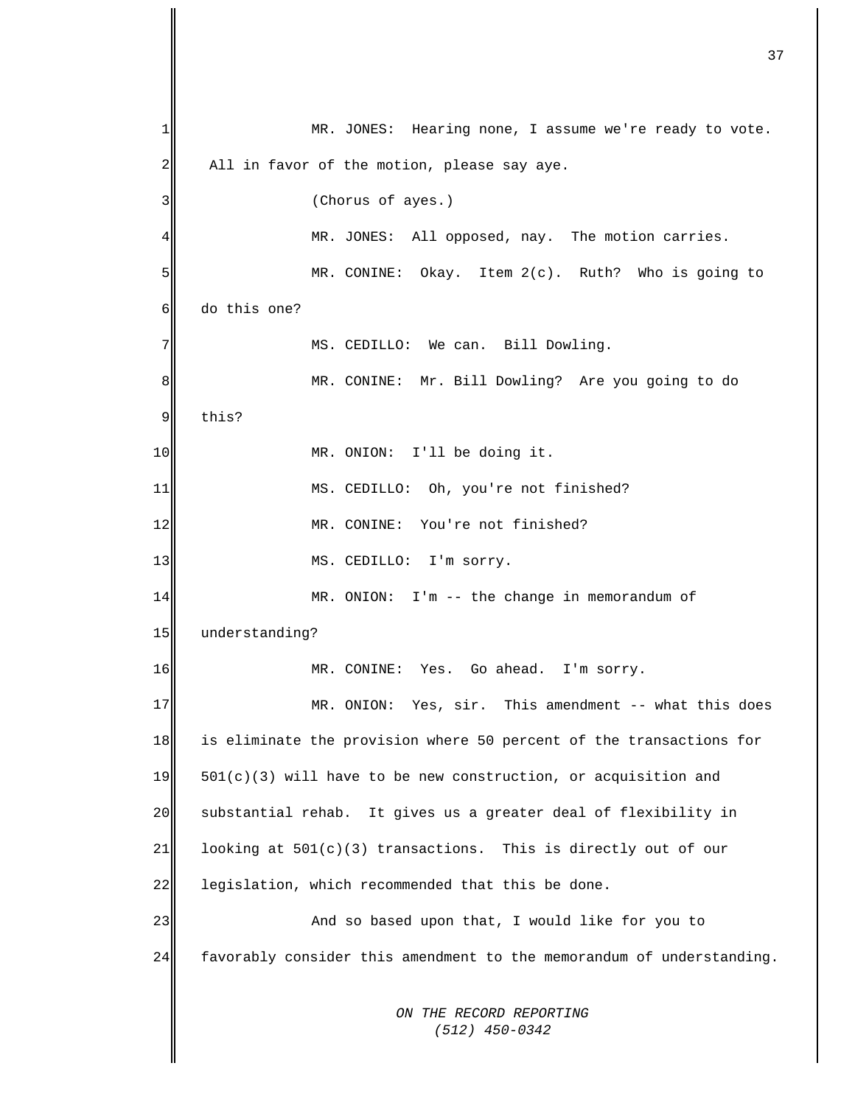*ON THE RECORD REPORTING (512) 450-0342* 1 2 3 4 5 6 7 8 9 10 11 12 13 14 15 16 17 18 19 20 21 22 23 24 MR. JONES: Hearing none, I assume we're ready to vote. All in favor of the motion, please say aye. (Chorus of ayes.) MR. JONES: All opposed, nay. The motion carries. MR. CONINE: Okay. Item 2(c). Ruth? Who is going to do this one? MS. CEDILLO: We can. Bill Dowling. MR. CONINE: Mr. Bill Dowling? Are you going to do this? MR. ONION: I'll be doing it. MS. CEDILLO: Oh, you're not finished? MR. CONINE: You're not finished? MS. CEDILLO: I'm sorry. MR. ONION: I'm -- the change in memorandum of understanding? MR. CONINE: Yes. Go ahead. I'm sorry. MR. ONION: Yes, sir. This amendment -- what this does is eliminate the provision where 50 percent of the transactions for  $501(c)(3)$  will have to be new construction, or acquisition and substantial rehab. It gives us a greater deal of flexibility in looking at 501(c)(3) transactions. This is directly out of our legislation, which recommended that this be done. And so based upon that, I would like for you to favorably consider this amendment to the memorandum of understanding.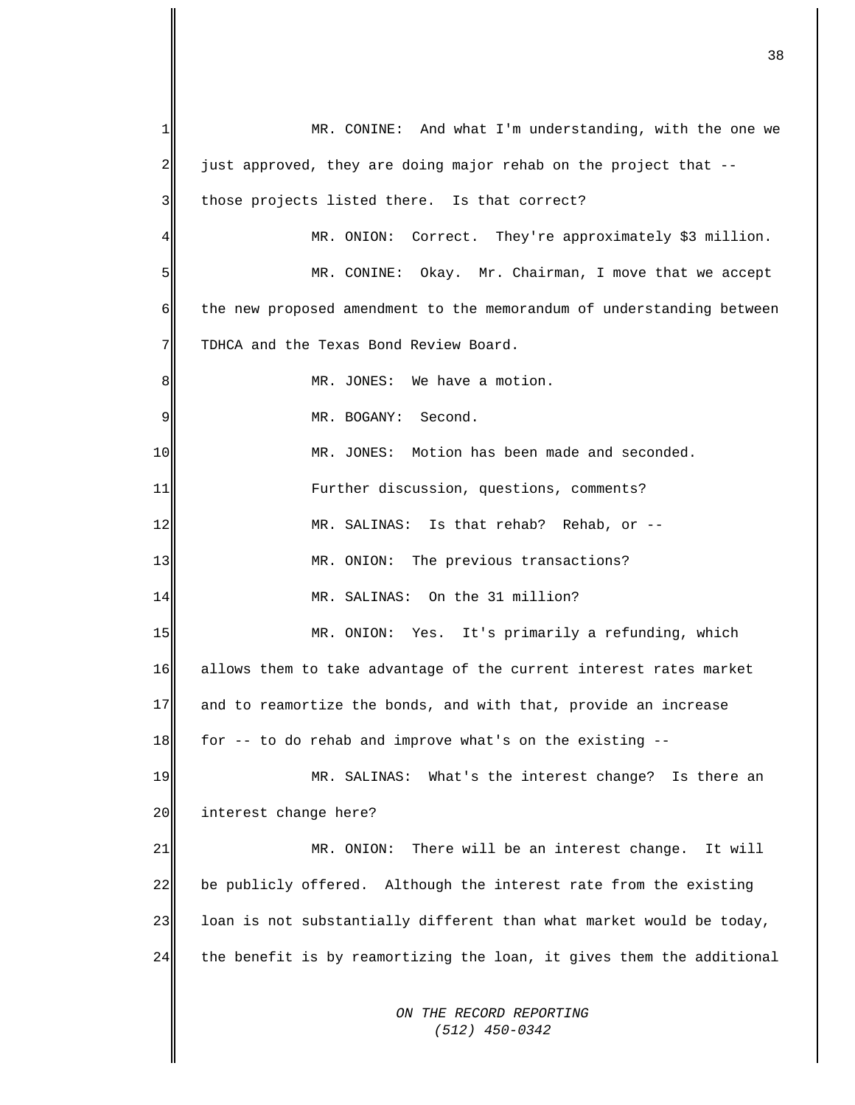*ON THE RECORD REPORTING (512) 450-0342* 1  $\overline{2}$ 3 4 5 6 7 8 9 10 11 12 13 14 15 16 17 18 19 20 21 22 23 24 MR. CONINE: And what I'm understanding, with the one we just approved, they are doing major rehab on the project that - those projects listed there. Is that correct? MR. ONION: Correct. They're approximately \$3 million. MR. CONINE: Okay. Mr. Chairman, I move that we accept the new proposed amendment to the memorandum of understanding between TDHCA and the Texas Bond Review Board. MR. JONES: We have a motion. MR. BOGANY: Second. MR. JONES: Motion has been made and seconded. Further discussion, questions, comments? MR. SALINAS: Is that rehab? Rehab, or -- MR. ONION: The previous transactions? MR. SALINAS: On the 31 million? MR. ONION: Yes. It's primarily a refunding, which allows them to take advantage of the current interest rates market and to reamortize the bonds, and with that, provide an increase for -- to do rehab and improve what's on the existing -- MR. SALINAS: What's the interest change? Is there an interest change here? MR. ONION: There will be an interest change. It will be publicly offered. Although the interest rate from the existing loan is not substantially different than what market would be today, the benefit is by reamortizing the loan, it gives them the additional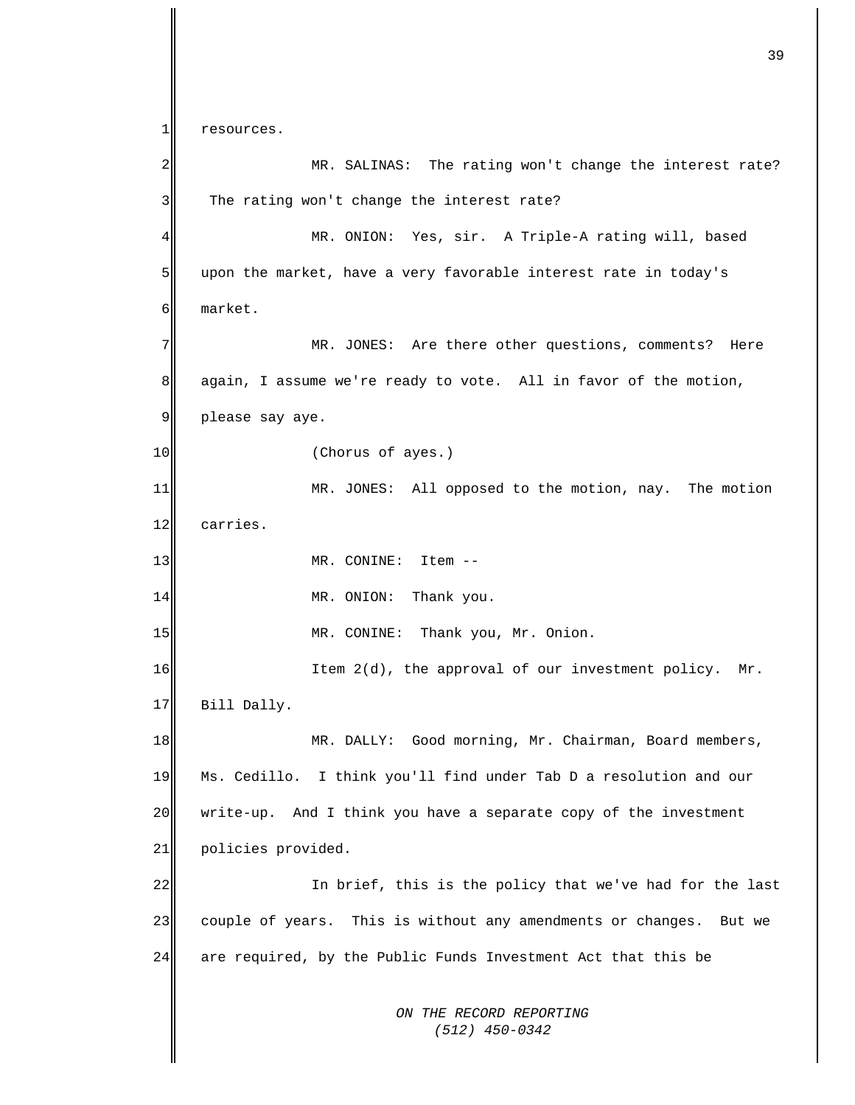*ON THE RECORD REPORTING (512) 450-0342* 1 2 3 4 5 6 7 8 9 10 11 12 13 14 15 16 17 18 19 20 21 22 23 24 resources. MR. SALINAS: The rating won't change the interest rate? The rating won't change the interest rate? MR. ONION: Yes, sir. A Triple-A rating will, based upon the market, have a very favorable interest rate in today's market. MR. JONES: Are there other questions, comments? Here again, I assume we're ready to vote. All in favor of the motion, please say aye. (Chorus of ayes.) MR. JONES: All opposed to the motion, nay. The motion carries. MR. CONINE: Item -- MR. ONION: Thank you. MR. CONINE: Thank you, Mr. Onion. Item  $2(d)$ , the approval of our investment policy. Mr. Bill Dally. MR. DALLY: Good morning, Mr. Chairman, Board members, Ms. Cedillo. I think you'll find under Tab D a resolution and our write-up. And I think you have a separate copy of the investment policies provided. In brief, this is the policy that we've had for the last couple of years. This is without any amendments or changes. But we are required, by the Public Funds Investment Act that this be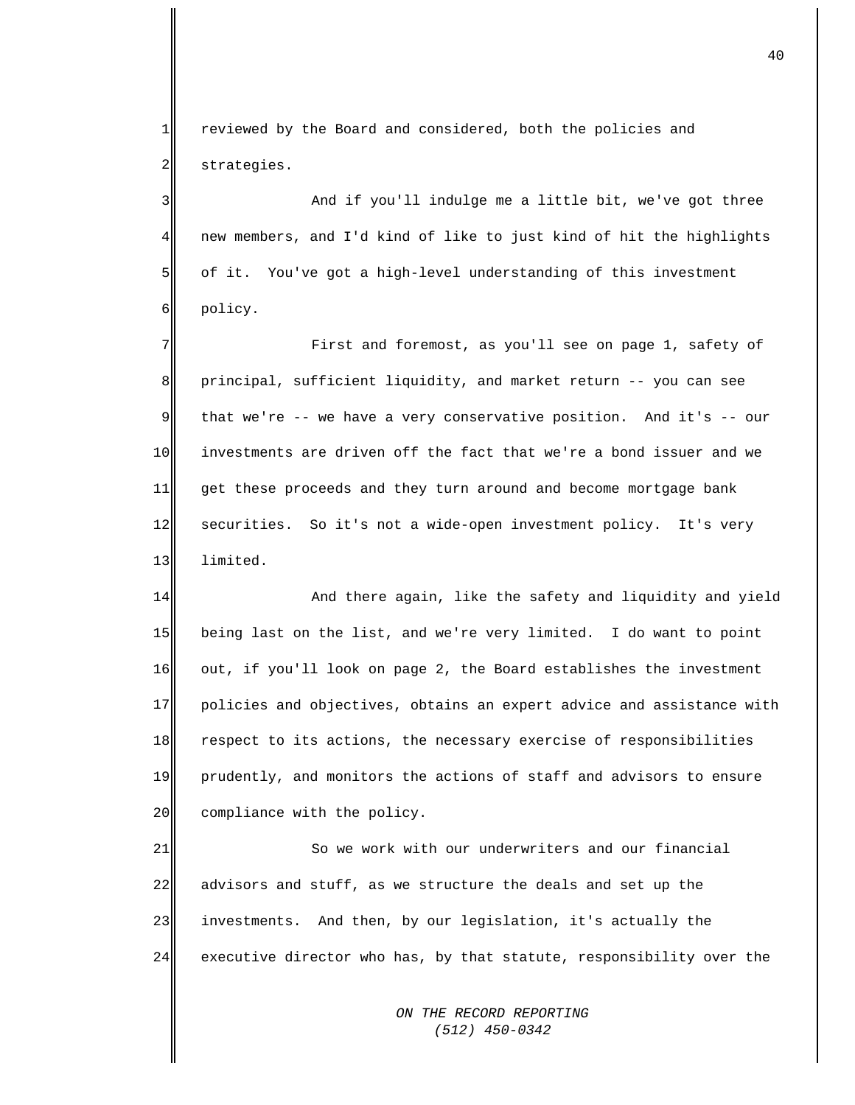$1$ 2 reviewed by the Board and considered, both the policies and strategies.

3 4 5 6 And if you'll indulge me a little bit, we've got three new members, and I'd kind of like to just kind of hit the highlights of it. You've got a high-level understanding of this investment policy.

7 8 9 10 11 12 13 First and foremost, as you'll see on page 1, safety of principal, sufficient liquidity, and market return -- you can see that we're -- we have a very conservative position. And it's -- our investments are driven off the fact that we're a bond issuer and we get these proceeds and they turn around and become mortgage bank securities. So it's not a wide-open investment policy. It's very limited.

14 15 16 17 18 19 20 And there again, like the safety and liquidity and yield being last on the list, and we're very limited. I do want to point out, if you'll look on page 2, the Board establishes the investment policies and objectives, obtains an expert advice and assistance with respect to its actions, the necessary exercise of responsibilities prudently, and monitors the actions of staff and advisors to ensure compliance with the policy.

21 22 23 24 So we work with our underwriters and our financial advisors and stuff, as we structure the deals and set up the investments. And then, by our legislation, it's actually the executive director who has, by that statute, responsibility over the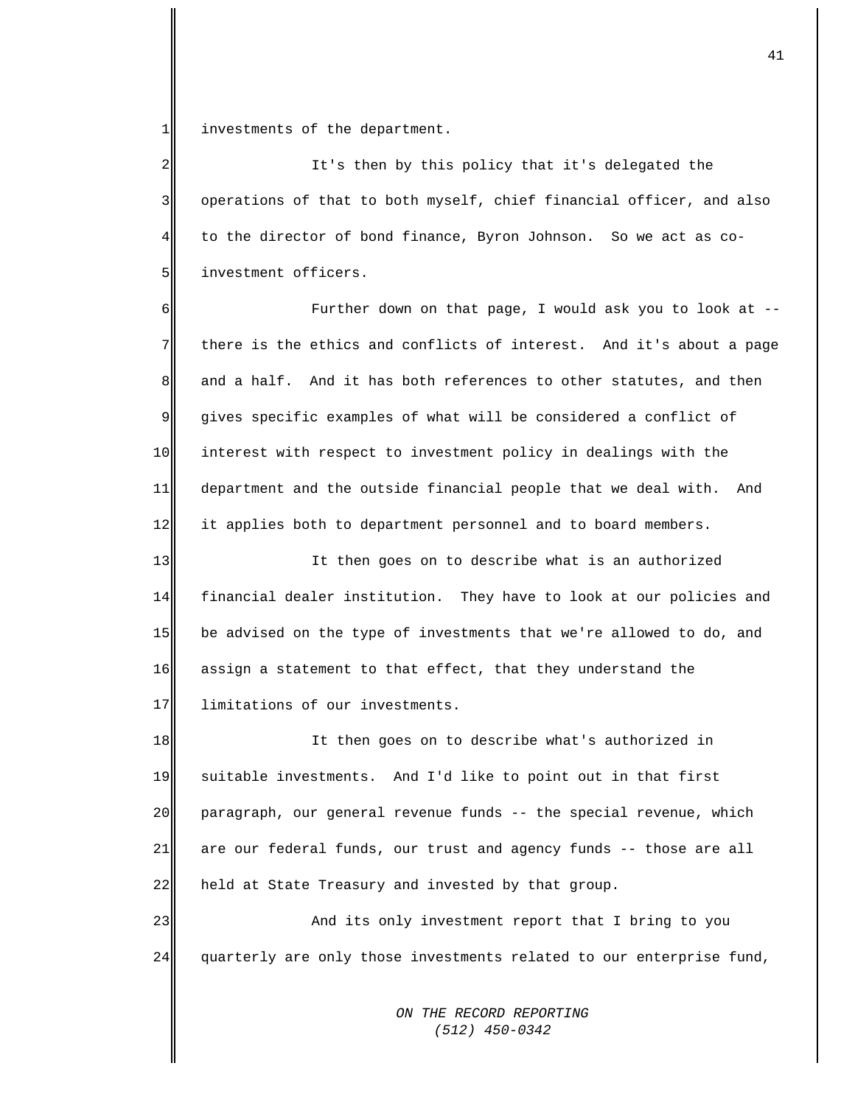1 investments of the department.

 $2\parallel$ 3 4 5 It's then by this policy that it's delegated the operations of that to both myself, chief financial officer, and also to the director of bond finance, Byron Johnson. So we act as coinvestment officers.

6 7 8 9 10 11 12 Further down on that page, I would ask you to look at - there is the ethics and conflicts of interest. And it's about a page and a half. And it has both references to other statutes, and then gives specific examples of what will be considered a conflict of interest with respect to investment policy in dealings with the department and the outside financial people that we deal with. And it applies both to department personnel and to board members.

13 14 15 16 17 It then goes on to describe what is an authorized financial dealer institution. They have to look at our policies and be advised on the type of investments that we're allowed to do, and assign a statement to that effect, that they understand the limitations of our investments.

18 19 20 21 22 It then goes on to describe what's authorized in suitable investments. And I'd like to point out in that first paragraph, our general revenue funds -- the special revenue, which are our federal funds, our trust and agency funds -- those are all held at State Treasury and invested by that group.

23 24 And its only investment report that I bring to you quarterly are only those investments related to our enterprise fund,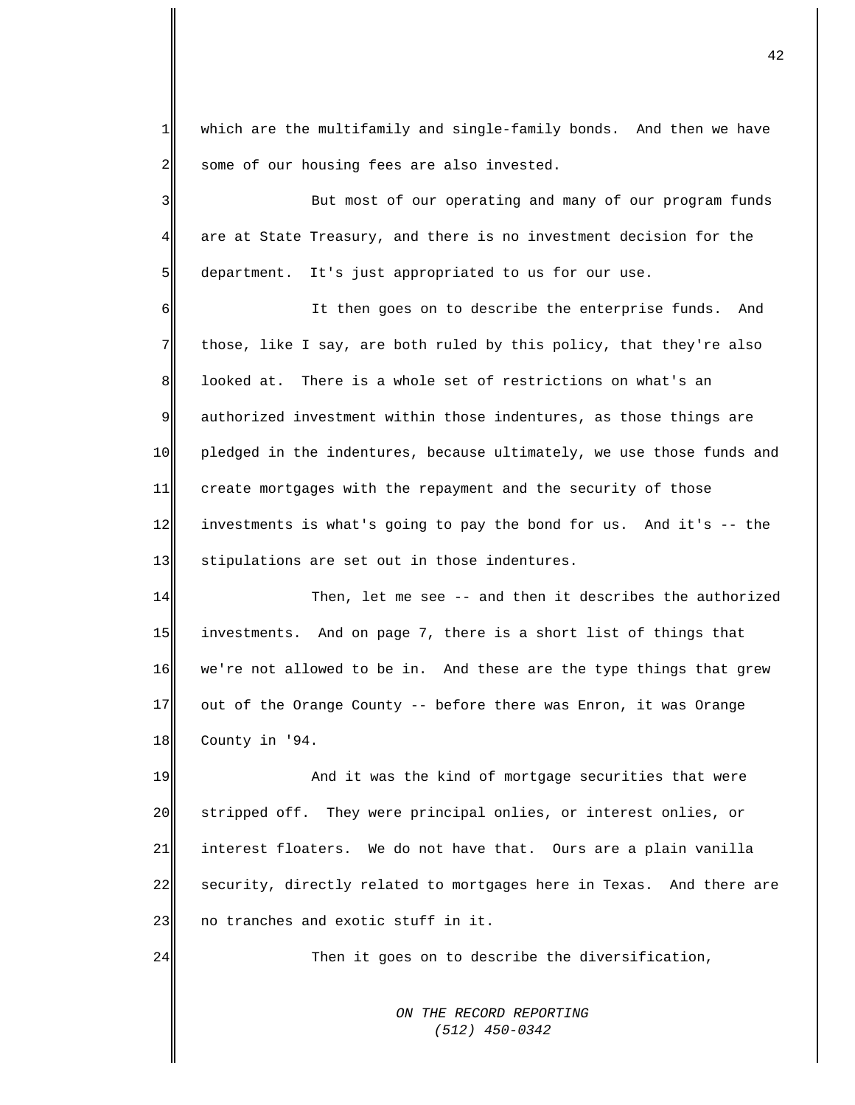$1$ 2 which are the multifamily and single-family bonds. And then we have some of our housing fees are also invested.

3 4 5 But most of our operating and many of our program funds are at State Treasury, and there is no investment decision for the department. It's just appropriated to us for our use.

6 7 8 9 10 11 12 13 It then goes on to describe the enterprise funds. And those, like I say, are both ruled by this policy, that they're also looked at. There is a whole set of restrictions on what's an authorized investment within those indentures, as those things are pledged in the indentures, because ultimately, we use those funds and create mortgages with the repayment and the security of those investments is what's going to pay the bond for us. And it's -- the stipulations are set out in those indentures.

14 15 16 17 18 Then, let me see -- and then it describes the authorized investments. And on page 7, there is a short list of things that we're not allowed to be in. And these are the type things that grew out of the Orange County -- before there was Enron, it was Orange County in '94.

19 20 21 22 23 And it was the kind of mortgage securities that were stripped off. They were principal onlies, or interest onlies, or interest floaters. We do not have that. Ours are a plain vanilla security, directly related to mortgages here in Texas. And there are no tranches and exotic stuff in it.

24

Then it goes on to describe the diversification,

*ON THE RECORD REPORTING (512) 450-0342*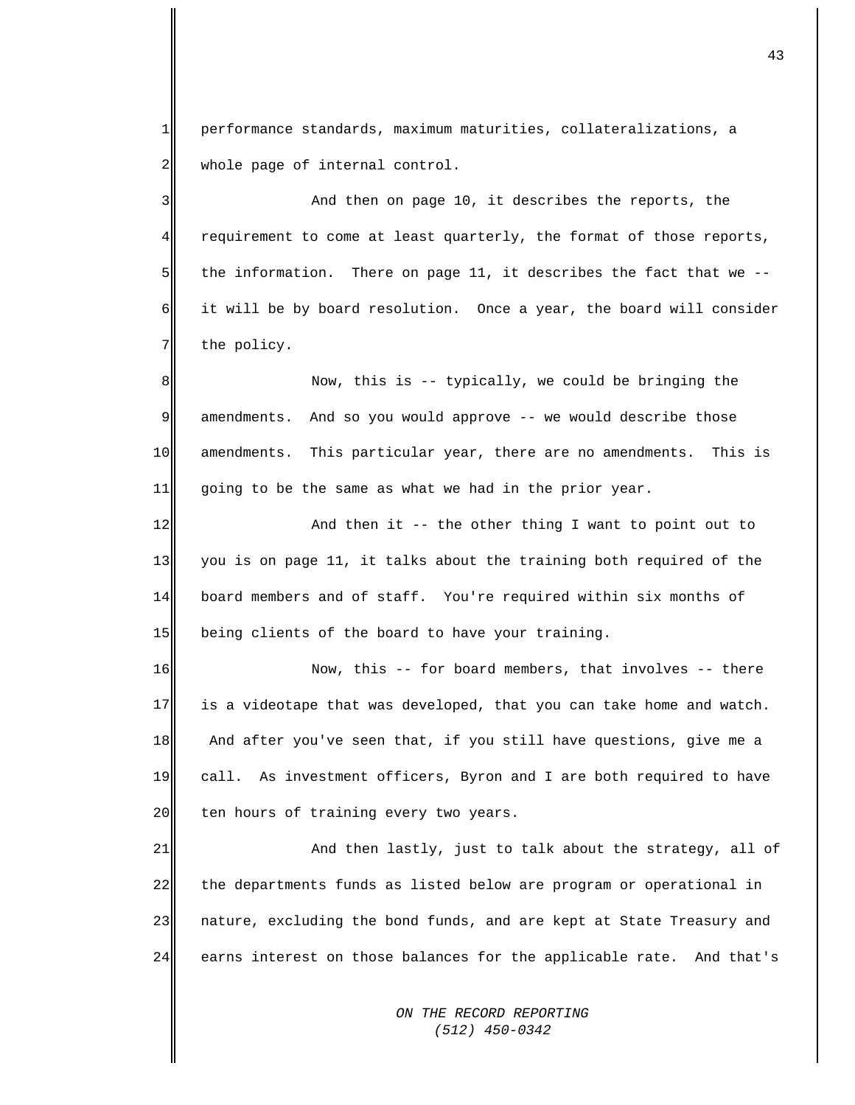1 2 performance standards, maximum maturities, collateralizations, a whole page of internal control.

3 4 5 6 7 And then on page 10, it describes the reports, the requirement to come at least quarterly, the format of those reports, the information. There on page 11, it describes the fact that we - it will be by board resolution. Once a year, the board will consider the policy.

8 9 10 11 Now, this is -- typically, we could be bringing the amendments. And so you would approve -- we would describe those amendments. This particular year, there are no amendments. This is going to be the same as what we had in the prior year.

12 13 14 15 And then it -- the other thing I want to point out to you is on page 11, it talks about the training both required of the board members and of staff. You're required within six months of being clients of the board to have your training.

16 17 18 19 20 Now, this -- for board members, that involves -- there is a videotape that was developed, that you can take home and watch. And after you've seen that, if you still have questions, give me a call. As investment officers, Byron and I are both required to have ten hours of training every two years.

21 22 23 24 And then lastly, just to talk about the strategy, all of the departments funds as listed below are program or operational in nature, excluding the bond funds, and are kept at State Treasury and earns interest on those balances for the applicable rate. And that's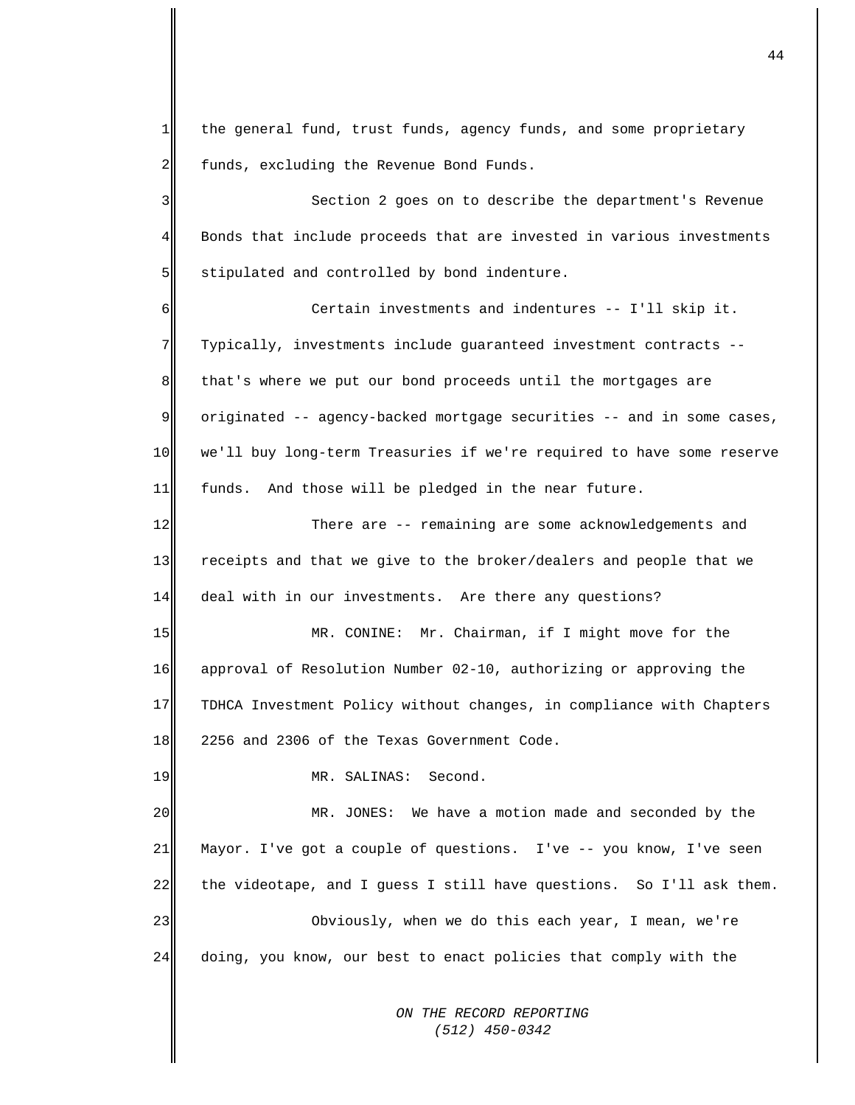1 2 the general fund, trust funds, agency funds, and some proprietary funds, excluding the Revenue Bond Funds.

3 4 5 Section 2 goes on to describe the department's Revenue Bonds that include proceeds that are invested in various investments stipulated and controlled by bond indenture.

6 7 8 9 10 11 Certain investments and indentures -- I'll skip it. Typically, investments include guaranteed investment contracts - that's where we put our bond proceeds until the mortgages are originated -- agency-backed mortgage securities -- and in some cases, we'll buy long-term Treasuries if we're required to have some reserve funds. And those will be pledged in the near future.

12 13 14 There are -- remaining are some acknowledgements and receipts and that we give to the broker/dealers and people that we deal with in our investments. Are there any questions?

15 16 17 18 MR. CONINE: Mr. Chairman, if I might move for the approval of Resolution Number 02-10, authorizing or approving the TDHCA Investment Policy without changes, in compliance with Chapters 2256 and 2306 of the Texas Government Code.

MR. SALINAS: Second.

19

20 21 22 23 24 MR. JONES: We have a motion made and seconded by the Mayor. I've got a couple of questions. I've -- you know, I've seen the videotape, and I guess I still have questions. So I'll ask them. Obviously, when we do this each year, I mean, we're doing, you know, our best to enact policies that comply with the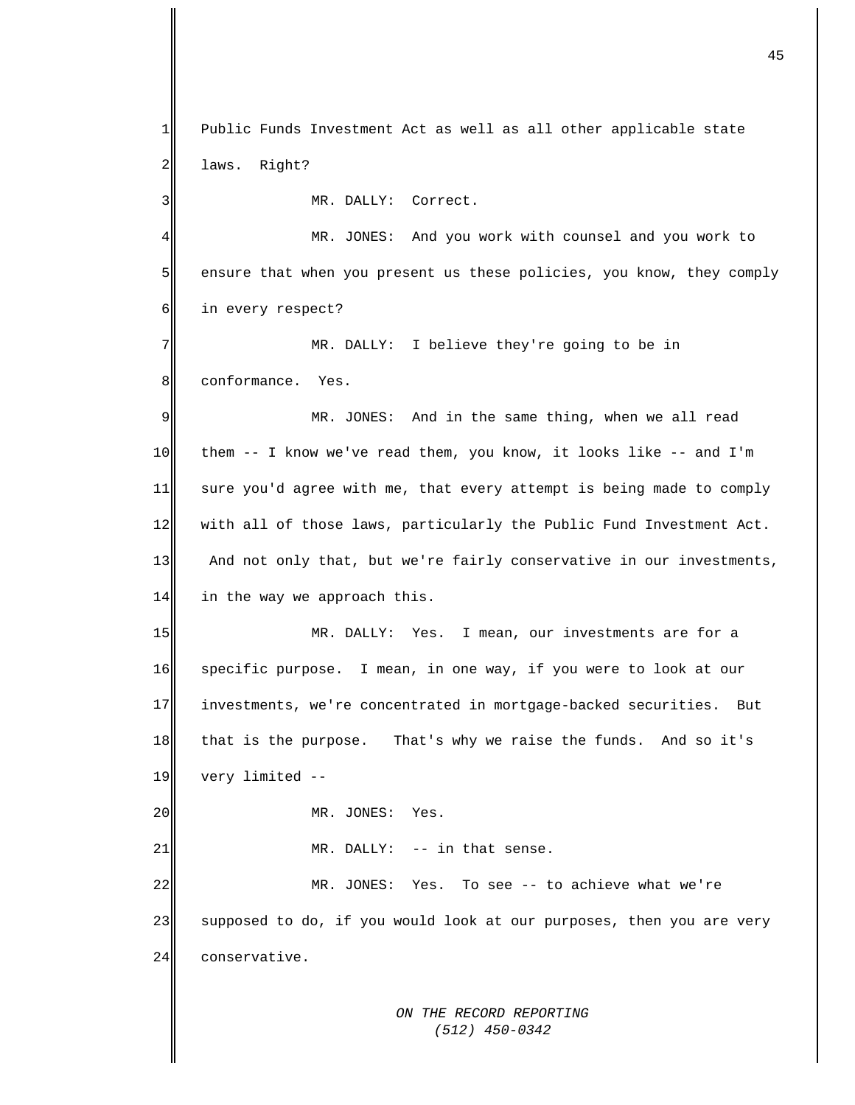*ON THE RECORD REPORTING*  1 2 3 4 5 6 7 8 9 10 11 12 13 14 15 16 17 18 19 20 21 22 23 24 Public Funds Investment Act as well as all other applicable state laws. Right? MR. DALLY: Correct. MR. JONES: And you work with counsel and you work to ensure that when you present us these policies, you know, they comply in every respect? MR. DALLY: I believe they're going to be in conformance. Yes. MR. JONES: And in the same thing, when we all read them -- I know we've read them, you know, it looks like -- and I'm sure you'd agree with me, that every attempt is being made to comply with all of those laws, particularly the Public Fund Investment Act. And not only that, but we're fairly conservative in our investments, in the way we approach this. MR. DALLY: Yes. I mean, our investments are for a specific purpose. I mean, in one way, if you were to look at our investments, we're concentrated in mortgage-backed securities. But that is the purpose. That's why we raise the funds. And so it's very limited -- MR. JONES: Yes. MR. DALLY: -- in that sense. MR. JONES: Yes. To see -- to achieve what we're supposed to do, if you would look at our purposes, then you are very conservative.

 *(512) 450-0342*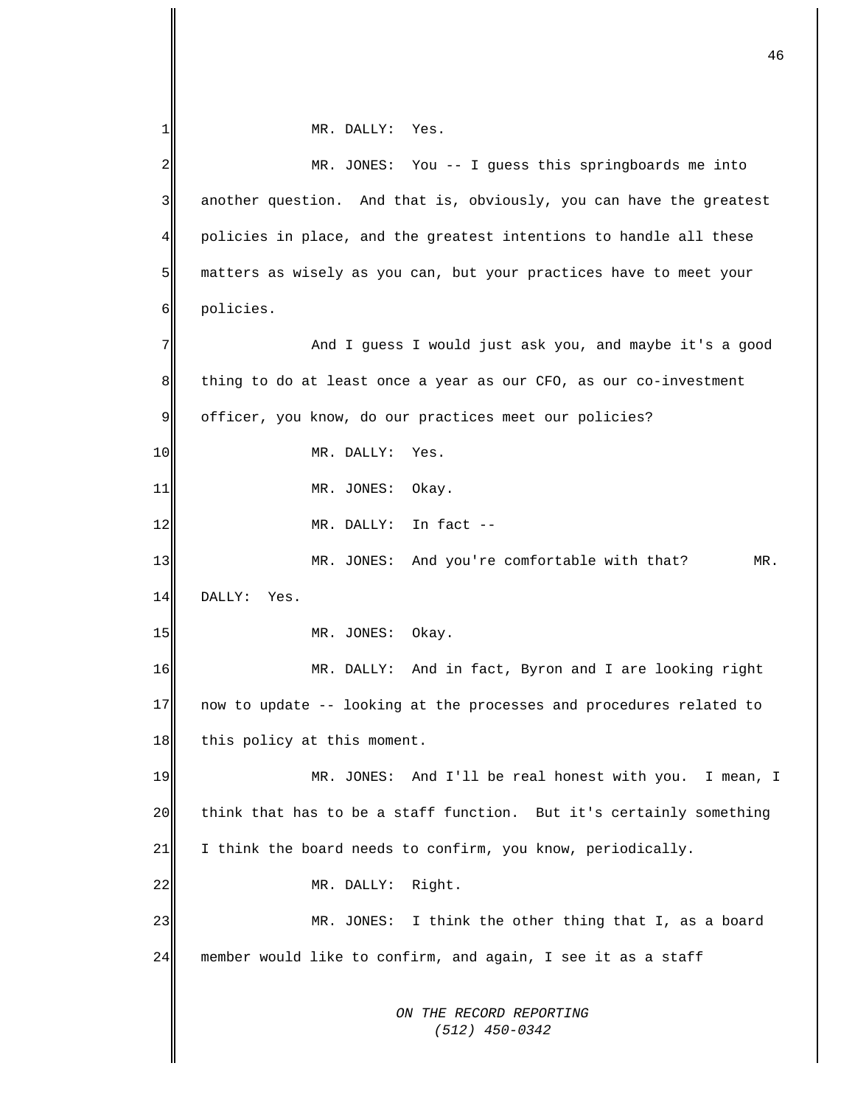*ON THE RECORD REPORTING (512) 450-0342* 1 2 3 4 5 6 7 8 9 10 11 12 13 14 15 16 17 18 19 20 21 22 23 24 MR. DALLY: Yes. MR. JONES: You -- I guess this springboards me into another question. And that is, obviously, you can have the greatest policies in place, and the greatest intentions to handle all these matters as wisely as you can, but your practices have to meet your policies. And I guess I would just ask you, and maybe it's a good thing to do at least once a year as our CFO, as our co-investment officer, you know, do our practices meet our policies? MR. DALLY: Yes. MR. JONES: Okay. MR. DALLY: In fact -- MR. JONES: And you're comfortable with that? MR. DALLY: Yes. MR. JONES: Okay. MR. DALLY: And in fact, Byron and I are looking right now to update -- looking at the processes and procedures related to this policy at this moment. MR. JONES: And I'll be real honest with you. I mean, I think that has to be a staff function. But it's certainly something I think the board needs to confirm, you know, periodically. MR. DALLY: Right. MR. JONES: I think the other thing that I, as a board member would like to confirm, and again, I see it as a staff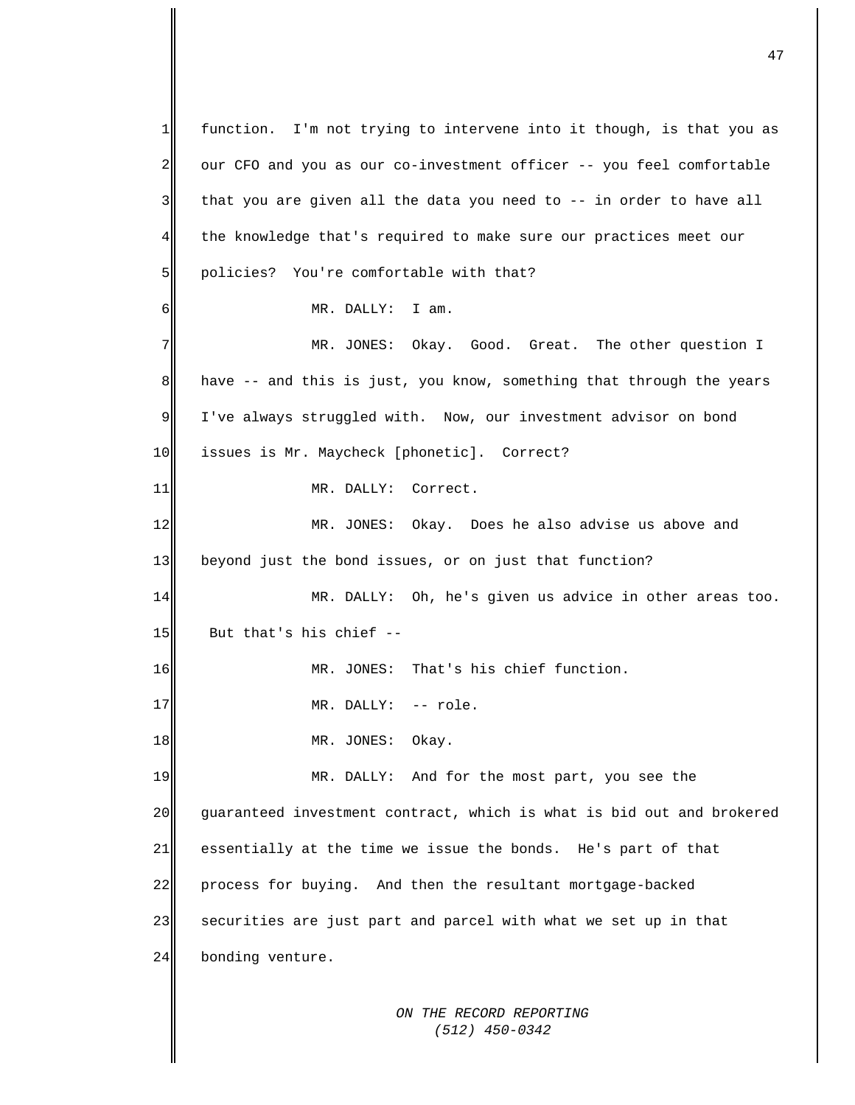*ON THE RECORD REPORTING (512) 450-0342* 1 2 3 4 5 6 7 8 9 10 11 12 13 14 15 16 17 18 19 20 21 22 23 24 function. I'm not trying to intervene into it though, is that you as our CFO and you as our co-investment officer -- you feel comfortable that you are given all the data you need to -- in order to have all the knowledge that's required to make sure our practices meet our policies? You're comfortable with that? MR. DALLY: I am. MR. JONES: Okay. Good. Great. The other question I have -- and this is just, you know, something that through the years I've always struggled with. Now, our investment advisor on bond issues is Mr. Maycheck [phonetic]. Correct? MR. DALLY: Correct. MR. JONES: Okay. Does he also advise us above and beyond just the bond issues, or on just that function? MR. DALLY: Oh, he's given us advice in other areas too. But that's his chief -- MR. JONES: That's his chief function. MR. DALLY: -- role. MR. JONES: Okay. MR. DALLY: And for the most part, you see the guaranteed investment contract, which is what is bid out and brokered essentially at the time we issue the bonds. He's part of that process for buying. And then the resultant mortgage-backed securities are just part and parcel with what we set up in that bonding venture.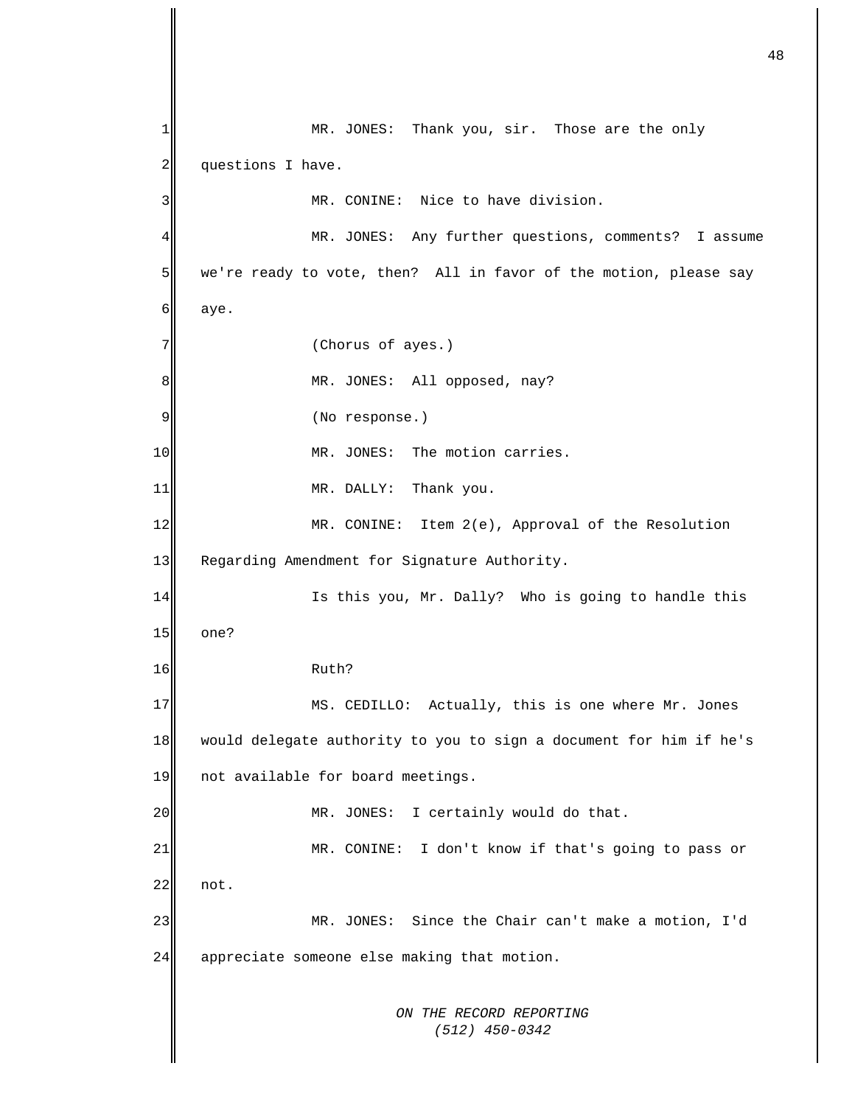*ON THE RECORD REPORTING (512) 450-0342* 1 2 3 4 5 6 7 8 9 10 11 12 13 14 15 16 17  $18$ 19 20 21 22 23 24 MR. JONES: Thank you, sir. Those are the only questions I have. MR. CONINE: Nice to have division. MR. JONES: Any further questions, comments? I assume we're ready to vote, then? All in favor of the motion, please say aye. (Chorus of ayes.) MR. JONES: All opposed, nay? (No response.) MR. JONES: The motion carries. MR. DALLY: Thank you. MR. CONINE: Item 2(e), Approval of the Resolution Regarding Amendment for Signature Authority. Is this you, Mr. Dally? Who is going to handle this one? Ruth? MS. CEDILLO: Actually, this is one where Mr. Jones would delegate authority to you to sign a document for him if he's not available for board meetings. MR. JONES: I certainly would do that. MR. CONINE: I don't know if that's going to pass or not. MR. JONES: Since the Chair can't make a motion, I'd appreciate someone else making that motion.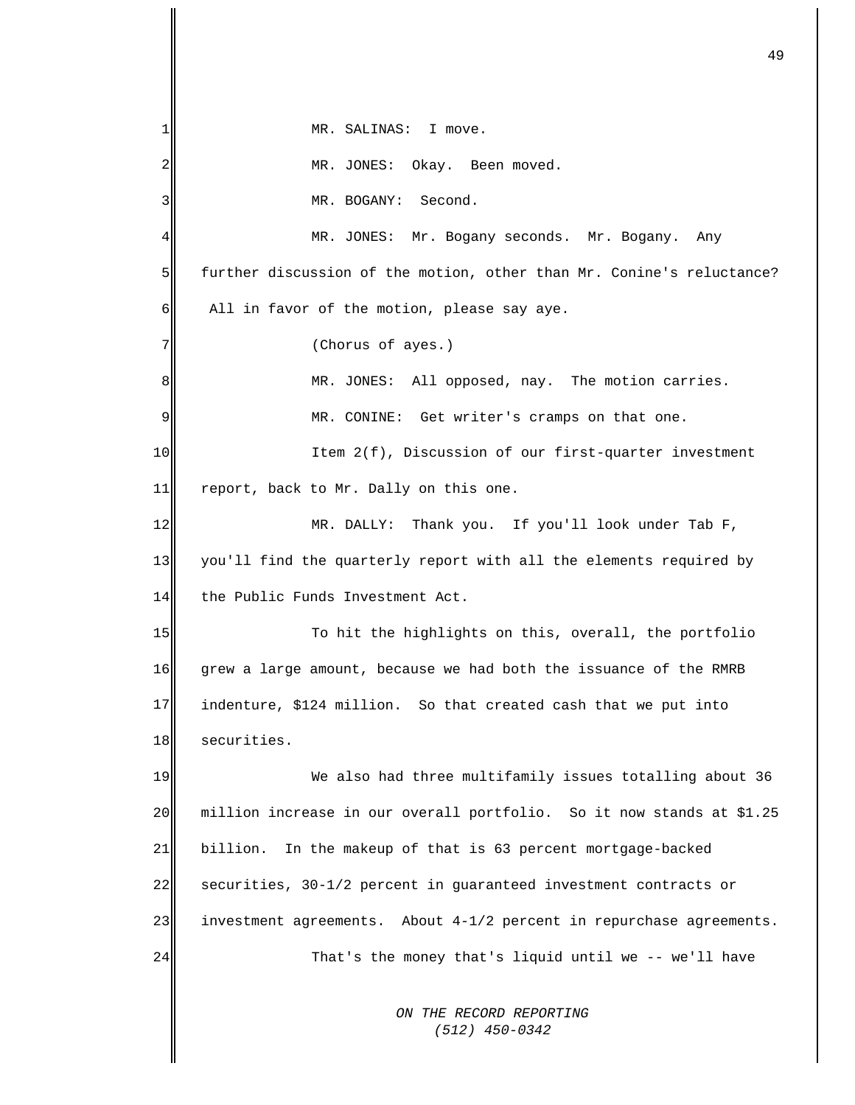*ON THE RECORD REPORTING*  1 2 3 4 5 6 7 8 9 10 11 12 13 14 15 16 17 18 19 20 21 22 23 24 MR. SALINAS: I move. MR. JONES: Okay. Been moved. MR. BOGANY: Second. MR. JONES: Mr. Bogany seconds. Mr. Bogany. Any further discussion of the motion, other than Mr. Conine's reluctance? All in favor of the motion, please say aye. (Chorus of ayes.) MR. JONES: All opposed, nay. The motion carries. MR. CONINE: Get writer's cramps on that one. Item 2(f), Discussion of our first-quarter investment report, back to Mr. Dally on this one. MR. DALLY: Thank you. If you'll look under Tab F, you'll find the quarterly report with all the elements required by the Public Funds Investment Act. To hit the highlights on this, overall, the portfolio grew a large amount, because we had both the issuance of the RMRB indenture, \$124 million. So that created cash that we put into securities. We also had three multifamily issues totalling about 36 million increase in our overall portfolio. So it now stands at \$1.25 billion. In the makeup of that is 63 percent mortgage-backed securities, 30-1/2 percent in guaranteed investment contracts or investment agreements. About 4-1/2 percent in repurchase agreements. That's the money that's liquid until we -- we'll have

49

 *(512) 450-0342*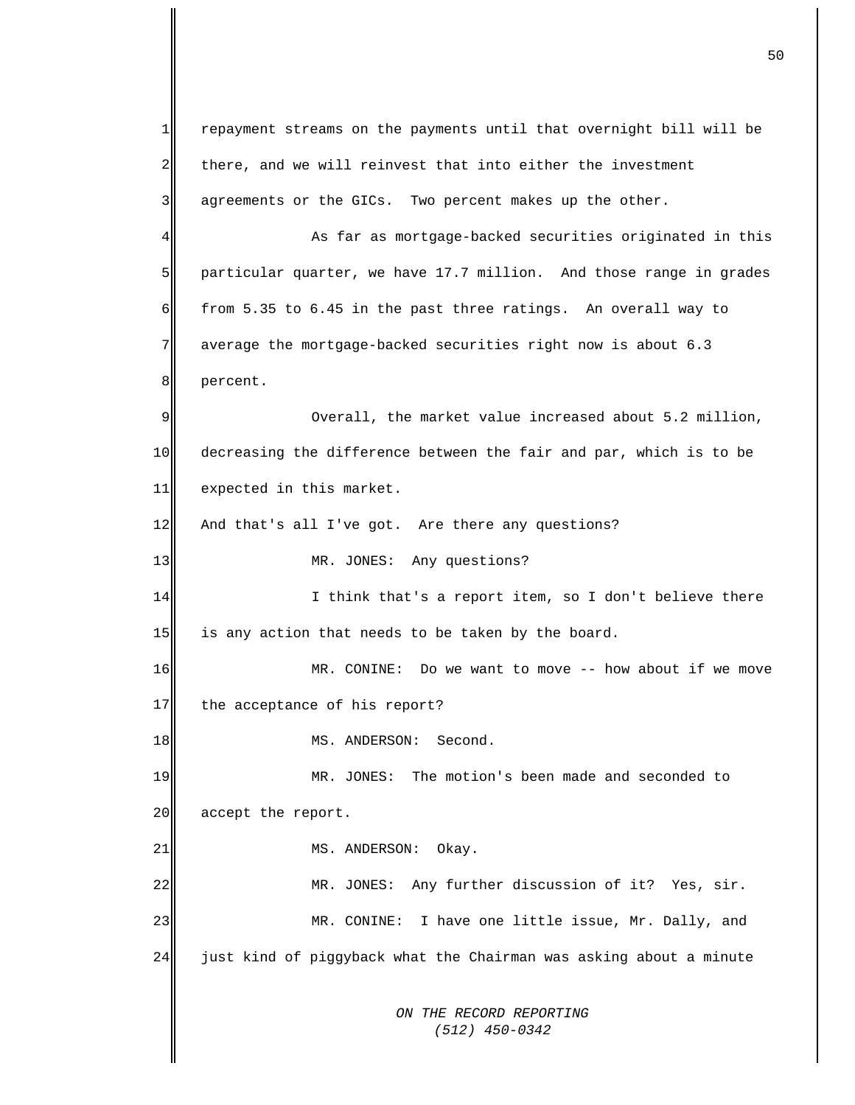*ON THE RECORD REPORTING (512) 450-0342*  $1$ 2 3 4 5 6 7 8 9 10 11 12 13 14 15 16 17 18 19 20 21 22 23 24 repayment streams on the payments until that overnight bill will be there, and we will reinvest that into either the investment agreements or the GICs. Two percent makes up the other. As far as mortgage-backed securities originated in this particular quarter, we have 17.7 million. And those range in grades from 5.35 to 6.45 in the past three ratings. An overall way to average the mortgage-backed securities right now is about 6.3 percent. Overall, the market value increased about 5.2 million, decreasing the difference between the fair and par, which is to be expected in this market. And that's all I've got. Are there any questions? MR. JONES: Any questions? I think that's a report item, so I don't believe there is any action that needs to be taken by the board. MR. CONINE: Do we want to move -- how about if we move the acceptance of his report? MS. ANDERSON: Second. MR. JONES: The motion's been made and seconded to accept the report. MS. ANDERSON: Okay. MR. JONES: Any further discussion of it? Yes, sir. MR. CONINE: I have one little issue, Mr. Dally, and just kind of piggyback what the Chairman was asking about a minute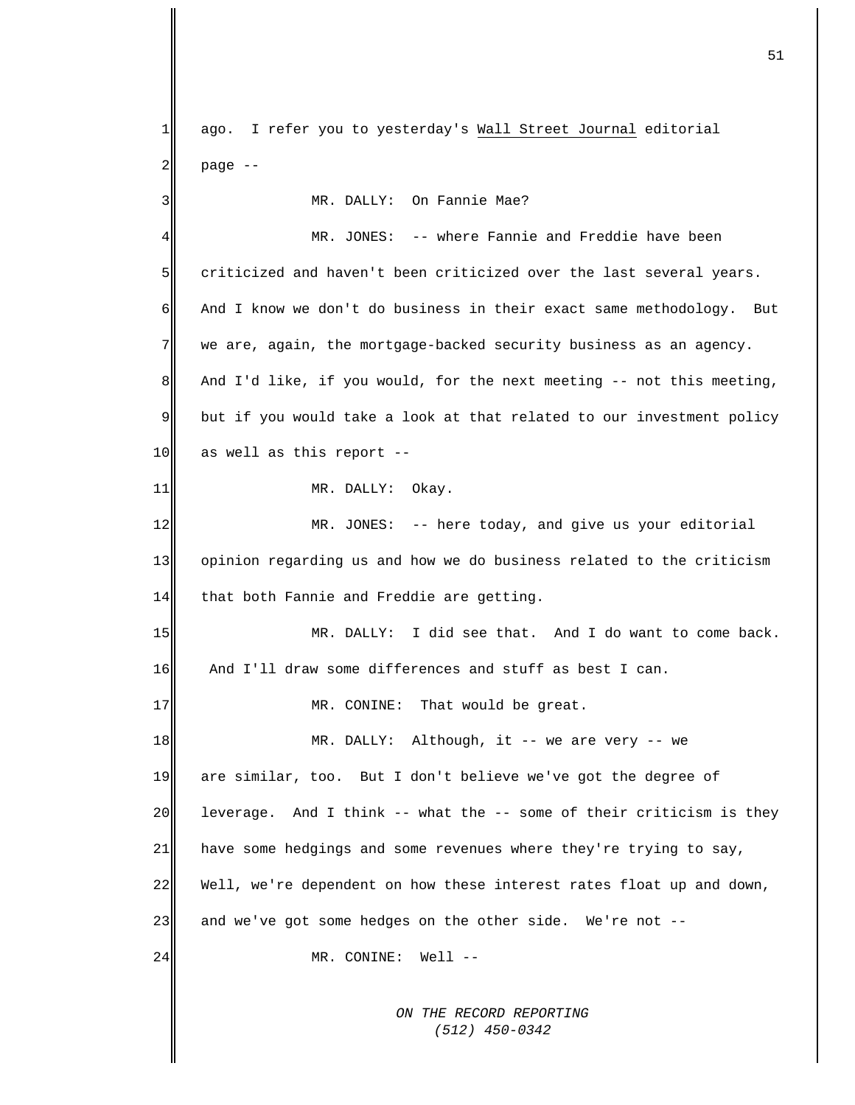*ON THE RECORD REPORTING*  ago. I refer you to yesterday's Wall Street Journal editorial page -- 1 2 3 4 5 6 7 8 9 10 11 12 13 14 15 16 17 18 19 20 21 22 23 24 MR. DALLY: On Fannie Mae? MR. JONES: -- where Fannie and Freddie have been criticized and haven't been criticized over the last several years. And I know we don't do business in their exact same methodology. But we are, again, the mortgage-backed security business as an agency. And I'd like, if you would, for the next meeting -- not this meeting, but if you would take a look at that related to our investment policy as well as this report -- MR. DALLY: Okay. MR. JONES: -- here today, and give us your editorial opinion regarding us and how we do business related to the criticism that both Fannie and Freddie are getting. MR. DALLY: I did see that. And I do want to come back. And I'll draw some differences and stuff as best I can. MR. CONINE: That would be great. MR. DALLY: Although, it -- we are very -- we are similar, too. But I don't believe we've got the degree of leverage. And I think -- what the -- some of their criticism is they have some hedgings and some revenues where they're trying to say, Well, we're dependent on how these interest rates float up and down, and we've got some hedges on the other side. We're not -- MR. CONINE: Well --

51

 *(512) 450-0342*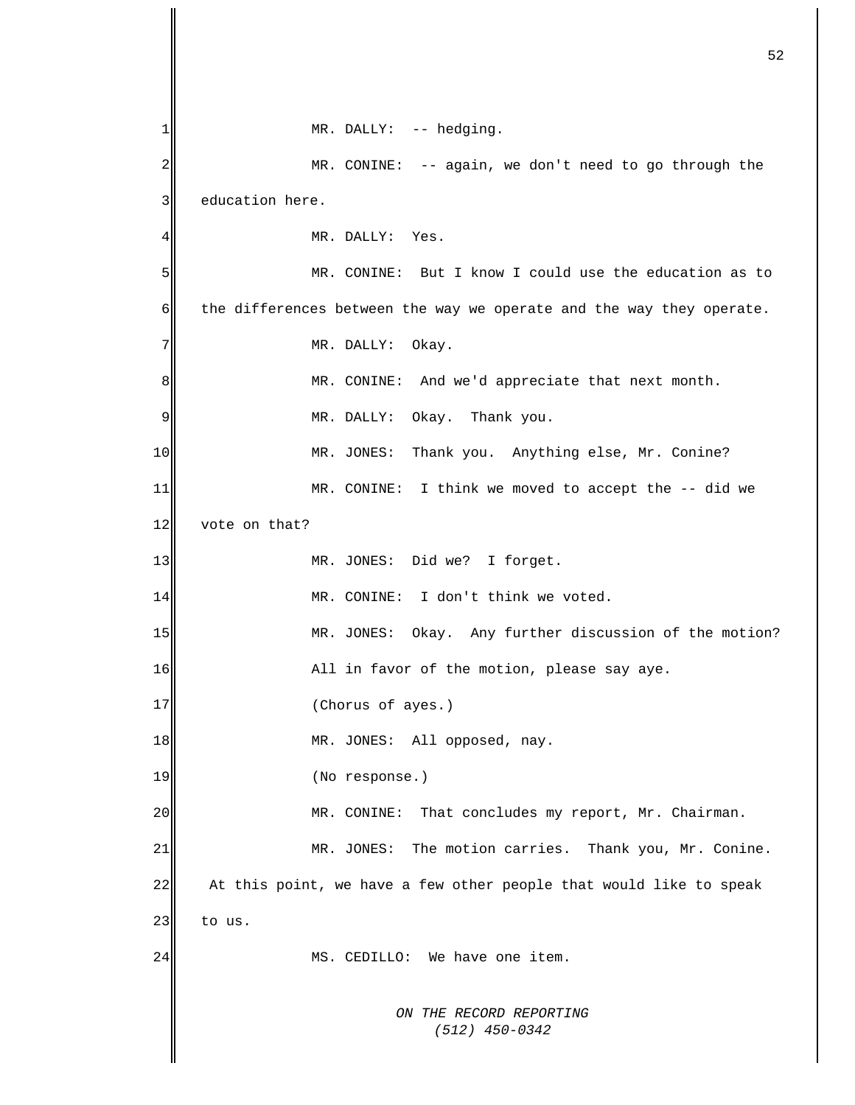*ON THE RECORD REPORTING (512) 450-0342* 1 2 3 4 5 6 7 8 9 10 11 12 13 14 15 16 17 18 19 20 21 22 23 24 MR. DALLY: -- hedging. MR. CONINE: -- again, we don't need to go through the education here. MR. DALLY: Yes. MR. CONINE: But I know I could use the education as to the differences between the way we operate and the way they operate. MR. DALLY: Okay. MR. CONINE: And we'd appreciate that next month. MR. DALLY: Okay. Thank you. MR. JONES: Thank you. Anything else, Mr. Conine? MR. CONINE: I think we moved to accept the -- did we vote on that? MR. JONES: Did we? I forget. MR. CONINE: I don't think we voted. MR. JONES: Okay. Any further discussion of the motion? All in favor of the motion, please say aye. (Chorus of ayes.) MR. JONES: All opposed, nay. (No response.) MR. CONINE: That concludes my report, Mr. Chairman. MR. JONES: The motion carries. Thank you, Mr. Conine. At this point, we have a few other people that would like to speak to us. MS. CEDILLO: We have one item.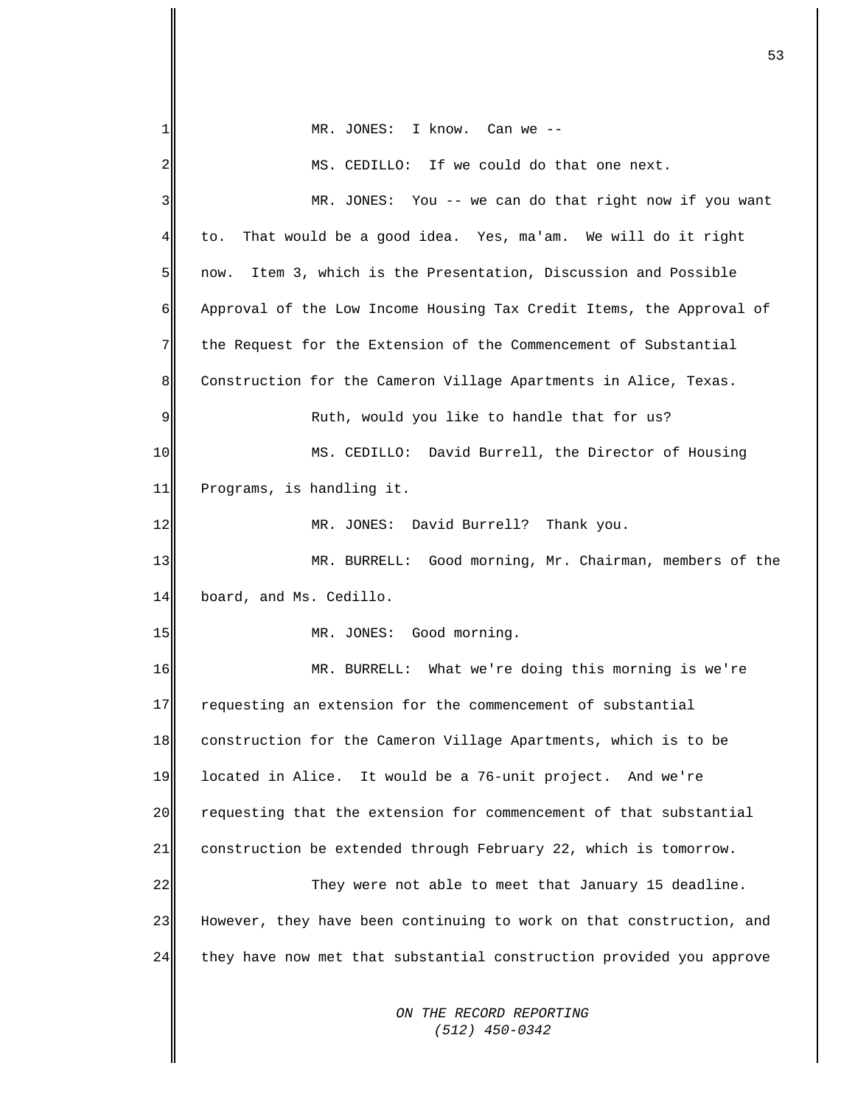| 1                | $MR.$ JONES: I know. Can we $--$                                     |
|------------------|----------------------------------------------------------------------|
| 2                | MS. CEDILLO: If we could do that one next.                           |
| 3                | MR. JONES: You -- we can do that right now if you want               |
| 41               | That would be a good idea. Yes, ma'am. We will do it right<br>to.    |
| 5 <sub>l</sub>   | Item 3, which is the Presentation, Discussion and Possible<br>now.   |
| $6 \overline{6}$ | Approval of the Low Income Housing Tax Credit Items, the Approval of |
| 7 <sup>1</sup>   | the Request for the Extension of the Commencement of Substantial     |
| 8 <sub>l</sub>   | Construction for the Cameron Village Apartments in Alice, Texas.     |
| $\overline{9}$   | Ruth, would you like to handle that for us?                          |
| 10 <sub>l</sub>  | MS. CEDILLO: David Burrell, the Director of Housing                  |
| 11               | Programs, is handling it.                                            |
| 12               | MR. JONES: David Burrell? Thank you.                                 |
| 13               | MR. BURRELL: Good morning, Mr. Chairman, members of the              |
| 14               | board, and Ms. Cedillo.                                              |
| 15               | MR. JONES: Good morning.                                             |
| 16               | MR. BURRELL: What we're doing this morning is we're                  |
| 17               | requesting an extension for the commencement of substantial          |
| 18               | construction for the Cameron Village Apartments, which is to be      |
| 19               | located in Alice. It would be a 76-unit project. And we're           |
| 20               | requesting that the extension for commencement of that substantial   |
| 21               | construction be extended through February 22, which is tomorrow.     |
| 22               | They were not able to meet that January 15 deadline.                 |
| 23               | However, they have been continuing to work on that construction, and |
| 24               | they have now met that substantial construction provided you approve |
|                  | ON THE RECORD REPORTING<br>$(512)$ 450-0342                          |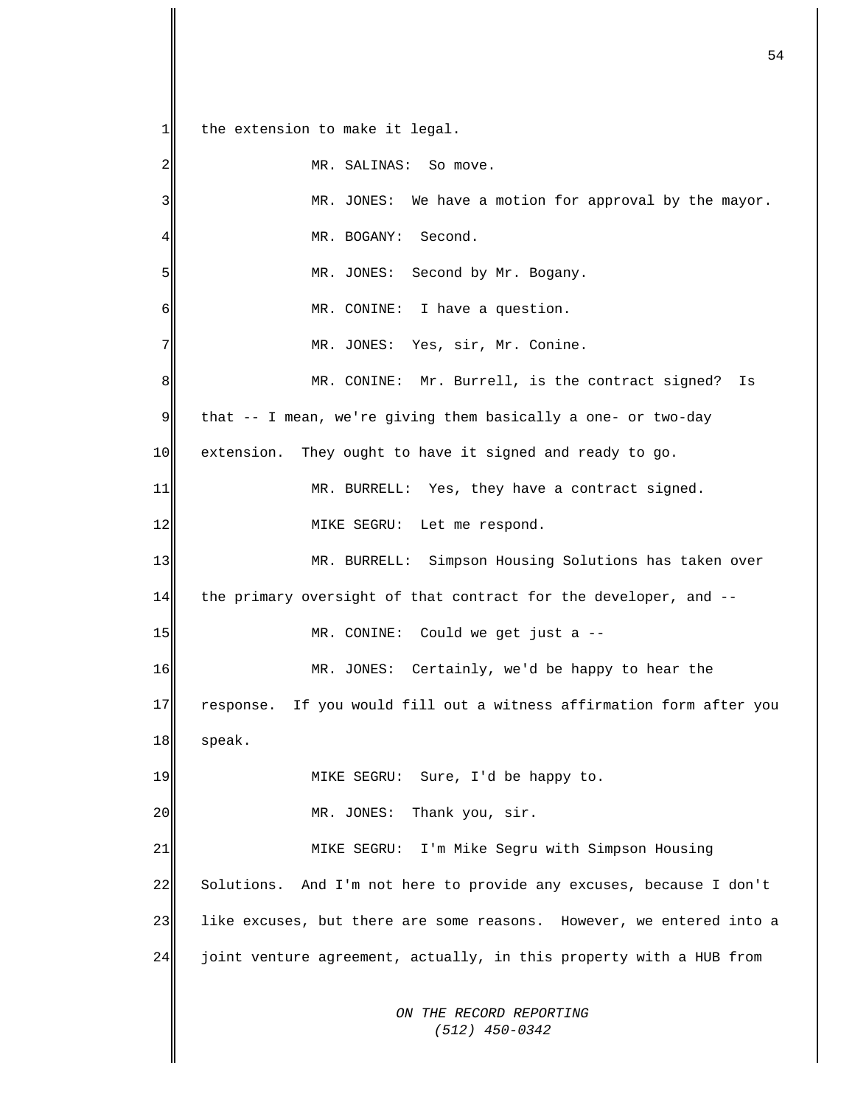*ON THE RECORD REPORTING (512) 450-0342*  $1$ 2 3 4 5 6 7 8 9 10 11 12 13 14 15 16 17 18 19 20 21 22 23 24 the extension to make it legal. MR. SALINAS: So move. MR. JONES: We have a motion for approval by the mayor. MR. BOGANY: Second. MR. JONES: Second by Mr. Bogany. MR. CONINE: I have a question. MR. JONES: Yes, sir, Mr. Conine. MR. CONINE: Mr. Burrell, is the contract signed? Is that -- I mean, we're giving them basically a one- or two-day extension. They ought to have it signed and ready to go. MR. BURRELL: Yes, they have a contract signed. MIKE SEGRU: Let me respond. MR. BURRELL: Simpson Housing Solutions has taken over the primary oversight of that contract for the developer, and -- MR. CONINE: Could we get just a -- MR. JONES: Certainly, we'd be happy to hear the response. If you would fill out a witness affirmation form after you speak. MIKE SEGRU: Sure, I'd be happy to. MR. JONES: Thank you, sir. MIKE SEGRU: I'm Mike Segru with Simpson Housing Solutions. And I'm not here to provide any excuses, because I don't like excuses, but there are some reasons. However, we entered into a joint venture agreement, actually, in this property with a HUB from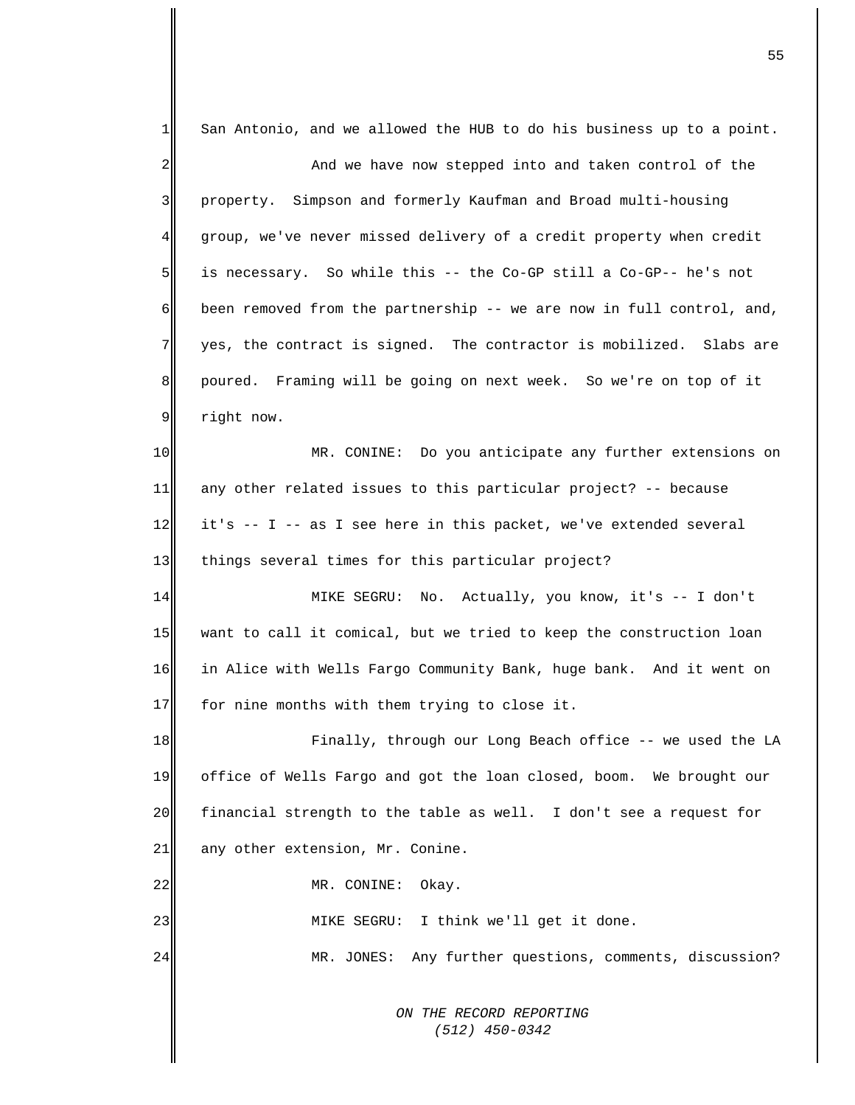| 1       | San Antonio, and we allowed the HUB to do his business up to a point. |
|---------|-----------------------------------------------------------------------|
| 2       | And we have now stepped into and taken control of the                 |
| 3       | property. Simpson and formerly Kaufman and Broad multi-housing        |
| 4       | group, we've never missed delivery of a credit property when credit   |
| 5       | is necessary. So while this -- the Co-GP still a Co-GP-- he's not     |
| 6       | been removed from the partnership -- we are now in full control, and, |
| 7       | yes, the contract is signed. The contractor is mobilized. Slabs are   |
| $\bf 8$ | poured. Framing will be going on next week. So we're on top of it     |
| 9       | right now.                                                            |
| 10      | MR. CONINE: Do you anticipate any further extensions on               |
| 11      | any other related issues to this particular project? -- because       |
| 12      | it's -- I -- as I see here in this packet, we've extended several     |
| 13      | things several times for this particular project?                     |
| 14      | MIKE SEGRU: No. Actually, you know, it's -- I don't                   |
| 15      | want to call it comical, but we tried to keep the construction loan   |
| 16      | in Alice with Wells Fargo Community Bank, huge bank. And it went on   |
| 17      | for nine months with them trying to close it.                         |
| 18      | Finally, through our Long Beach office -- we used the LA              |
| 19      | office of Wells Fargo and got the loan closed, boom. We brought our   |
| 20      | financial strength to the table as well. I don't see a request for    |
| 21      | any other extension, Mr. Conine.                                      |
| 22      | MR. CONINE:<br>Okay.                                                  |
| 23      | MIKE SEGRU: I think we'll get it done.                                |
| 24      | MR. JONES: Any further questions, comments, discussion?               |
|         |                                                                       |
|         | ON THE RECORD REPORTING<br>$(512)$ 450-0342                           |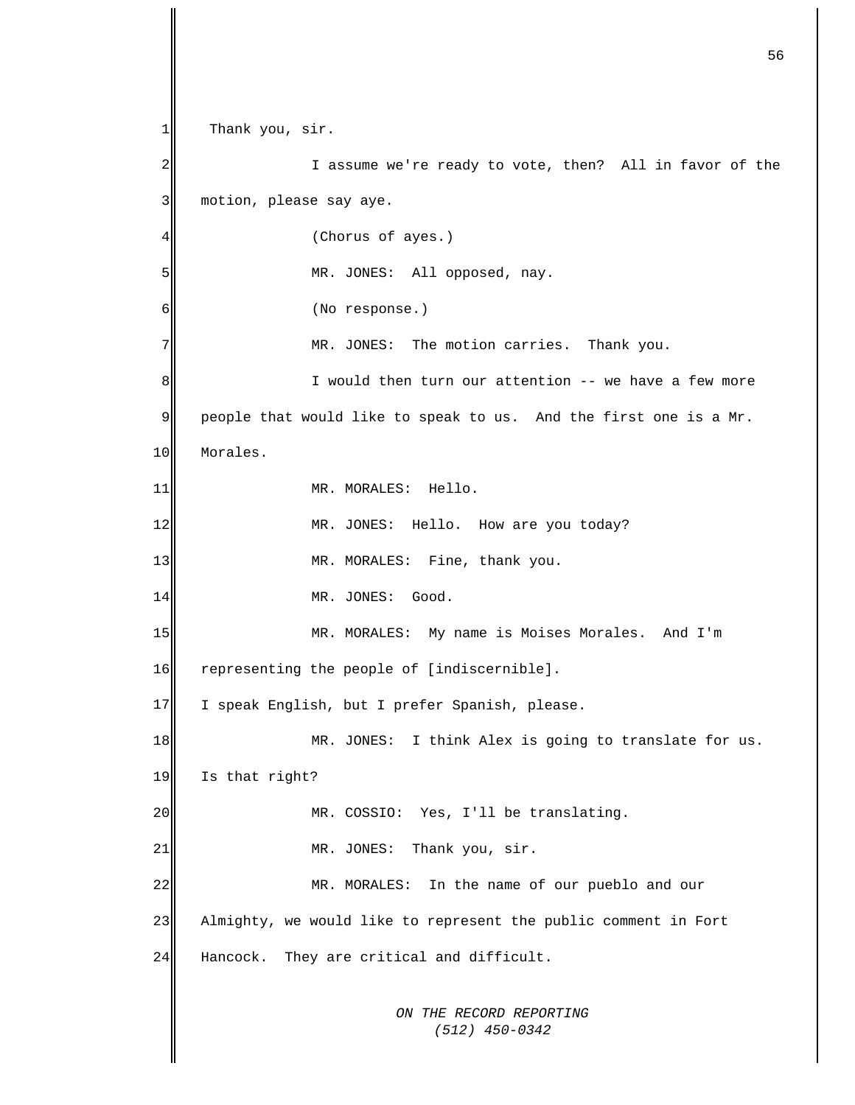*ON THE RECORD REPORTING (512) 450-0342* 1 2 3 4 5 6 7 8 9 10 11 12 13 14 15 16 17 18 19 20 21 22 23 24 Thank you, sir. I assume we're ready to vote, then? All in favor of the motion, please say aye. (Chorus of ayes.) MR. JONES: All opposed, nay. (No response.) MR. JONES: The motion carries. Thank you. I would then turn our attention -- we have a few more people that would like to speak to us. And the first one is a Mr. Morales. MR. MORALES: Hello. MR. JONES: Hello. How are you today? MR. MORALES: Fine, thank you. MR. JONES: Good. MR. MORALES: My name is Moises Morales. And I'm representing the people of [indiscernible]. I speak English, but I prefer Spanish, please. MR. JONES: I think Alex is going to translate for us. Is that right? MR. COSSIO: Yes, I'll be translating. MR. JONES: Thank you, sir. MR. MORALES: In the name of our pueblo and our Almighty, we would like to represent the public comment in Fort Hancock. They are critical and difficult.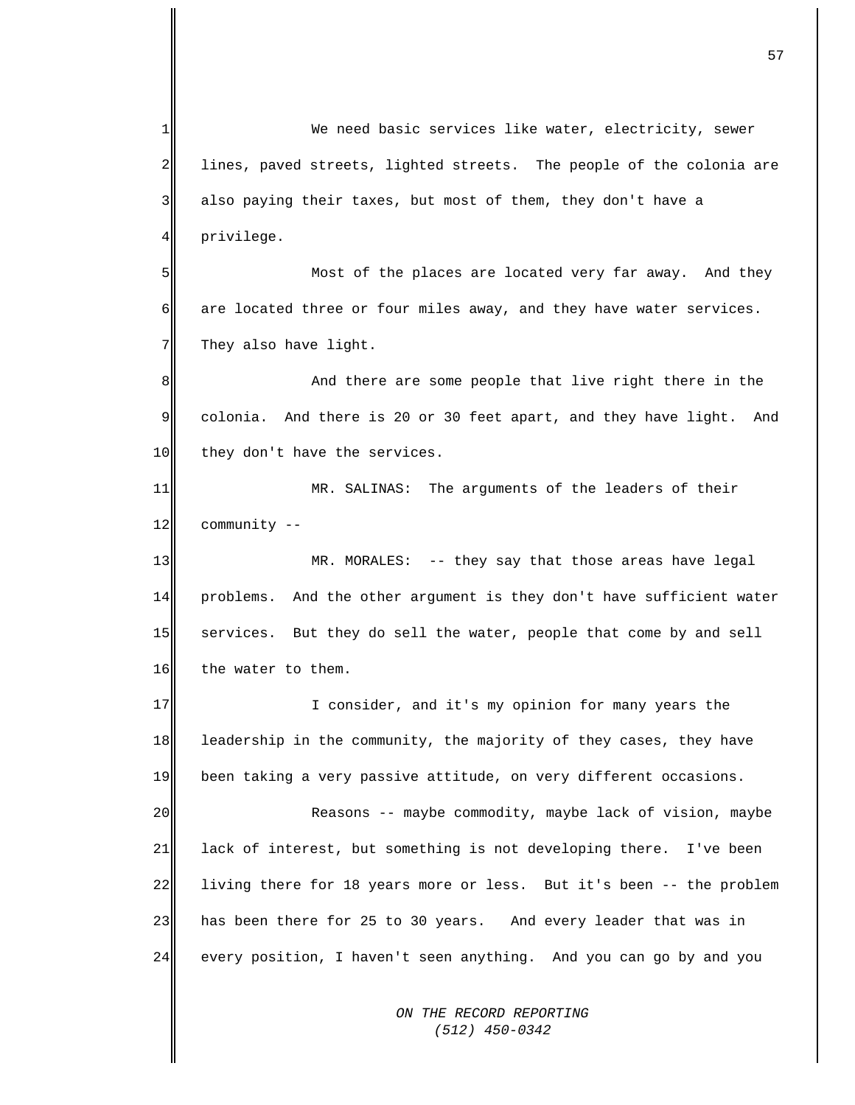*ON THE RECORD REPORTING*  1 2 3 4 5 6 7 8 9 10 11 12 13 14 15 16 17 18 19 20 21 22 23 24 We need basic services like water, electricity, sewer lines, paved streets, lighted streets. The people of the colonia are also paying their taxes, but most of them, they don't have a privilege. Most of the places are located very far away. And they are located three or four miles away, and they have water services. They also have light. And there are some people that live right there in the colonia. And there is 20 or 30 feet apart, and they have light. And they don't have the services. MR. SALINAS: The arguments of the leaders of their community -- MR. MORALES: -- they say that those areas have legal problems. And the other argument is they don't have sufficient water services. But they do sell the water, people that come by and sell the water to them. I consider, and it's my opinion for many years the leadership in the community, the majority of they cases, they have been taking a very passive attitude, on very different occasions. Reasons -- maybe commodity, maybe lack of vision, maybe lack of interest, but something is not developing there. I've been living there for 18 years more or less. But it's been -- the problem has been there for 25 to 30 years. And every leader that was in every position, I haven't seen anything. And you can go by and you

 *(512) 450-0342*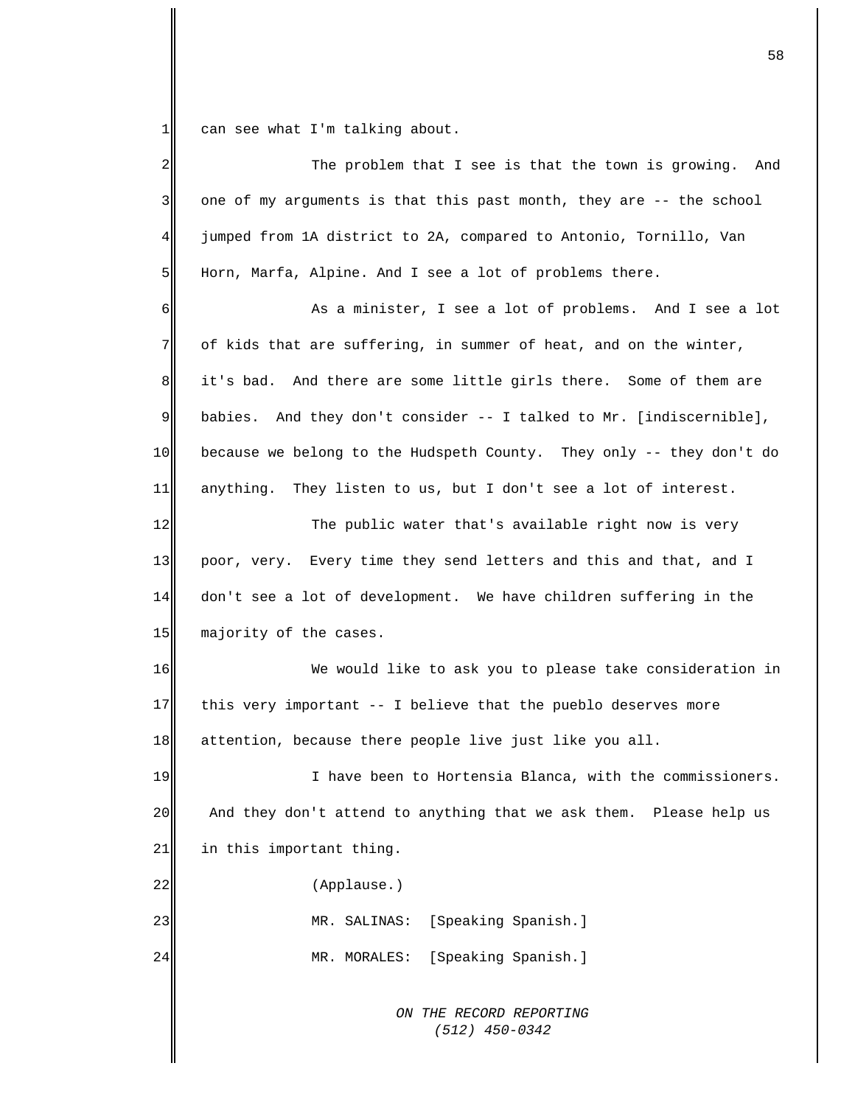1 can see what I'm talking about.

| 2           | The problem that I see is that the town is growing. And                |
|-------------|------------------------------------------------------------------------|
| 3           | one of my arguments is that this past month, they are -- the school    |
| 4           | jumped from 1A district to 2A, compared to Antonio, Tornillo, Van      |
| 5           | Horn, Marfa, Alpine. And I see a lot of problems there.                |
| 6           | As a minister, I see a lot of problems. And I see a lot                |
| 7           | of kids that are suffering, in summer of heat, and on the winter,      |
| $\,8\,$     | it's bad. And there are some little girls there. Some of them are      |
| $\mathsf 9$ | And they don't consider -- I talked to Mr. [indiscernible],<br>babies. |
| 10          | because we belong to the Hudspeth County. They only -- they don't do   |
| 11          | anything. They listen to us, but I don't see a lot of interest.        |
| 12          | The public water that's available right now is very                    |
| 13          | poor, very. Every time they send letters and this and that, and I      |
| 14          | don't see a lot of development. We have children suffering in the      |
| 15          | majority of the cases.                                                 |
| 16          | We would like to ask you to please take consideration in               |
| 17          | this very important -- I believe that the pueblo deserves more         |
| 18          | attention, because there people live just like you all.                |
| 19          | I have been to Hortensia Blanca, with the commissioners.               |
| 20          | And they don't attend to anything that we ask them. Please help us     |
| 21          | in this important thing.                                               |
| 22          | (Applause.)                                                            |
| 23          | [Speaking Spanish.]<br>MR. SALINAS:                                    |
| 24          | [Speaking Spanish.]<br>MR. MORALES:                                    |
|             | ON THE RECORD REPORTING<br>$(512)$ 450-0342                            |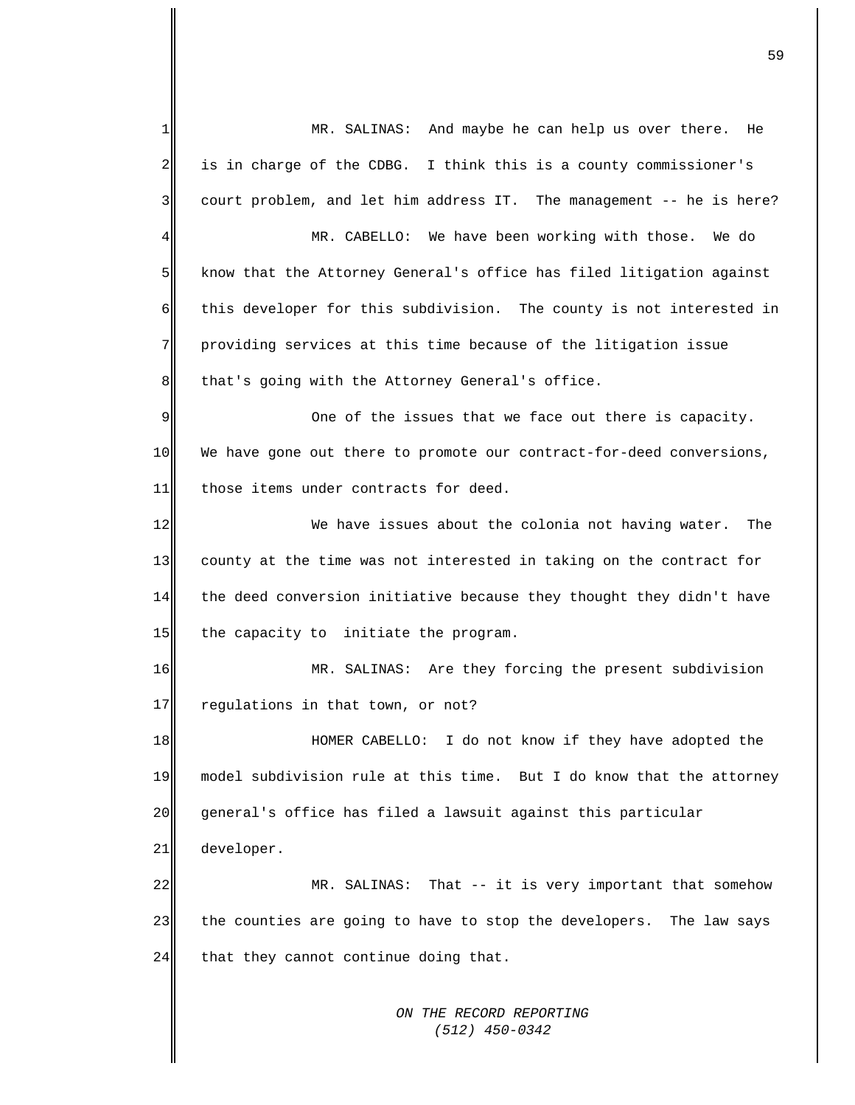*ON THE RECORD REPORTING*  1 2 3 4 5 6 7 8 9 10 11 12 13 14 15 16 17 18 19 20 21 22 23 24 MR. SALINAS: And maybe he can help us over there. He is in charge of the CDBG. I think this is a county commissioner's court problem, and let him address IT. The management -- he is here? MR. CABELLO: We have been working with those. We do know that the Attorney General's office has filed litigation against this developer for this subdivision. The county is not interested in providing services at this time because of the litigation issue that's going with the Attorney General's office. One of the issues that we face out there is capacity. We have gone out there to promote our contract-for-deed conversions, those items under contracts for deed. We have issues about the colonia not having water. The county at the time was not interested in taking on the contract for the deed conversion initiative because they thought they didn't have the capacity to initiate the program. MR. SALINAS: Are they forcing the present subdivision regulations in that town, or not? HOMER CABELLO: I do not know if they have adopted the model subdivision rule at this time. But I do know that the attorney general's office has filed a lawsuit against this particular developer. MR. SALINAS: That -- it is very important that somehow the counties are going to have to stop the developers. The law says that they cannot continue doing that.

 *(512) 450-0342*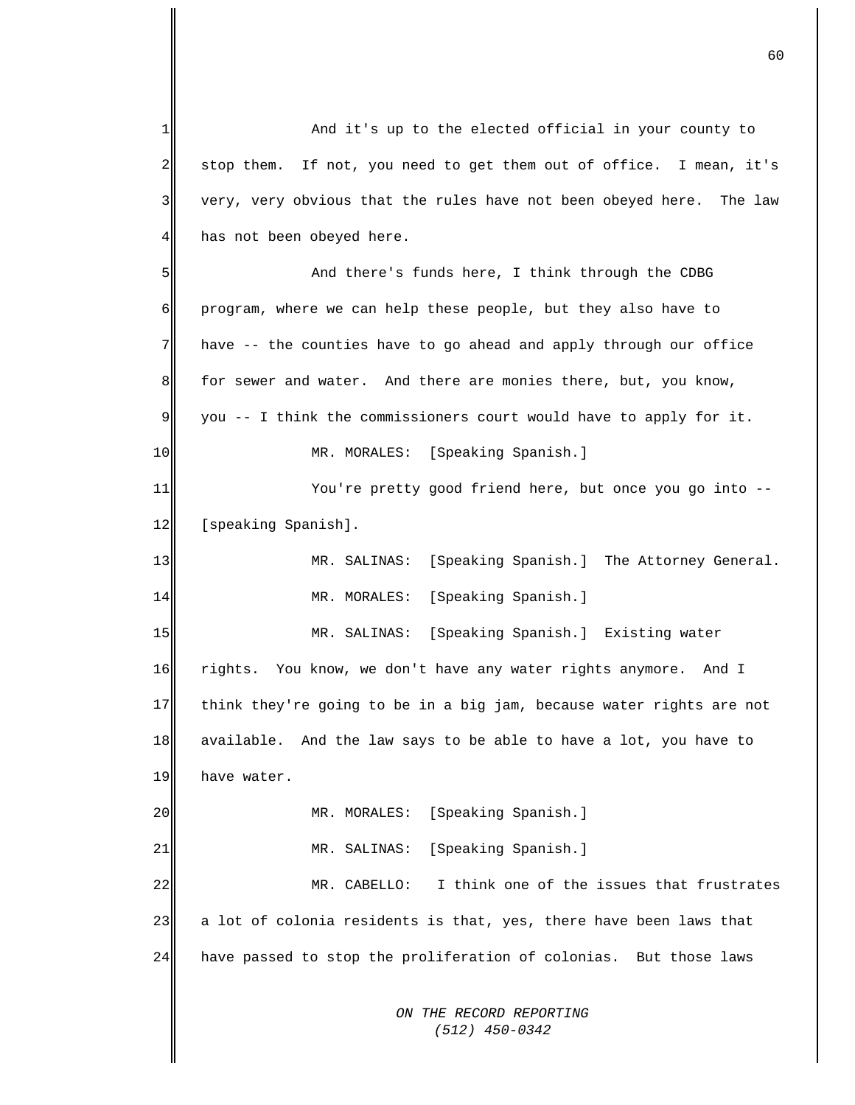*ON THE RECORD REPORTING (512) 450-0342* 1  $\overline{2}$ 3 4 5 6 7 8 9 10 11 12 13 14 15 16 17 18 19 20 21 22 23 24 And it's up to the elected official in your county to stop them. If not, you need to get them out of office. I mean, it's very, very obvious that the rules have not been obeyed here. The law has not been obeyed here. And there's funds here, I think through the CDBG program, where we can help these people, but they also have to have -- the counties have to go ahead and apply through our office for sewer and water. And there are monies there, but, you know, you -- I think the commissioners court would have to apply for it. MR. MORALES: [Speaking Spanish.] You're pretty good friend here, but once you go into -- [speaking Spanish]. MR. SALINAS: [Speaking Spanish.] The Attorney General. MR. MORALES: [Speaking Spanish.] MR. SALINAS: [Speaking Spanish.] Existing water rights. You know, we don't have any water rights anymore. And I think they're going to be in a big jam, because water rights are not available. And the law says to be able to have a lot, you have to have water. MR. MORALES: [Speaking Spanish.] MR. SALINAS: [Speaking Spanish.] MR. CABELLO: I think one of the issues that frustrates a lot of colonia residents is that, yes, there have been laws that have passed to stop the proliferation of colonias. But those laws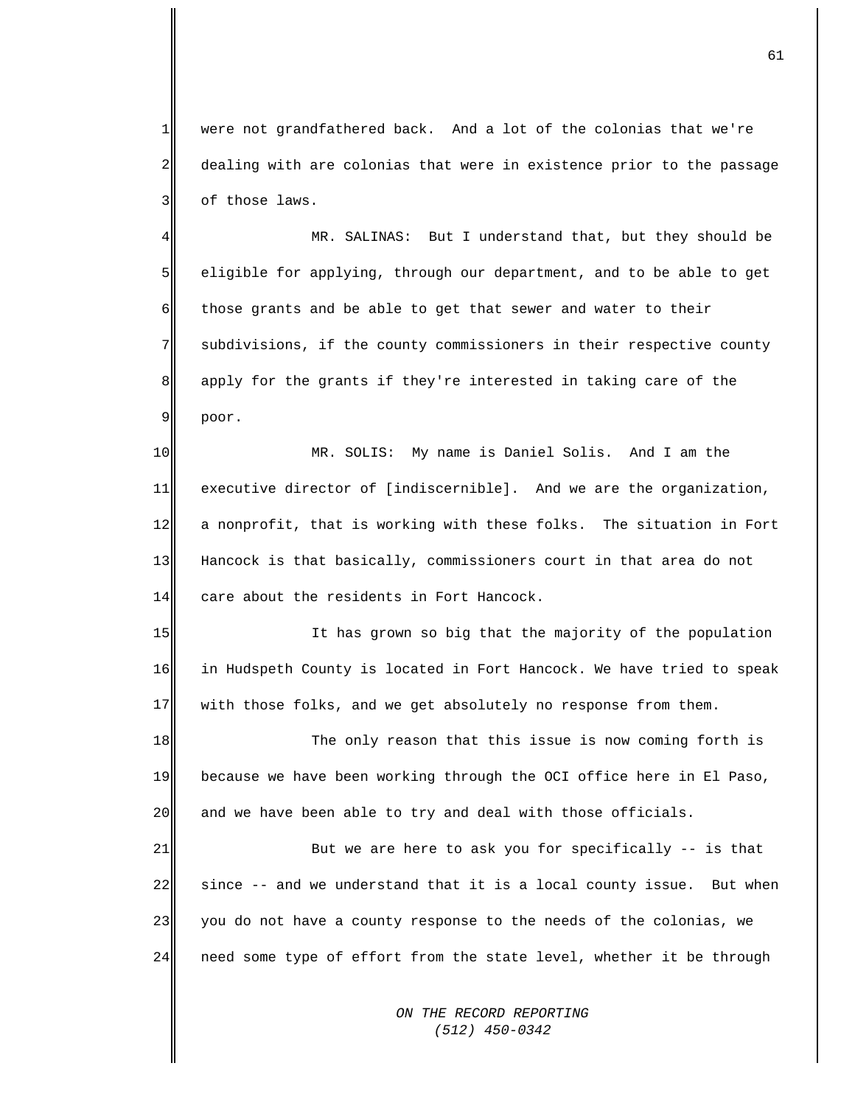1 2 3 were not grandfathered back. And a lot of the colonias that we're dealing with are colonias that were in existence prior to the passage of those laws.

4 5 6 7 8 9 MR. SALINAS: But I understand that, but they should be eligible for applying, through our department, and to be able to get those grants and be able to get that sewer and water to their subdivisions, if the county commissioners in their respective county apply for the grants if they're interested in taking care of the poor.

10 11 12 13 14 MR. SOLIS: My name is Daniel Solis. And I am the executive director of [indiscernible]. And we are the organization, a nonprofit, that is working with these folks. The situation in Fort Hancock is that basically, commissioners court in that area do not care about the residents in Fort Hancock.

15 16 17 It has grown so big that the majority of the population in Hudspeth County is located in Fort Hancock. We have tried to speak with those folks, and we get absolutely no response from them.

18 19 20 The only reason that this issue is now coming forth is because we have been working through the OCI office here in El Paso, and we have been able to try and deal with those officials.

21 22 23 24 But we are here to ask you for specifically -- is that since -- and we understand that it is a local county issue. But when you do not have a county response to the needs of the colonias, we need some type of effort from the state level, whether it be through

> *ON THE RECORD REPORTING (512) 450-0342*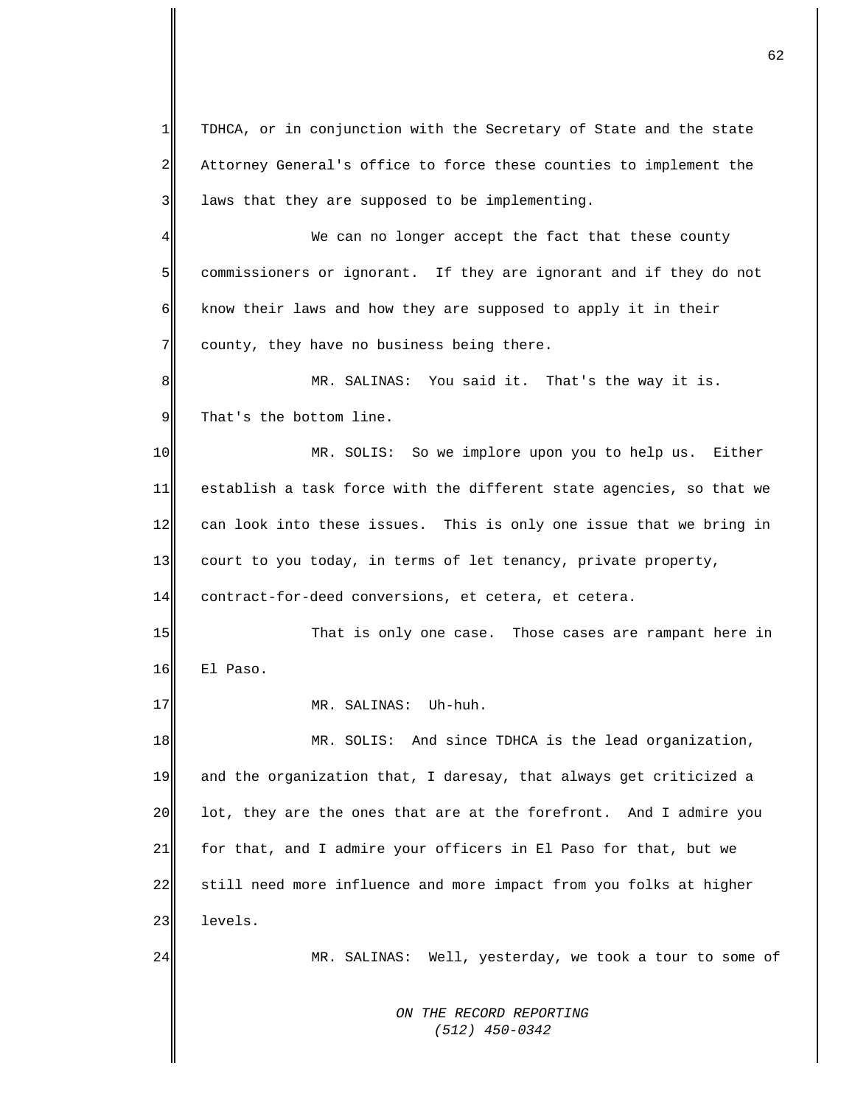1 2 3 TDHCA, or in conjunction with the Secretary of State and the state Attorney General's office to force these counties to implement the laws that they are supposed to be implementing.

4 5 6 7 We can no longer accept the fact that these county commissioners or ignorant. If they are ignorant and if they do not know their laws and how they are supposed to apply it in their county, they have no business being there.

8 9 MR. SALINAS: You said it. That's the way it is. That's the bottom line.

10 11 12 13 MR. SOLIS: So we implore upon you to help us. Either establish a task force with the different state agencies, so that we can look into these issues. This is only one issue that we bring in court to you today, in terms of let tenancy, private property,

14 contract-for-deed conversions, et cetera, et cetera.

15 16 That is only one case. Those cases are rampant here in El Paso.

MR. SALINAS: Uh-huh.

18 19 20 21 22 23 MR. SOLIS: And since TDHCA is the lead organization, and the organization that, I daresay, that always get criticized a lot, they are the ones that are at the forefront. And I admire you for that, and I admire your officers in El Paso for that, but we still need more influence and more impact from you folks at higher levels.

24

17

MR. SALINAS: Well, yesterday, we took a tour to some of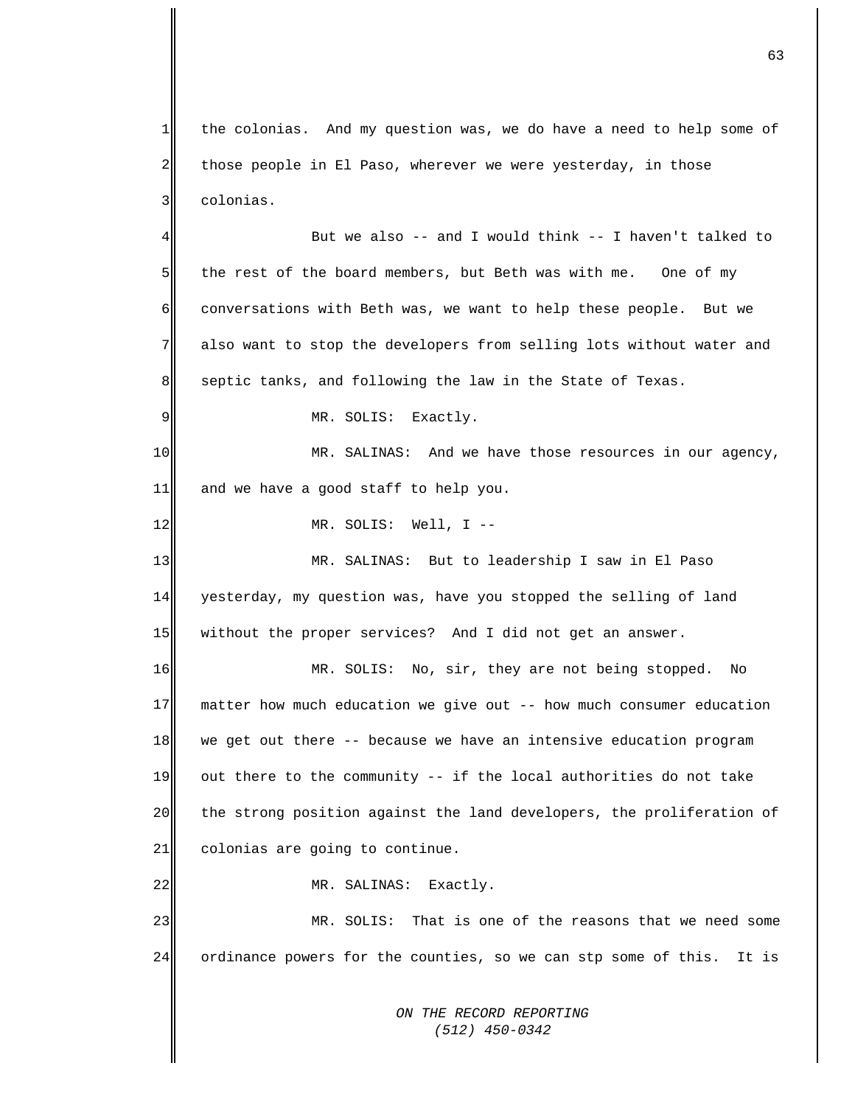1 2 3 the colonias. And my question was, we do have a need to help some of those people in El Paso, wherever we were yesterday, in those colonias.

4 5 6 7 8 But we also -- and I would think -- I haven't talked to the rest of the board members, but Beth was with me. One of my conversations with Beth was, we want to help these people. But we also want to stop the developers from selling lots without water and septic tanks, and following the law in the State of Texas.

MR. SOLIS: Exactly.

9

12

22

10 11 MR. SALINAS: And we have those resources in our agency, and we have a good staff to help you.

MR. SOLIS: Well, I --

13 14 15 MR. SALINAS: But to leadership I saw in El Paso yesterday, my question was, have you stopped the selling of land without the proper services? And I did not get an answer.

16 17 18 19 20 21 MR. SOLIS: No, sir, they are not being stopped. No matter how much education we give out -- how much consumer education we get out there -- because we have an intensive education program out there to the community -- if the local authorities do not take the strong position against the land developers, the proliferation of colonias are going to continue.

MR. SALINAS: Exactly.

23 24 MR. SOLIS: That is one of the reasons that we need some ordinance powers for the counties, so we can stp some of this. It is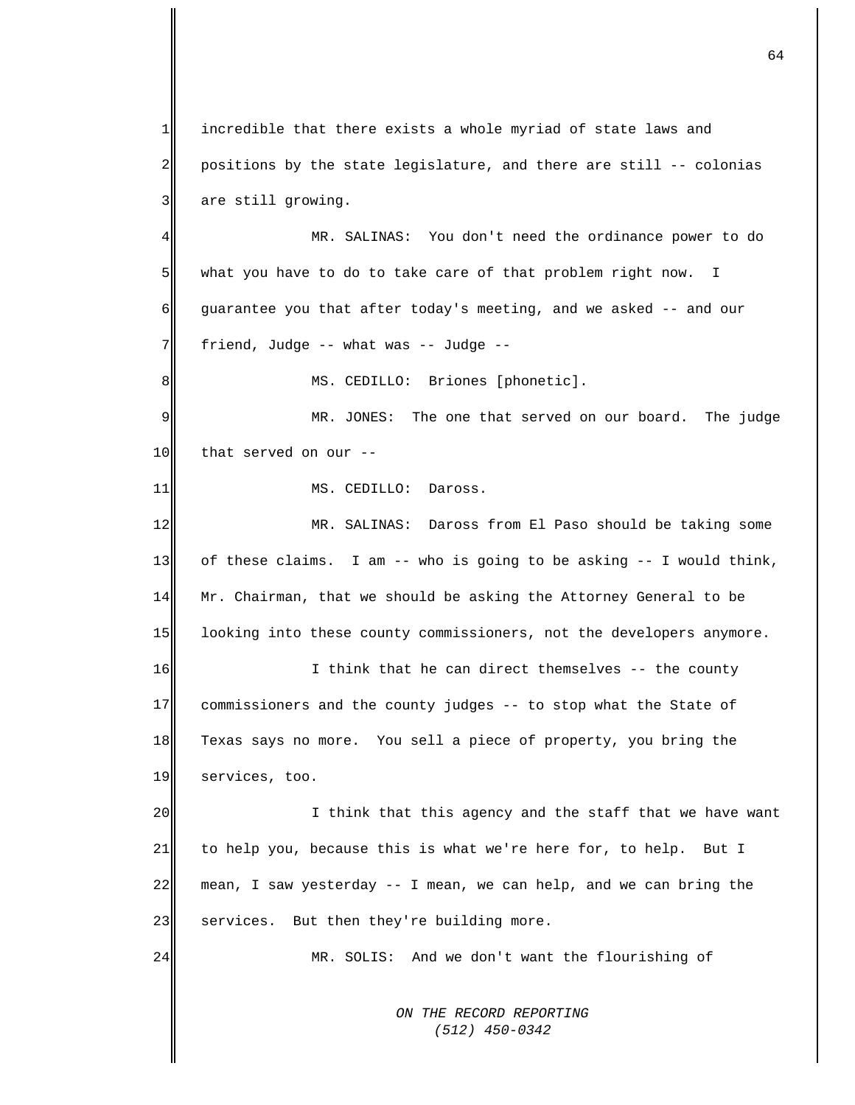1 2 3 4 incredible that there exists a whole myriad of state laws and positions by the state legislature, and there are still -- colonias are still growing. MR. SALINAS: You don't need the ordinance power to do

5 6 7 what you have to do to take care of that problem right now. I guarantee you that after today's meeting, and we asked -- and our friend, Judge -- what was -- Judge --

MS. CEDILLO: Briones [phonetic].

9 10 MR. JONES: The one that served on our board. The judge that served on our --

MS. CEDILLO: Daross.

8

11

24

12 13 14 15 MR. SALINAS: Daross from El Paso should be taking some of these claims. I am -- who is going to be asking -- I would think, Mr. Chairman, that we should be asking the Attorney General to be looking into these county commissioners, not the developers anymore.

16 17 18 19 I think that he can direct themselves -- the county commissioners and the county judges -- to stop what the State of Texas says no more. You sell a piece of property, you bring the services, too.

20 21 22 23 I think that this agency and the staff that we have want to help you, because this is what we're here for, to help. But I mean, I saw yesterday -- I mean, we can help, and we can bring the services. But then they're building more.

MR. SOLIS: And we don't want the flourishing of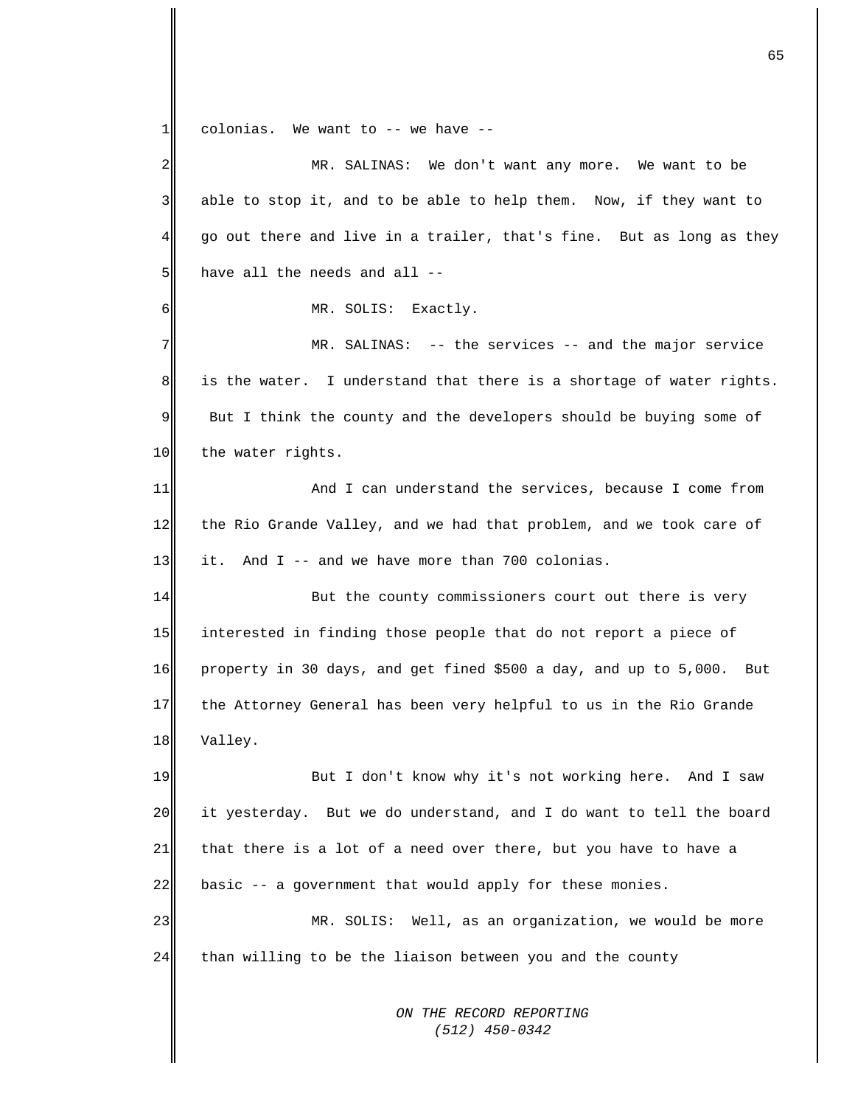*ON THE RECORD REPORTING*   $1$  $2\parallel$ 3 4 5 6 7 8 9 10 11 12 13 14 15 16 17 18 19 20 21 22 23 24 colonias. We want to -- we have -- MR. SALINAS: We don't want any more. We want to be able to stop it, and to be able to help them. Now, if they want to go out there and live in a trailer, that's fine. But as long as they have all the needs and all -- MR. SOLIS: Exactly. MR. SALINAS: -- the services -- and the major service is the water. I understand that there is a shortage of water rights. But I think the county and the developers should be buying some of the water rights. And I can understand the services, because I come from the Rio Grande Valley, and we had that problem, and we took care of it. And I -- and we have more than 700 colonias. But the county commissioners court out there is very interested in finding those people that do not report a piece of property in 30 days, and get fined \$500 a day, and up to 5,000. But the Attorney General has been very helpful to us in the Rio Grande Valley. But I don't know why it's not working here. And I saw it yesterday. But we do understand, and I do want to tell the board that there is a lot of a need over there, but you have to have a basic -- a government that would apply for these monies. MR. SOLIS: Well, as an organization, we would be more than willing to be the liaison between you and the county

 *(512) 450-0342*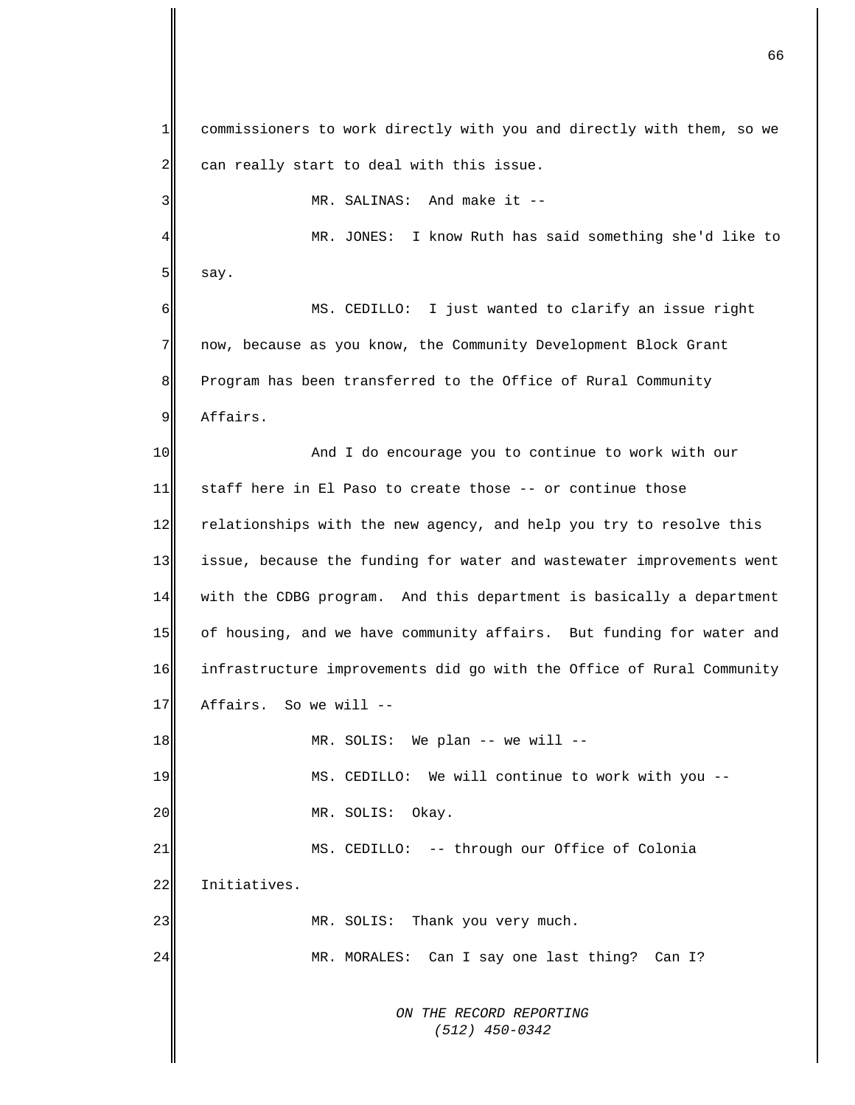*ON THE RECORD REPORTING (512) 450-0342*  $1$ 2 3 4 5 6 7 8 9 10 11 12 13 14 15 16 17 18 19 20 21 22 23 24 commissioners to work directly with you and directly with them, so we can really start to deal with this issue. MR. SALINAS: And make it -- MR. JONES: I know Ruth has said something she'd like to say. MS. CEDILLO: I just wanted to clarify an issue right now, because as you know, the Community Development Block Grant Program has been transferred to the Office of Rural Community Affairs. And I do encourage you to continue to work with our staff here in El Paso to create those -- or continue those relationships with the new agency, and help you try to resolve this issue, because the funding for water and wastewater improvements went with the CDBG program. And this department is basically a department of housing, and we have community affairs. But funding for water and infrastructure improvements did go with the Office of Rural Community Affairs. So we will -- MR. SOLIS: We plan -- we will -- MS. CEDILLO: We will continue to work with you -- MR. SOLIS: Okay. MS. CEDILLO: -- through our Office of Colonia Initiatives. MR. SOLIS: Thank you very much. MR. MORALES: Can I say one last thing? Can I?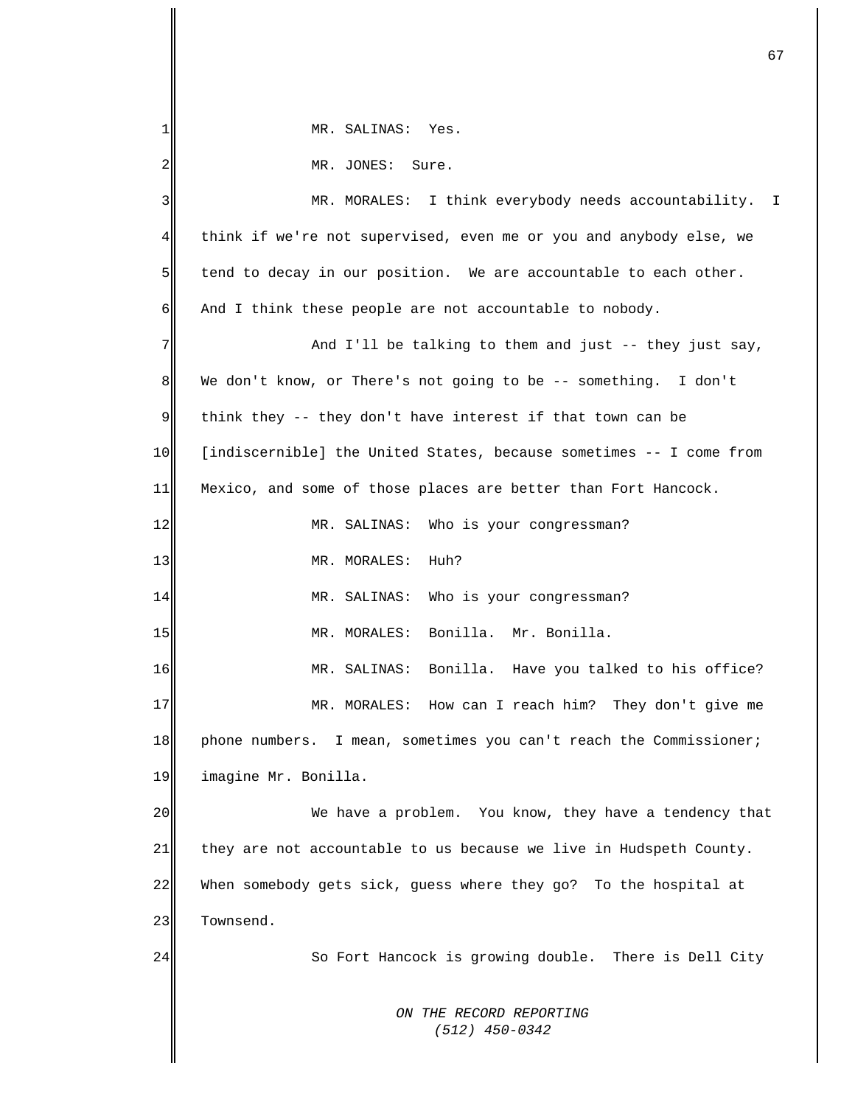| 1       | MR. SALINAS: Yes.                                                   |
|---------|---------------------------------------------------------------------|
| 2       | MR. JONES: Sure.                                                    |
| 3       | MR. MORALES: I think everybody needs accountability. I              |
| 4       | think if we're not supervised, even me or you and anybody else, we  |
| 5       | tend to decay in our position. We are accountable to each other.    |
| 6       | And I think these people are not accountable to nobody.             |
| 7       | And I'll be talking to them and just -- they just say,              |
| $\,8\,$ | We don't know, or There's not going to be -- something. I don't     |
| 9       | think they -- they don't have interest if that town can be          |
| 10      | [indiscernible] the United States, because sometimes -- I come from |
| 11      | Mexico, and some of those places are better than Fort Hancock.      |
| 12      | MR. SALINAS: Who is your congressman?                               |
| 13      | MR. MORALES: Huh?                                                   |
| 14      | MR. SALINAS: Who is your congressman?                               |
| 15      | MR. MORALES: Bonilla. Mr. Bonilla.                                  |
| 16      | MR. SALINAS: Bonilla. Have you talked to his office?                |
| 17      | How can I reach him? They don't give me<br>MR. MORALES:             |
| 18      | phone numbers. I mean, sometimes you can't reach the Commissioner;  |
| 19      | imagine Mr. Bonilla.                                                |
| 20      | We have a problem. You know, they have a tendency that              |
| 21      | they are not accountable to us because we live in Hudspeth County.  |
| 22      | When somebody gets sick, guess where they go? To the hospital at    |
| 23      | Townsend.                                                           |
| 24      | So Fort Hancock is growing double. There is Dell City               |
|         |                                                                     |
|         | ON THE RECORD REPORTING<br>$(512)$ 450-0342                         |
|         |                                                                     |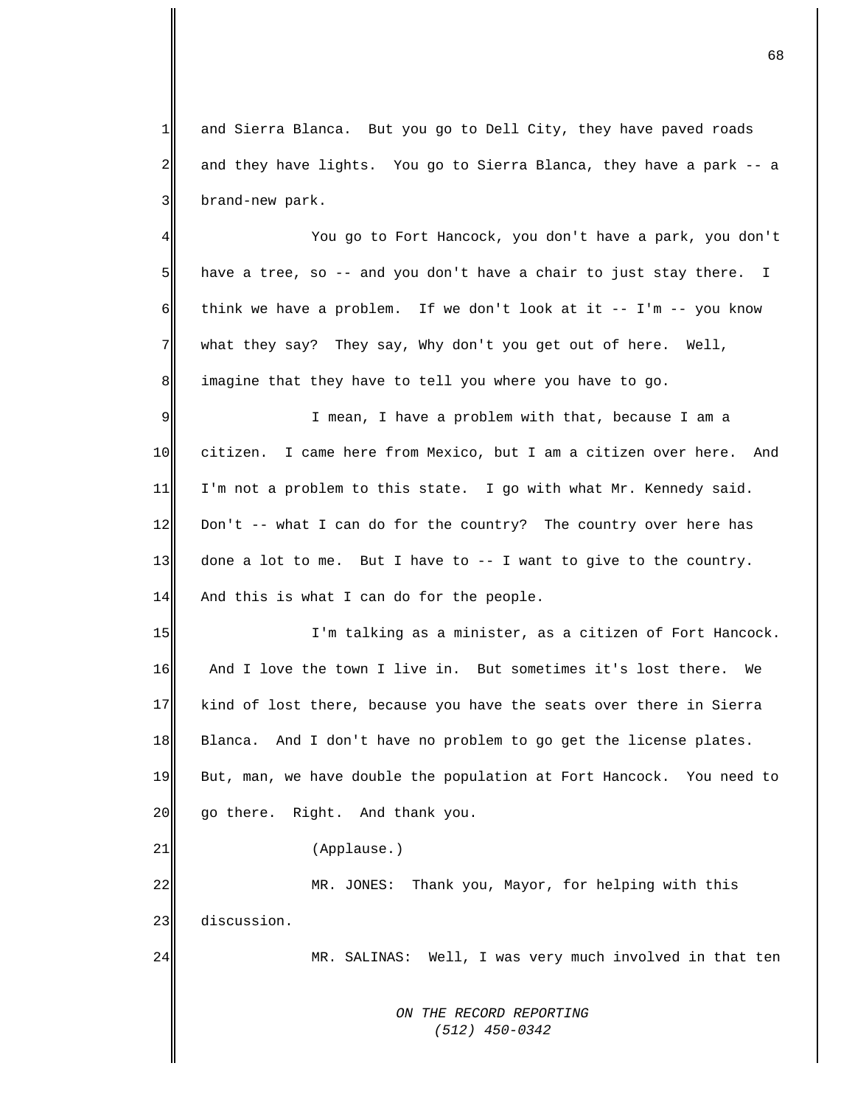1 2 3 and Sierra Blanca. But you go to Dell City, they have paved roads and they have lights. You go to Sierra Blanca, they have a park -- a brand-new park.

4 5 6 7 8 You go to Fort Hancock, you don't have a park, you don't have a tree, so -- and you don't have a chair to just stay there. I think we have a problem. If we don't look at it  $-- I'm -- you know$ what they say? They say, Why don't you get out of here. Well, imagine that they have to tell you where you have to go.

9 10 11 12 13 14 I mean, I have a problem with that, because I am a citizen. I came here from Mexico, but I am a citizen over here. And I'm not a problem to this state. I go with what Mr. Kennedy said. Don't  $--$  what I can do for the country? The country over here has done a lot to me. But I have to -- I want to give to the country. And this is what I can do for the people.

15 16 17 18 19 20 I'm talking as a minister, as a citizen of Fort Hancock. And I love the town I live in. But sometimes it's lost there. We kind of lost there, because you have the seats over there in Sierra Blanca. And I don't have no problem to go get the license plates. But, man, we have double the population at Fort Hancock. You need to go there. Right. And thank you.

(Applause.)

21

24

22 23 MR. JONES: Thank you, Mayor, for helping with this discussion.

MR. SALINAS: Well, I was very much involved in that ten

*ON THE RECORD REPORTING (512) 450-0342*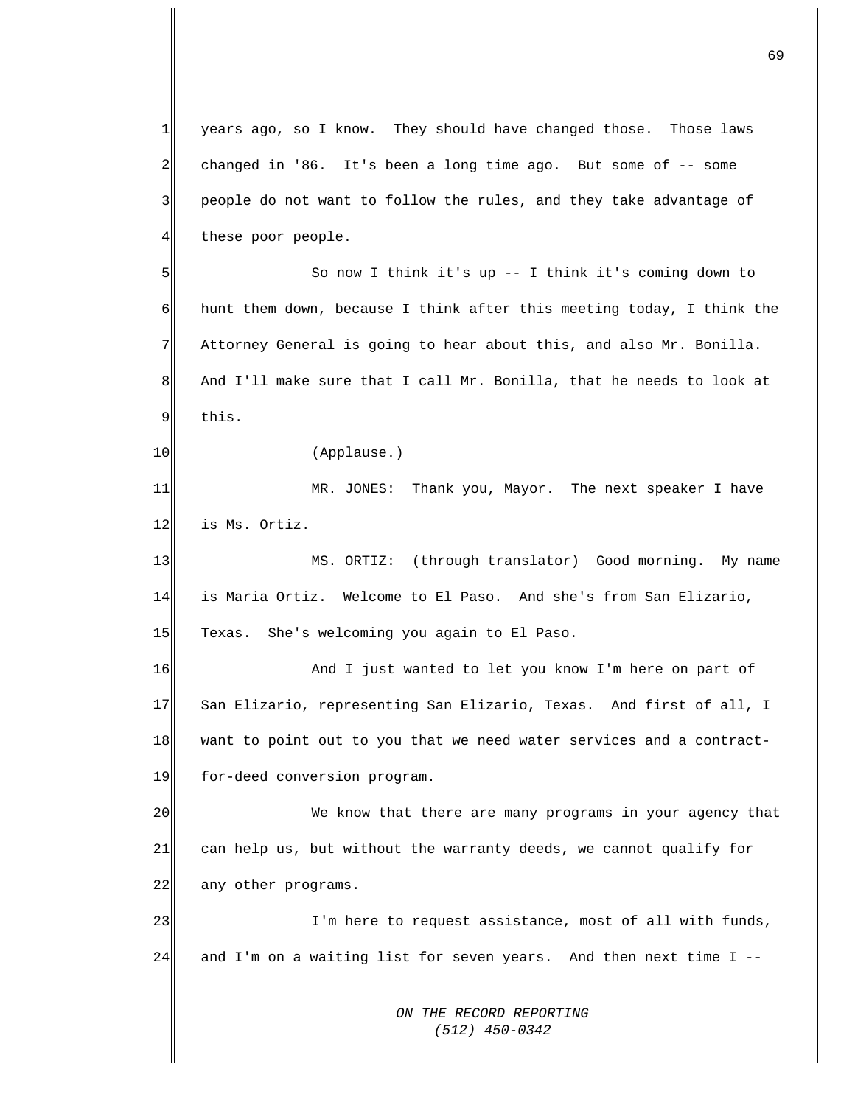*ON THE RECORD REPORTING (512) 450-0342* 1 2 3 4 5 6 7 8 9 10 11 12 13 14 15 16 17 18 19 20 21 22 23 24 years ago, so I know. They should have changed those. Those laws changed in '86. It's been a long time ago. But some of -- some people do not want to follow the rules, and they take advantage of these poor people. So now I think it's up -- I think it's coming down to hunt them down, because I think after this meeting today, I think the Attorney General is going to hear about this, and also Mr. Bonilla. And I'll make sure that I call Mr. Bonilla, that he needs to look at this. (Applause.) MR. JONES: Thank you, Mayor. The next speaker I have is Ms. Ortiz. MS. ORTIZ: (through translator) Good morning. My name is Maria Ortiz. Welcome to El Paso. And she's from San Elizario, Texas. She's welcoming you again to El Paso. And I just wanted to let you know I'm here on part of San Elizario, representing San Elizario, Texas. And first of all, I want to point out to you that we need water services and a contractfor-deed conversion program. We know that there are many programs in your agency that can help us, but without the warranty deeds, we cannot qualify for any other programs. I'm here to request assistance, most of all with funds, and I'm on a waiting list for seven years. And then next time I --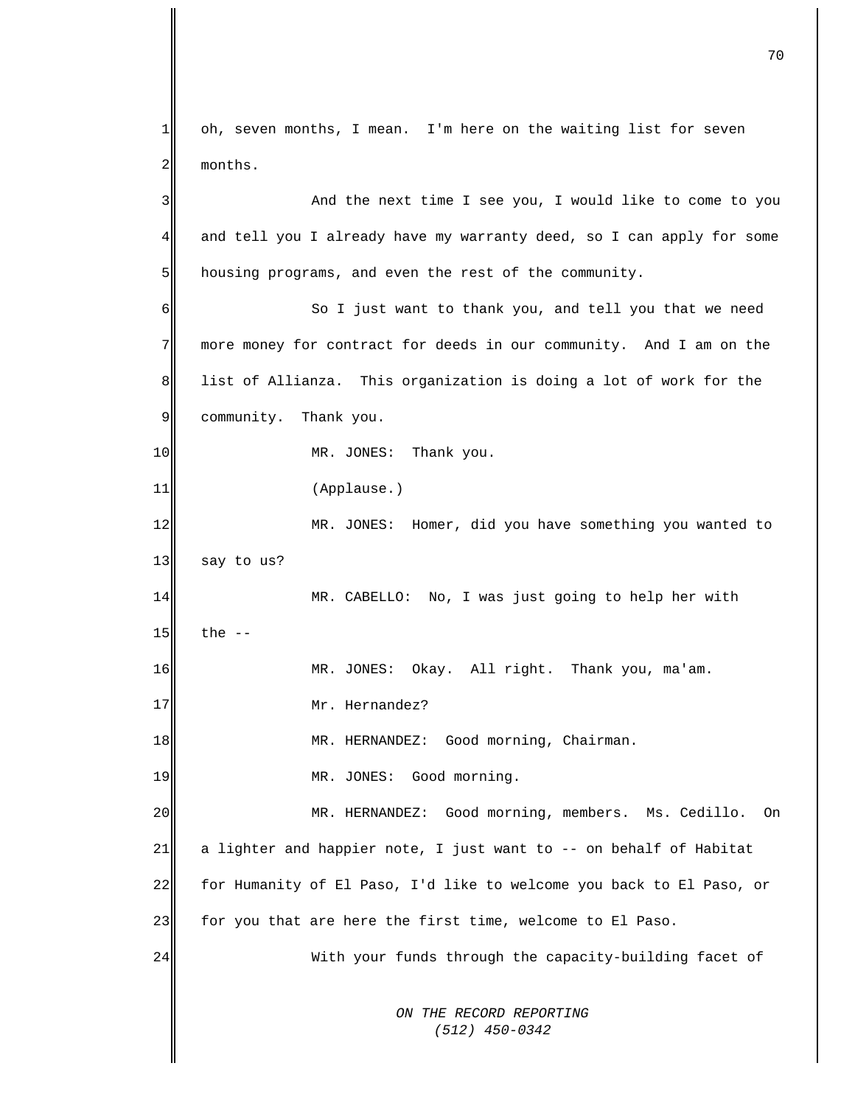*ON THE RECORD REPORTING (512) 450-0342*  $1$ 2 3 4 5 6 7 8 9 10 11 12 13 14 15 16 17 18 19 20 21 22 23 24 oh, seven months, I mean. I'm here on the waiting list for seven months. And the next time I see you, I would like to come to you and tell you I already have my warranty deed, so I can apply for some housing programs, and even the rest of the community. So I just want to thank you, and tell you that we need more money for contract for deeds in our community. And I am on the list of Allianza. This organization is doing a lot of work for the community. Thank you. MR. JONES: Thank you. (Applause.) MR. JONES: Homer, did you have something you wanted to say to us? MR. CABELLO: No, I was just going to help her with the -- MR. JONES: Okay. All right. Thank you, ma'am. Mr. Hernandez? MR. HERNANDEZ: Good morning, Chairman. MR. JONES: Good morning. MR. HERNANDEZ: Good morning, members. Ms. Cedillo. On a lighter and happier note, I just want to -- on behalf of Habitat for Humanity of El Paso, I'd like to welcome you back to El Paso, or for you that are here the first time, welcome to El Paso. With your funds through the capacity-building facet of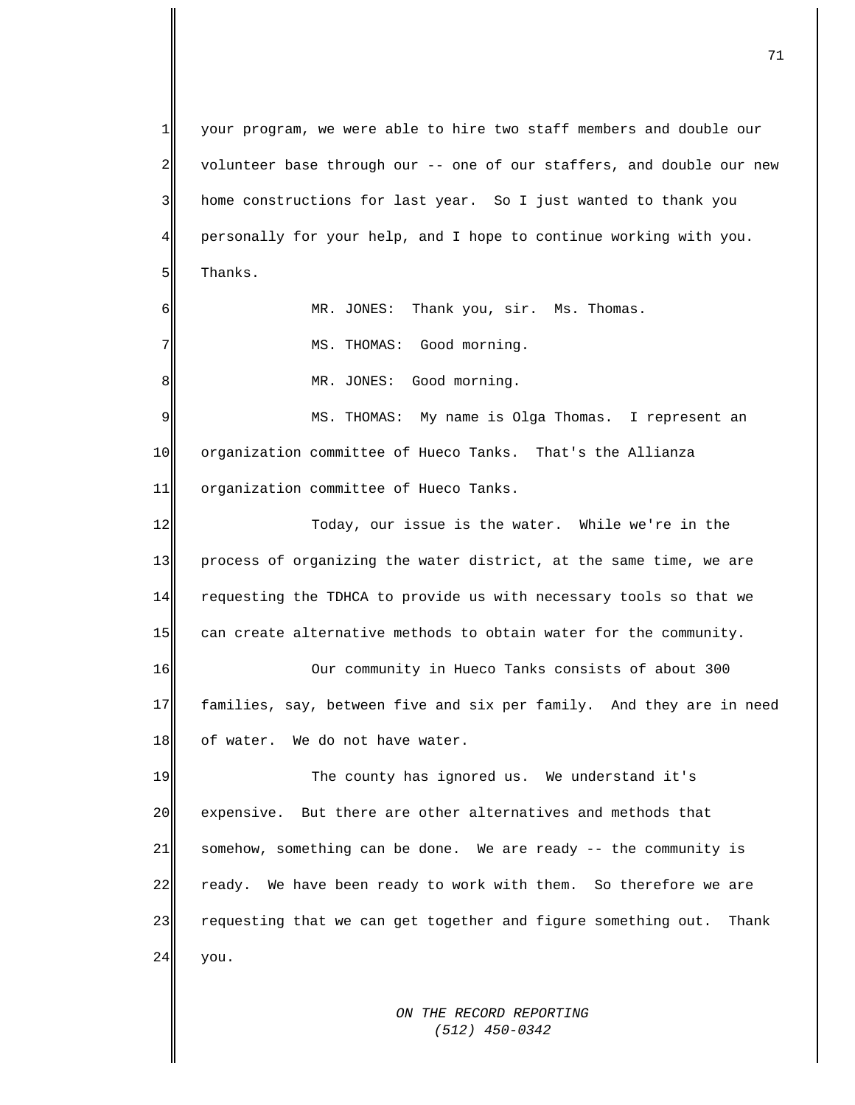*ON THE RECORD REPORTING*   $1$ 2 3 4 5 6 7 8 9 10 11 12 13 14 15 16 17 18 19 20 21 22 23 24 your program, we were able to hire two staff members and double our volunteer base through our -- one of our staffers, and double our new home constructions for last year. So I just wanted to thank you personally for your help, and I hope to continue working with you. Thanks. MR. JONES: Thank you, sir. Ms. Thomas. MS. THOMAS: Good morning. MR. JONES: Good morning. MS. THOMAS: My name is Olga Thomas. I represent an organization committee of Hueco Tanks. That's the Allianza organization committee of Hueco Tanks. Today, our issue is the water. While we're in the process of organizing the water district, at the same time, we are requesting the TDHCA to provide us with necessary tools so that we can create alternative methods to obtain water for the community. Our community in Hueco Tanks consists of about 300 families, say, between five and six per family. And they are in need of water. We do not have water. The county has ignored us. We understand it's expensive. But there are other alternatives and methods that somehow, something can be done. We are ready -- the community is ready. We have been ready to work with them. So therefore we are requesting that we can get together and figure something out. Thank you.

 *(512) 450-0342*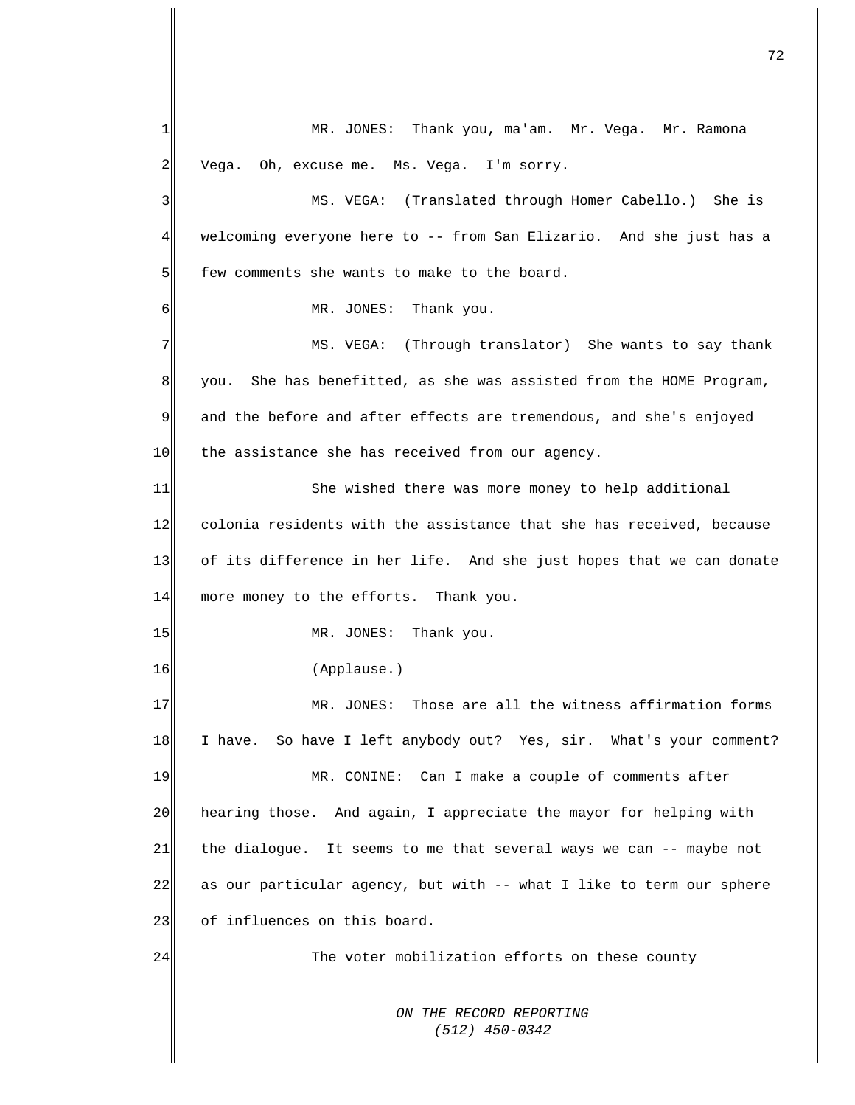*ON THE RECORD REPORTING (512) 450-0342* 1  $\overline{2}$ 3 4 5 6 7 8 9 10 11 12 13 14 15 16 17 18 19 20 21 22 23 24 MR. JONES: Thank you, ma'am. Mr. Vega. Mr. Ramona Vega. Oh, excuse me. Ms. Vega. I'm sorry. MS. VEGA: (Translated through Homer Cabello.) She is welcoming everyone here to -- from San Elizario. And she just has a few comments she wants to make to the board. MR. JONES: Thank you. MS. VEGA: (Through translator) She wants to say thank you. She has benefitted, as she was assisted from the HOME Program, and the before and after effects are tremendous, and she's enjoyed the assistance she has received from our agency. She wished there was more money to help additional colonia residents with the assistance that she has received, because of its difference in her life. And she just hopes that we can donate more money to the efforts. Thank you. MR. JONES: Thank you. (Applause.) MR. JONES: Those are all the witness affirmation forms I have. So have I left anybody out? Yes, sir. What's your comment? MR. CONINE: Can I make a couple of comments after hearing those. And again, I appreciate the mayor for helping with the dialogue. It seems to me that several ways we can -- maybe not as our particular agency, but with -- what I like to term our sphere of influences on this board. The voter mobilization efforts on these county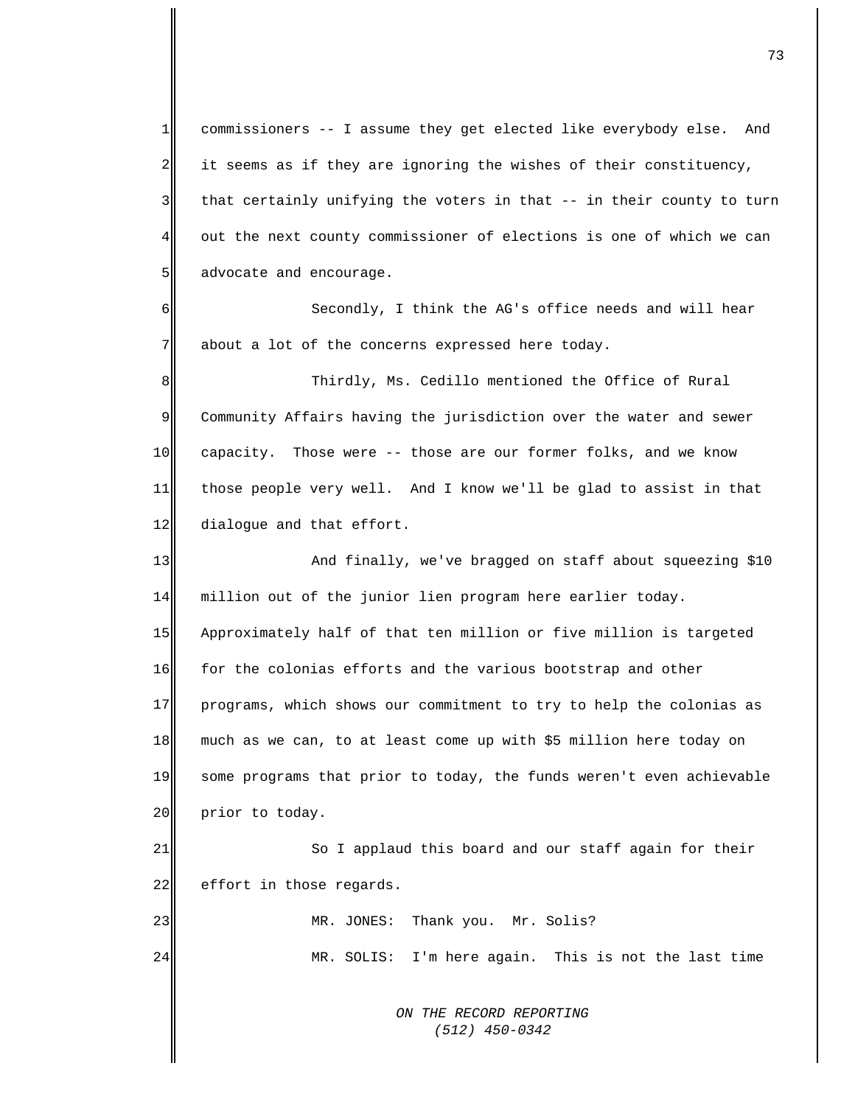1  $2\parallel$ 3 4 5 6 7 8 9 10 11 12 13 14 15 16 17 18 19 20 21 22 23 24 commissioners -- I assume they get elected like everybody else. And it seems as if they are ignoring the wishes of their constituency, that certainly unifying the voters in that -- in their county to turn out the next county commissioner of elections is one of which we can advocate and encourage. Secondly, I think the AG's office needs and will hear about a lot of the concerns expressed here today. Thirdly, Ms. Cedillo mentioned the Office of Rural Community Affairs having the jurisdiction over the water and sewer capacity. Those were -- those are our former folks, and we know those people very well. And I know we'll be glad to assist in that dialogue and that effort. And finally, we've bragged on staff about squeezing \$10 million out of the junior lien program here earlier today. Approximately half of that ten million or five million is targeted for the colonias efforts and the various bootstrap and other programs, which shows our commitment to try to help the colonias as much as we can, to at least come up with \$5 million here today on some programs that prior to today, the funds weren't even achievable prior to today. So I applaud this board and our staff again for their effort in those regards. MR. JONES: Thank you. Mr. Solis? MR. SOLIS: I'm here again. This is not the last time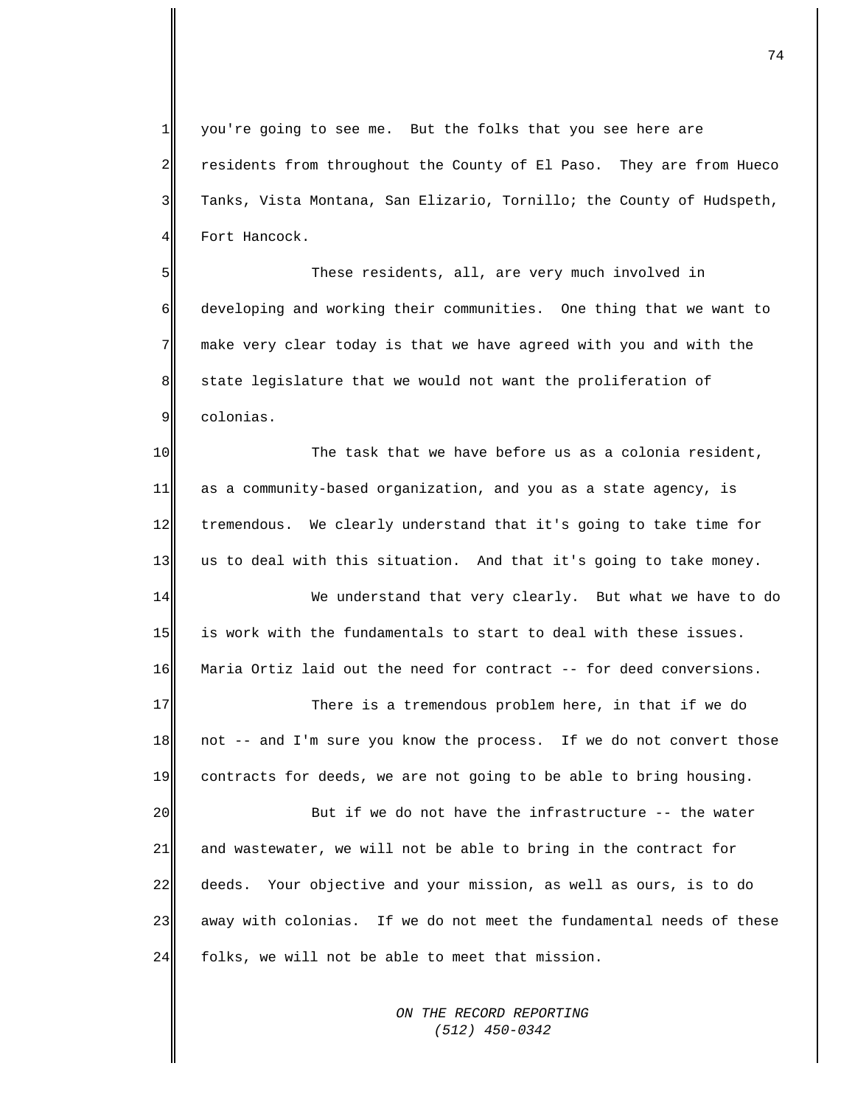$1$ 2 3 4 you're going to see me. But the folks that you see here are residents from throughout the County of El Paso. They are from Hueco Tanks, Vista Montana, San Elizario, Tornillo; the County of Hudspeth, Fort Hancock.

5 6 7 8 9 These residents, all, are very much involved in developing and working their communities. One thing that we want to make very clear today is that we have agreed with you and with the state legislature that we would not want the proliferation of colonias.

10 11 12 13 The task that we have before us as a colonia resident, as a community-based organization, and you as a state agency, is tremendous. We clearly understand that it's going to take time for us to deal with this situation. And that it's going to take money.

14 15 16 We understand that very clearly. But what we have to do is work with the fundamentals to start to deal with these issues. Maria Ortiz laid out the need for contract -- for deed conversions.

17 18 19 There is a tremendous problem here, in that if we do not -- and I'm sure you know the process. If we do not convert those contracts for deeds, we are not going to be able to bring housing.

20 21 22 23 24 But if we do not have the infrastructure -- the water and wastewater, we will not be able to bring in the contract for deeds. Your objective and your mission, as well as ours, is to do away with colonias. If we do not meet the fundamental needs of these folks, we will not be able to meet that mission.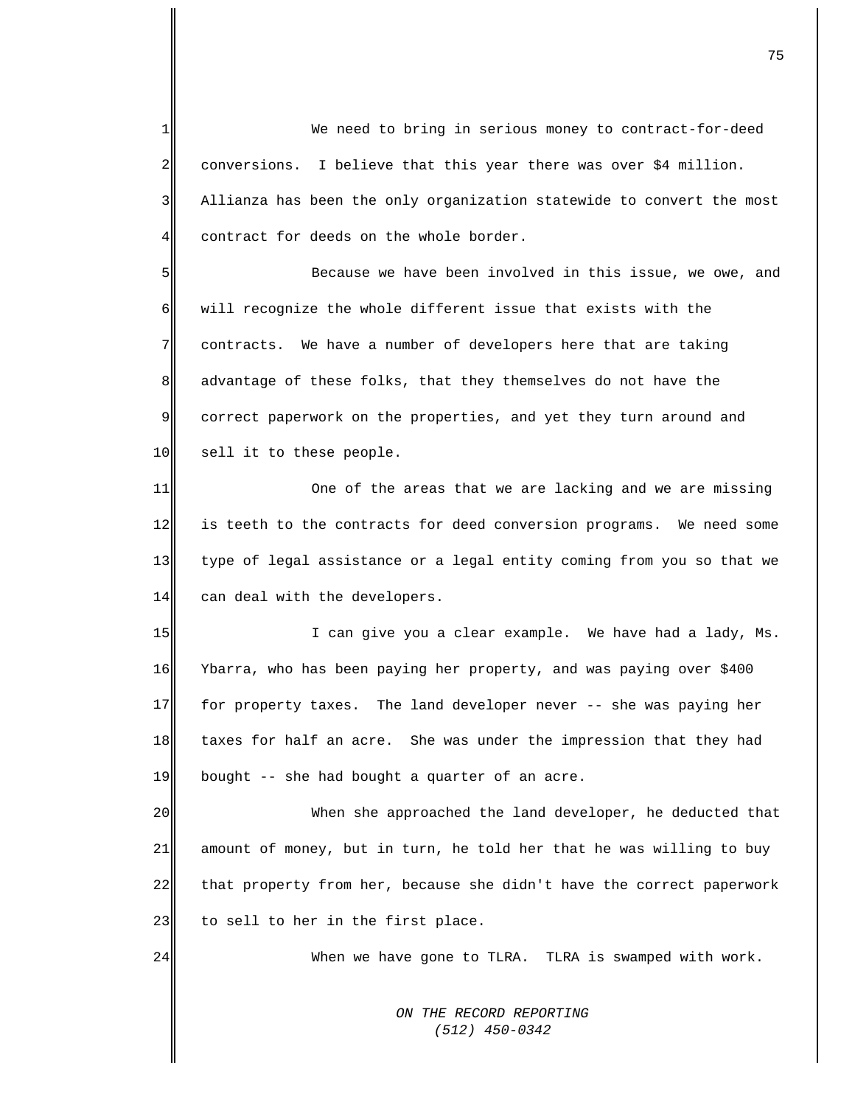*ON THE RECORD REPORTING (512) 450-0342* 1  $\overline{2}$ 3 4 5 6 7 8 9 10 11 12 13 14 15 16 17 18 19 20 21 22 23 24 We need to bring in serious money to contract-for-deed conversions. I believe that this year there was over \$4 million. Allianza has been the only organization statewide to convert the most contract for deeds on the whole border. Because we have been involved in this issue, we owe, and will recognize the whole different issue that exists with the contracts. We have a number of developers here that are taking advantage of these folks, that they themselves do not have the correct paperwork on the properties, and yet they turn around and sell it to these people. One of the areas that we are lacking and we are missing is teeth to the contracts for deed conversion programs. We need some type of legal assistance or a legal entity coming from you so that we can deal with the developers. I can give you a clear example. We have had a lady, Ms. Ybarra, who has been paying her property, and was paying over \$400 for property taxes. The land developer never -- she was paying her taxes for half an acre. She was under the impression that they had bought -- she had bought a quarter of an acre. When she approached the land developer, he deducted that amount of money, but in turn, he told her that he was willing to buy that property from her, because she didn't have the correct paperwork to sell to her in the first place. When we have gone to TLRA. TLRA is swamped with work.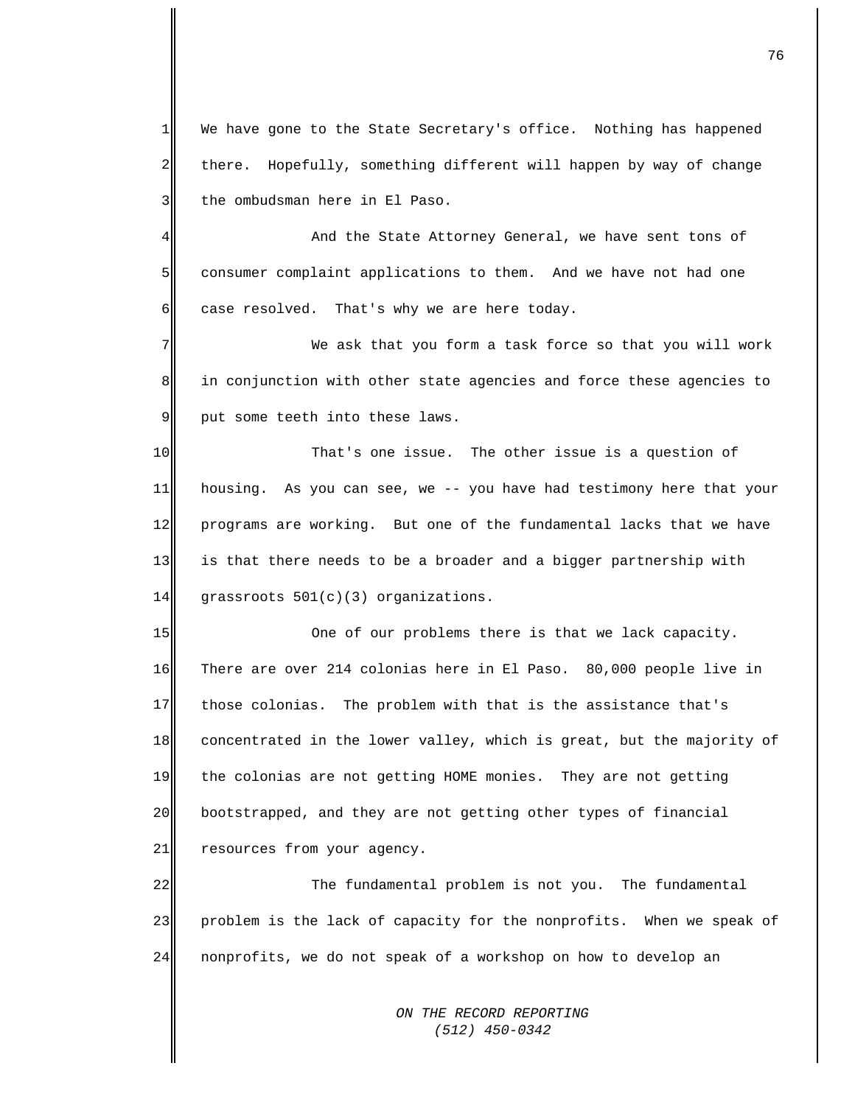1 2 3 We have gone to the State Secretary's office. Nothing has happened there. Hopefully, something different will happen by way of change the ombudsman here in El Paso.

4 5 6 And the State Attorney General, we have sent tons of consumer complaint applications to them. And we have not had one case resolved. That's why we are here today.

7 8 9 We ask that you form a task force so that you will work in conjunction with other state agencies and force these agencies to put some teeth into these laws.

10 11 12 13 14 That's one issue. The other issue is a question of housing. As you can see, we -- you have had testimony here that your programs are working. But one of the fundamental lacks that we have is that there needs to be a broader and a bigger partnership with grassroots 501(c)(3) organizations.

15 16 17 18 19 20 21 One of our problems there is that we lack capacity. There are over 214 colonias here in El Paso. 80,000 people live in those colonias. The problem with that is the assistance that's concentrated in the lower valley, which is great, but the majority of the colonias are not getting HOME monies. They are not getting bootstrapped, and they are not getting other types of financial resources from your agency.

22 23 24 The fundamental problem is not you. The fundamental problem is the lack of capacity for the nonprofits. When we speak of nonprofits, we do not speak of a workshop on how to develop an

> *ON THE RECORD REPORTING (512) 450-0342*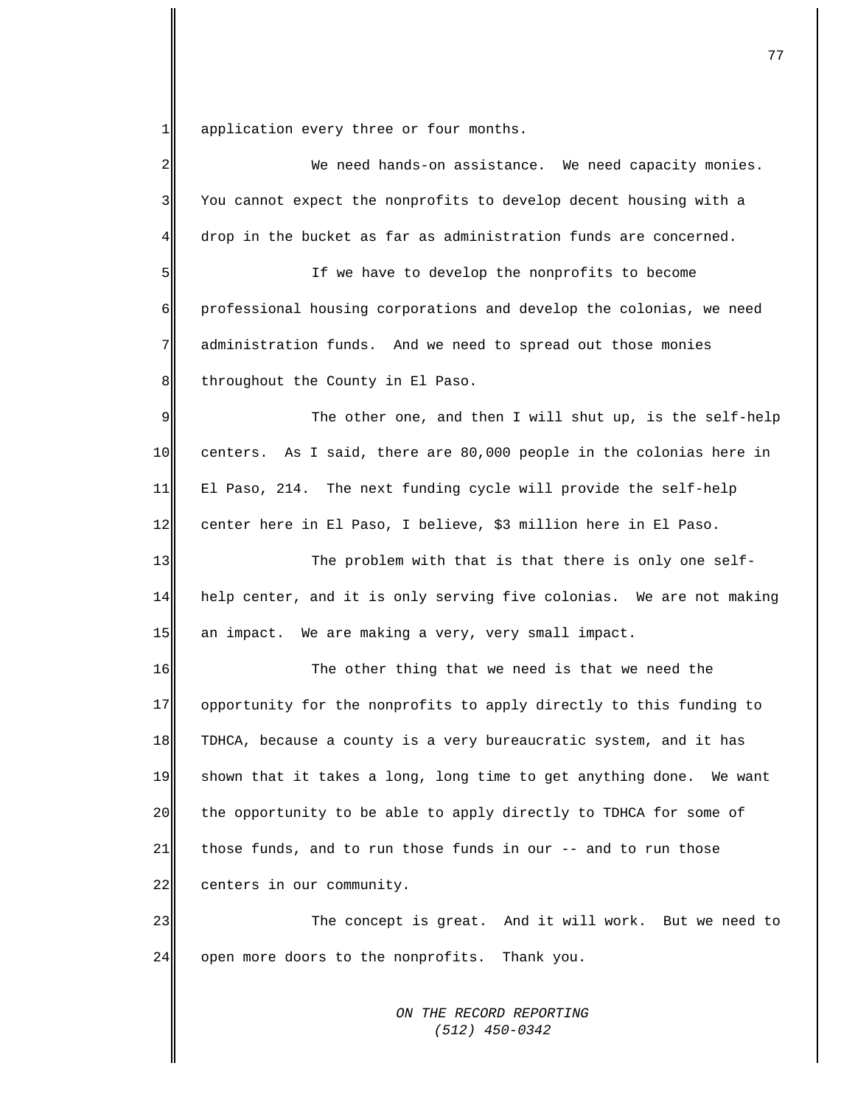$1$ application every three or four months.

| 2           | We need hands-on assistance. We need capacity monies.                |
|-------------|----------------------------------------------------------------------|
| 3           | You cannot expect the nonprofits to develop decent housing with a    |
| 4           | drop in the bucket as far as administration funds are concerned.     |
| 5           | If we have to develop the nonprofits to become                       |
| 6           | professional housing corporations and develop the colonias, we need  |
| 7           | administration funds. And we need to spread out those monies         |
| $\,8\,$     | throughout the County in El Paso.                                    |
| $\mathsf 9$ | The other one, and then I will shut up, is the self-help             |
| 10          | centers. As I said, there are 80,000 people in the colonias here in  |
| 11          | El Paso, 214. The next funding cycle will provide the self-help      |
| 12          | center here in El Paso, I believe, \$3 million here in El Paso.      |
| 13          | The problem with that is that there is only one self-                |
| 14          | help center, and it is only serving five colonias. We are not making |
| 15          | an impact. We are making a very, very small impact.                  |
| 16          | The other thing that we need is that we need the                     |
| 17          | opportunity for the nonprofits to apply directly to this funding to  |
| 18          | TDHCA, because a county is a very bureaucratic system, and it has    |
| 19          | shown that it takes a long, long time to get anything done. We want  |
| 20          | the opportunity to be able to apply directly to TDHCA for some of    |
| 21          | those funds, and to run those funds in our -- and to run those       |
| 22          | centers in our community.                                            |
| 23          | The concept is great. And it will work. But we need to               |
| 24          | open more doors to the nonprofits. Thank you.                        |
|             |                                                                      |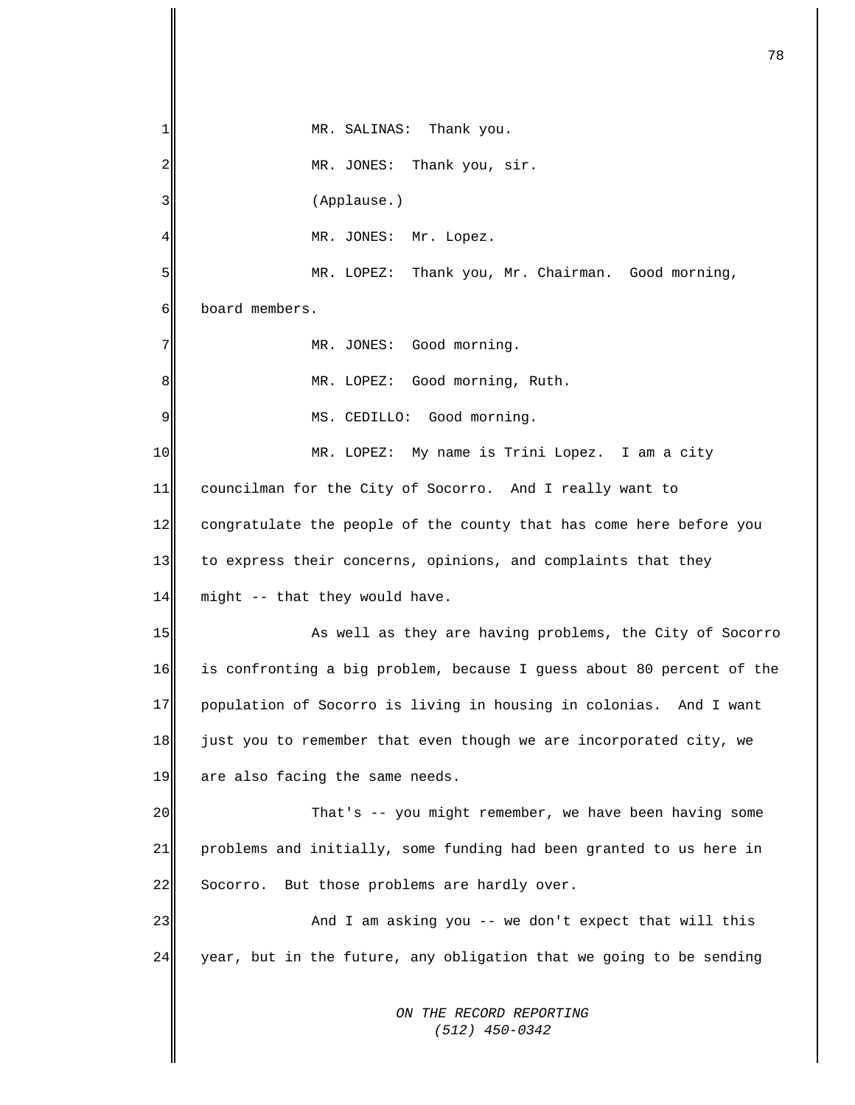*ON THE RECORD REPORTING*  1 2 3 4 5 6 7 8 9 10 11 12 13 14 15 16 17 18 19 20 21 22 23 24 MR. SALINAS: Thank you. MR. JONES: Thank you, sir. (Applause.) MR. JONES: Mr. Lopez. MR. LOPEZ: Thank you, Mr. Chairman. Good morning, board members. MR. JONES: Good morning. MR. LOPEZ: Good morning, Ruth. MS. CEDILLO: Good morning. MR. LOPEZ: My name is Trini Lopez. I am a city councilman for the City of Socorro. And I really want to congratulate the people of the county that has come here before you to express their concerns, opinions, and complaints that they might -- that they would have. As well as they are having problems, the City of Socorro is confronting a big problem, because I guess about 80 percent of the population of Socorro is living in housing in colonias. And I want just you to remember that even though we are incorporated city, we are also facing the same needs. That's -- you might remember, we have been having some problems and initially, some funding had been granted to us here in Socorro. But those problems are hardly over. And I am asking you -- we don't expect that will this year, but in the future, any obligation that we going to be sending

 *(512) 450-0342*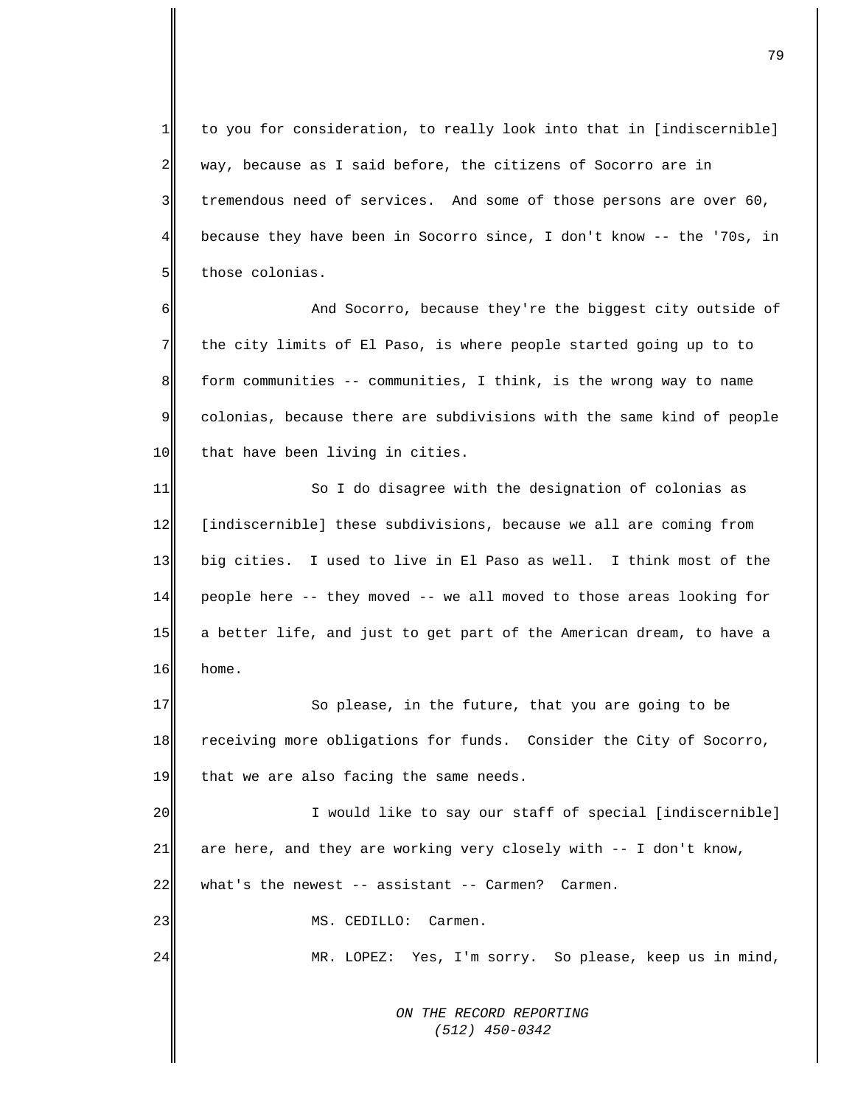1 2 3 4 5 to you for consideration, to really look into that in [indiscernible] way, because as I said before, the citizens of Socorro are in tremendous need of services. And some of those persons are over 60, because they have been in Socorro since, I don't know -- the '70s, in those colonias.

6 7 8 9 10 And Socorro, because they're the biggest city outside of the city limits of El Paso, is where people started going up to to form communities -- communities, I think, is the wrong way to name colonias, because there are subdivisions with the same kind of people that have been living in cities.

11 12 13 14 15 16 So I do disagree with the designation of colonias as [indiscernible] these subdivisions, because we all are coming from big cities. I used to live in El Paso as well. I think most of the people here -- they moved -- we all moved to those areas looking for a better life, and just to get part of the American dream, to have a home.

17 18 19 So please, in the future, that you are going to be receiving more obligations for funds. Consider the City of Socorro, that we are also facing the same needs.

20 21 22 I would like to say our staff of special [indiscernible] are here, and they are working very closely with -- I don't know, what's the newest -- assistant -- Carmen? Carmen.

MS. CEDILLO: Carmen.

23

24

MR. LOPEZ: Yes, I'm sorry. So please, keep us in mind,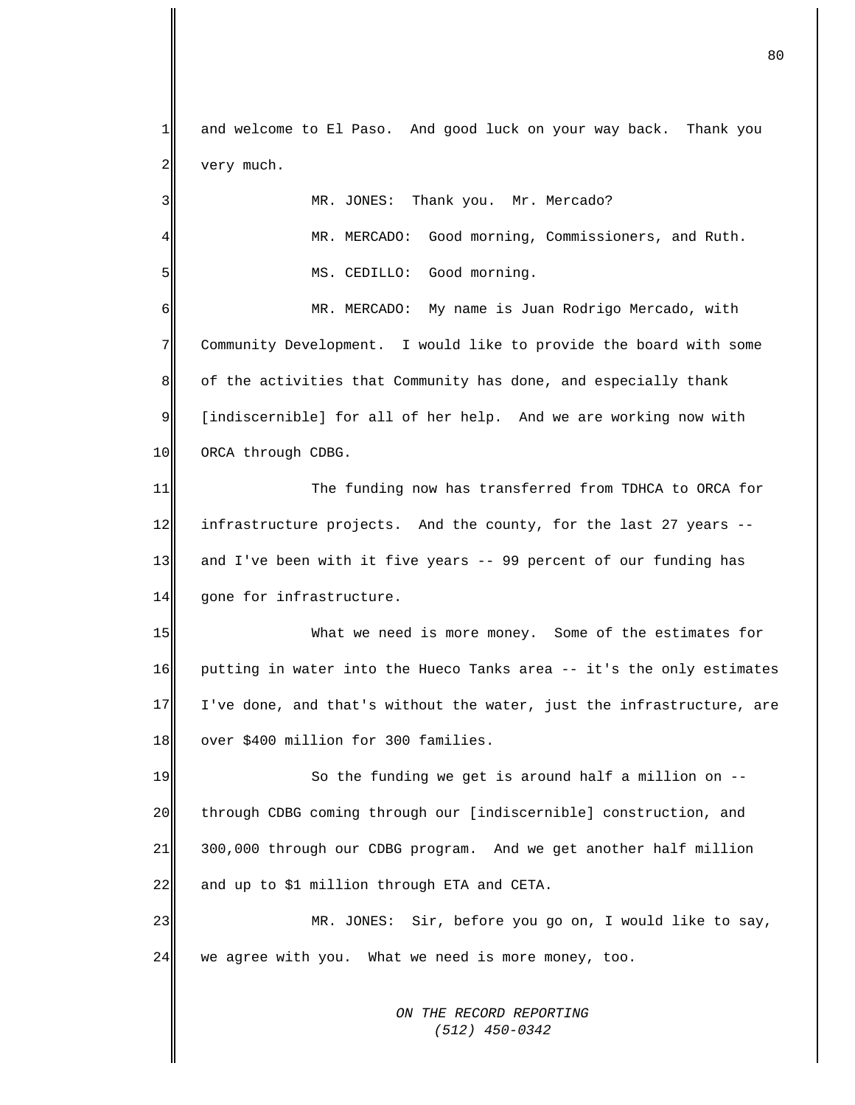*ON THE RECORD REPORTING*  1 2 3 4 5 6 7 8 9 10 11 12 13 14 15 16 17 18 19 20 21 22 23 24 and welcome to El Paso. And good luck on your way back. Thank you very much. MR. JONES: Thank you. Mr. Mercado? MR. MERCADO: Good morning, Commissioners, and Ruth. MS. CEDILLO: Good morning. MR. MERCADO: My name is Juan Rodrigo Mercado, with Community Development. I would like to provide the board with some of the activities that Community has done, and especially thank [indiscernible] for all of her help. And we are working now with ORCA through CDBG. The funding now has transferred from TDHCA to ORCA for infrastructure projects. And the county, for the last 27 years - and I've been with it five years -- 99 percent of our funding has gone for infrastructure. What we need is more money. Some of the estimates for putting in water into the Hueco Tanks area -- it's the only estimates I've done, and that's without the water, just the infrastructure, are over \$400 million for 300 families. So the funding we get is around half a million on - through CDBG coming through our [indiscernible] construction, and 300,000 through our CDBG program. And we get another half million and up to \$1 million through ETA and CETA. MR. JONES: Sir, before you go on, I would like to say, we agree with you. What we need is more money, too.

 *(512) 450-0342*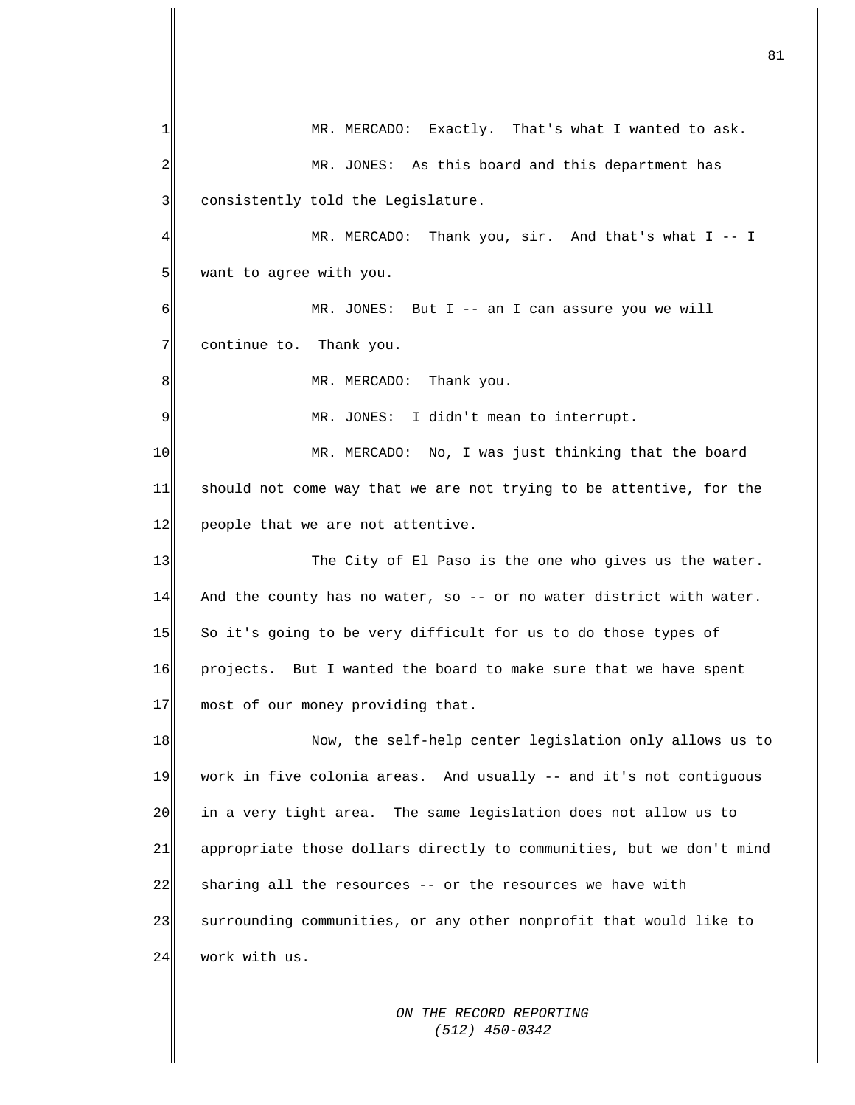1 2 3 4 5 6 7 8 9 10 11 12 13 14 15 16 17 18 19 20 21 22 23 24 MR. MERCADO: Exactly. That's what I wanted to ask. MR. JONES: As this board and this department has consistently told the Legislature. MR. MERCADO: Thank you, sir. And that's what I -- I want to agree with you. MR. JONES: But I -- an I can assure you we will continue to. Thank you. MR. MERCADO: Thank you. MR. JONES: I didn't mean to interrupt. MR. MERCADO: No, I was just thinking that the board should not come way that we are not trying to be attentive, for the people that we are not attentive. The City of El Paso is the one who gives us the water. And the county has no water, so -- or no water district with water. So it's going to be very difficult for us to do those types of projects. But I wanted the board to make sure that we have spent most of our money providing that. Now, the self-help center legislation only allows us to work in five colonia areas. And usually -- and it's not contiguous in a very tight area. The same legislation does not allow us to appropriate those dollars directly to communities, but we don't mind sharing all the resources -- or the resources we have with surrounding communities, or any other nonprofit that would like to work with us.

81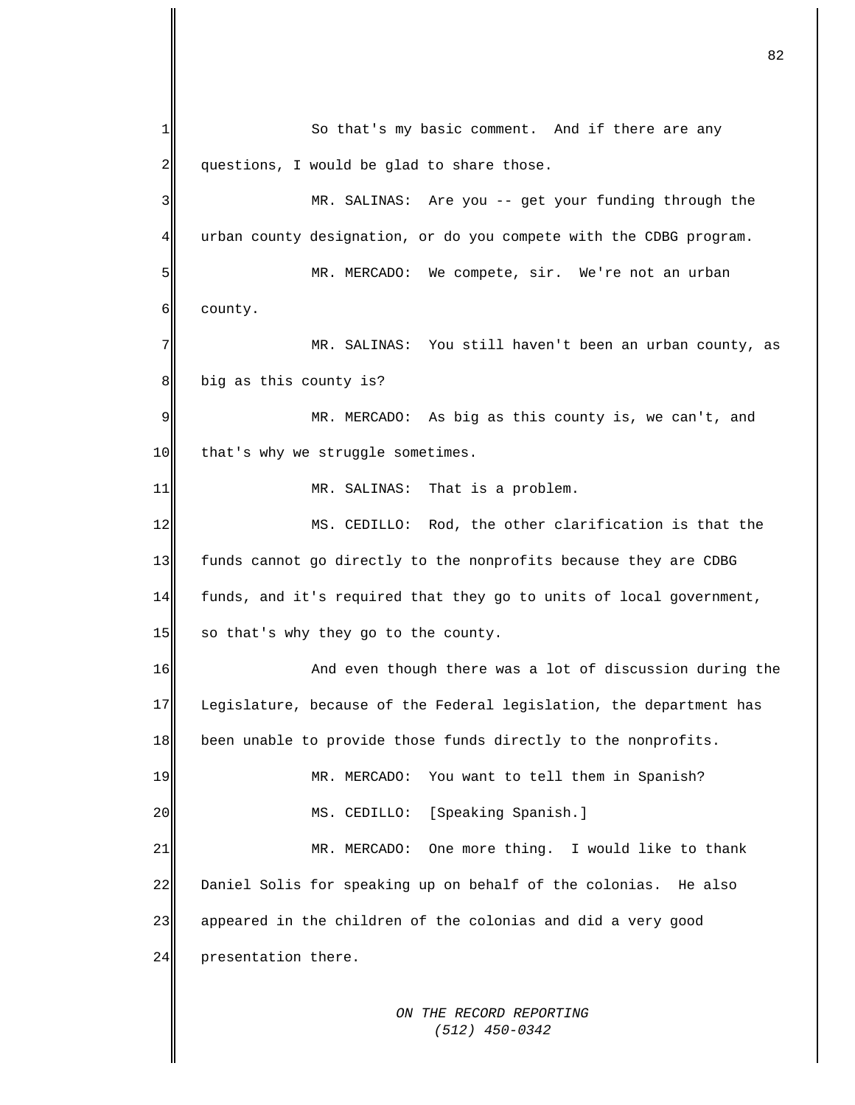*ON THE RECORD REPORTING*  1 2 3 4 5 6 7 8 9 10 11 12 13 14 15 16 17 18 19 20 21 22 23 24 So that's my basic comment. And if there are any questions, I would be glad to share those. MR. SALINAS: Are you -- get your funding through the urban county designation, or do you compete with the CDBG program. MR. MERCADO: We compete, sir. We're not an urban county. MR. SALINAS: You still haven't been an urban county, as big as this county is? MR. MERCADO: As big as this county is, we can't, and that's why we struggle sometimes. MR. SALINAS: That is a problem. MS. CEDILLO: Rod, the other clarification is that the funds cannot go directly to the nonprofits because they are CDBG funds, and it's required that they go to units of local government, so that's why they go to the county. And even though there was a lot of discussion during the Legislature, because of the Federal legislation, the department has been unable to provide those funds directly to the nonprofits. MR. MERCADO: You want to tell them in Spanish? MS. CEDILLO: [Speaking Spanish.] MR. MERCADO: One more thing. I would like to thank Daniel Solis for speaking up on behalf of the colonias. He also appeared in the children of the colonias and did a very good presentation there.

82

 *(512) 450-0342*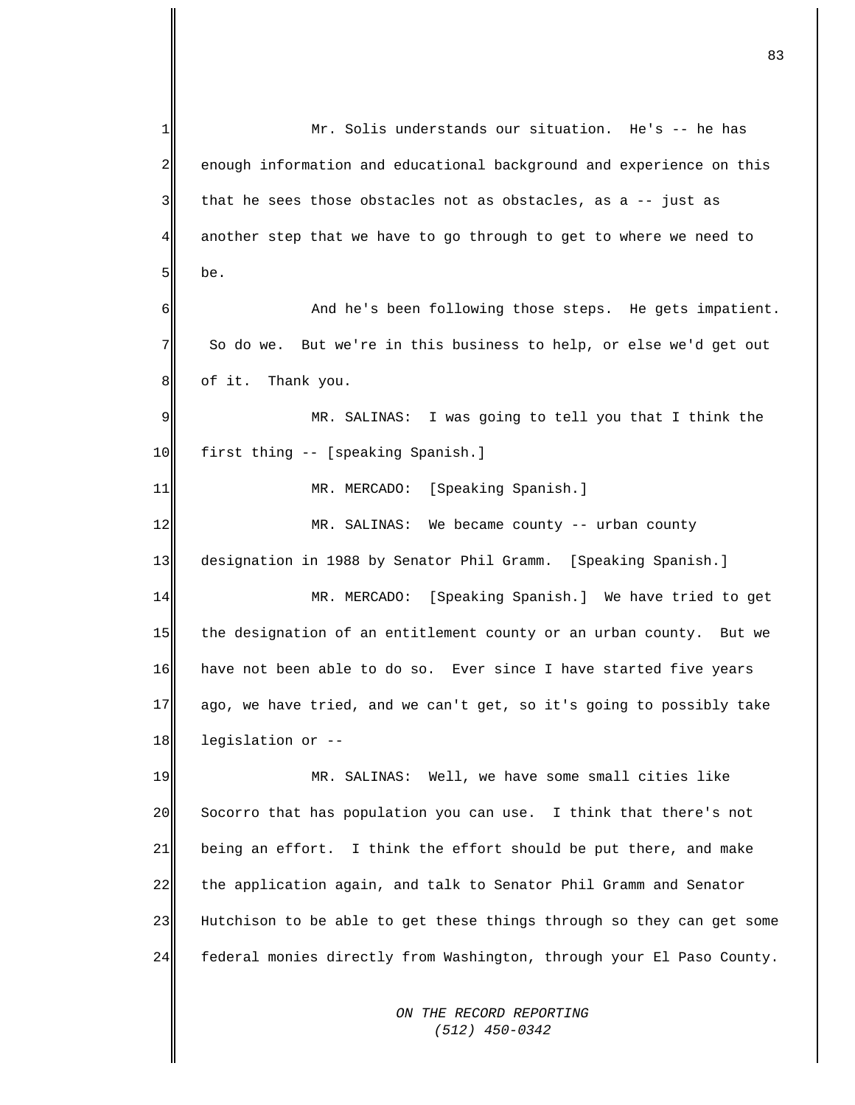| 1  | Mr. Solis understands our situation. He's -- he has                   |
|----|-----------------------------------------------------------------------|
| 2  | enough information and educational background and experience on this  |
| 3  | that he sees those obstacles not as obstacles, as a -- just as        |
| 4  | another step that we have to go through to get to where we need to    |
| 5  | be.                                                                   |
| 6  | And he's been following those steps. He gets impatient.               |
| 7  | So do we. But we're in this business to help, or else we'd get out    |
| 8  | of it. Thank you.                                                     |
| 9  | MR. SALINAS: I was going to tell you that I think the                 |
| 10 | first thing -- [speaking Spanish.]                                    |
| 11 | MR. MERCADO: [Speaking Spanish.]                                      |
| 12 | MR. SALINAS: We became county -- urban county                         |
| 13 | designation in 1988 by Senator Phil Gramm. [Speaking Spanish.]        |
| 14 | MR. MERCADO: [Speaking Spanish.] We have tried to get                 |
| 15 | the designation of an entitlement county or an urban county. But we   |
| 16 | have not been able to do so. Ever since I have started five years     |
| 17 | ago, we have tried, and we can't get, so it's going to possibly take  |
| 18 | legislation or --                                                     |
| 19 | MR. SALINAS: Well, we have some small cities like                     |
| 20 | Socorro that has population you can use. I think that there's not     |
| 21 | being an effort. I think the effort should be put there, and make     |
| 22 | the application again, and talk to Senator Phil Gramm and Senator     |
| 23 | Hutchison to be able to get these things through so they can get some |
| 24 | federal monies directly from Washington, through your El Paso County. |
|    | ON THE RECORD REPORTING<br>$(512)$ 450-0342                           |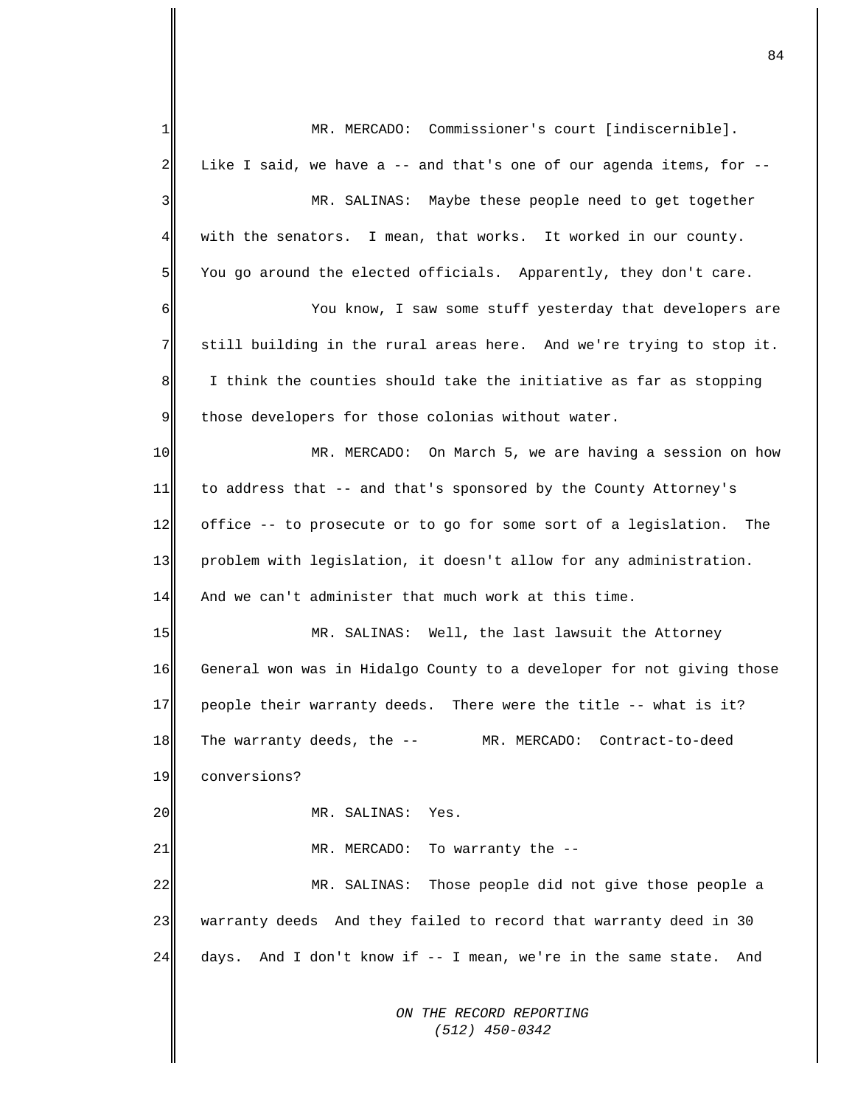*ON THE RECORD REPORTING (512) 450-0342* 1 2 3 4 5 6 7 8 9 10 11 12 13 14 15 16 17 18 19 20 21 22 23 24 MR. MERCADO: Commissioner's court [indiscernible]. Like I said, we have a  $-$ - and that's one of our agenda items, for  $-$ -MR. SALINAS: Maybe these people need to get together with the senators. I mean, that works. It worked in our county. You go around the elected officials. Apparently, they don't care. You know, I saw some stuff yesterday that developers are still building in the rural areas here. And we're trying to stop it. I think the counties should take the initiative as far as stopping those developers for those colonias without water. MR. MERCADO: On March 5, we are having a session on how to address that -- and that's sponsored by the County Attorney's office -- to prosecute or to go for some sort of a legislation. The problem with legislation, it doesn't allow for any administration. And we can't administer that much work at this time. MR. SALINAS: Well, the last lawsuit the Attorney General won was in Hidalgo County to a developer for not giving those people their warranty deeds. There were the title -- what is it? The warranty deeds, the -- MR. MERCADO: Contract-to-deed conversions? MR. SALINAS: Yes. MR. MERCADO: To warranty the -- MR. SALINAS: Those people did not give those people a warranty deeds And they failed to record that warranty deed in 30 days. And I don't know if -- I mean, we're in the same state. And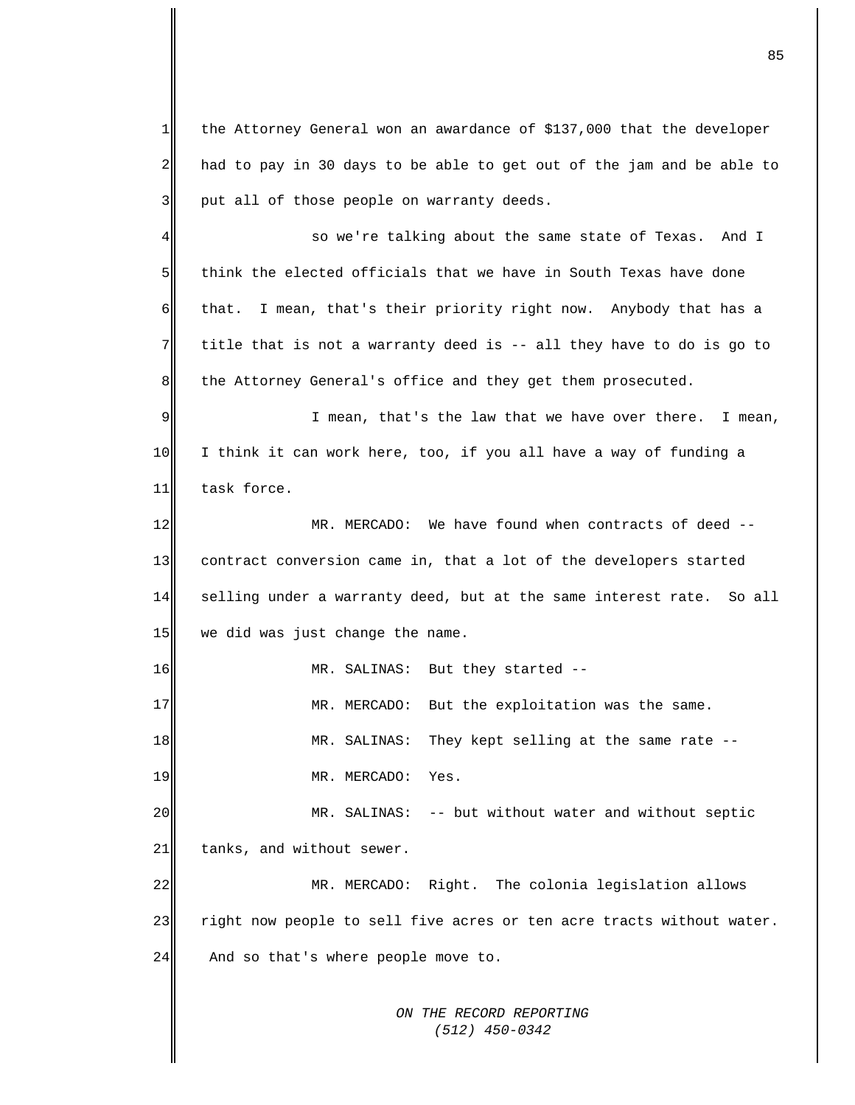*ON THE RECORD REPORTING (512) 450-0342* 1 2 3 4 5 6 7 8 9 10 11 12 13 14 15 16 17 18 19 20 21 22 23 24 the Attorney General won an awardance of \$137,000 that the developer had to pay in 30 days to be able to get out of the jam and be able to put all of those people on warranty deeds. so we're talking about the same state of Texas. And I think the elected officials that we have in South Texas have done that. I mean, that's their priority right now. Anybody that has a title that is not a warranty deed is -- all they have to do is go to the Attorney General's office and they get them prosecuted. I mean, that's the law that we have over there. I mean, I think it can work here, too, if you all have a way of funding a task force. MR. MERCADO: We have found when contracts of deed - contract conversion came in, that a lot of the developers started selling under a warranty deed, but at the same interest rate. So all we did was just change the name. MR. SALINAS: But they started -- MR. MERCADO: But the exploitation was the same. MR. SALINAS: They kept selling at the same rate -- MR. MERCADO: Yes. MR. SALINAS: -- but without water and without septic tanks, and without sewer. MR. MERCADO: Right. The colonia legislation allows right now people to sell five acres or ten acre tracts without water. And so that's where people move to.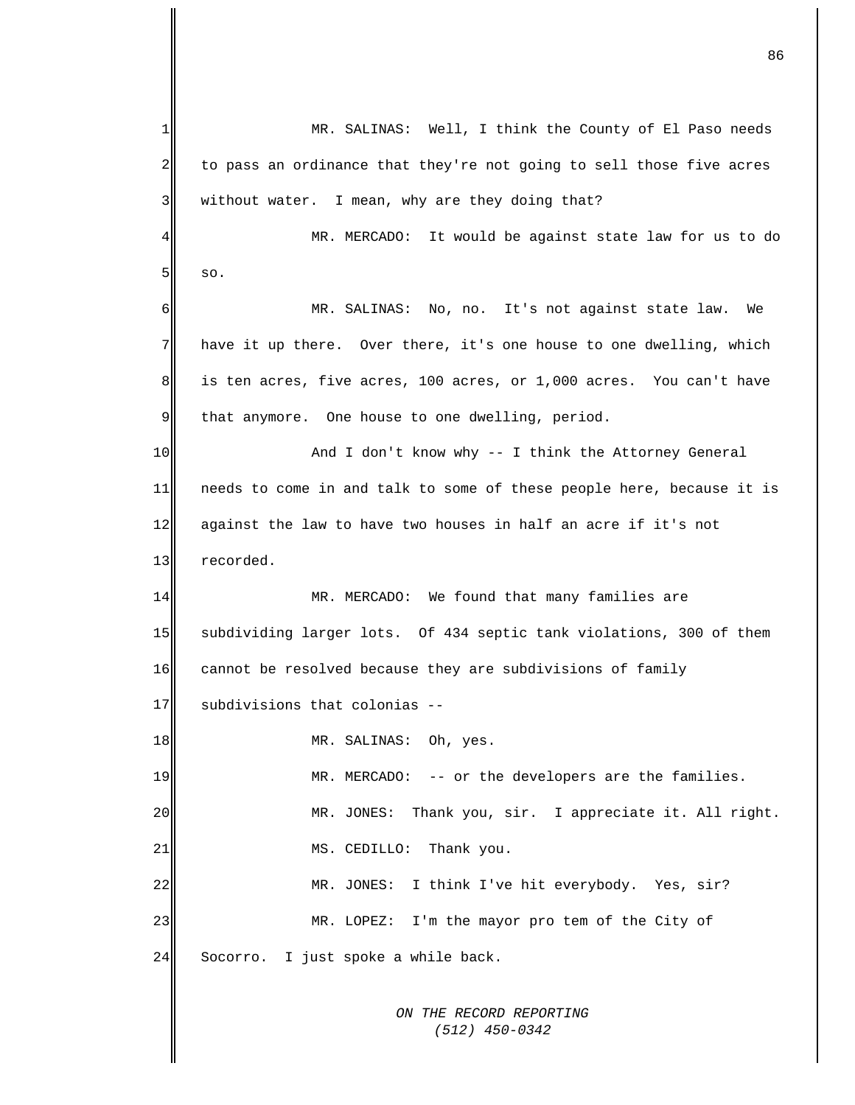*ON THE RECORD REPORTING*  1 2 3 4 5 6 7 8 9 10 11 12 13 14 15 16 17 18 19 20 21 22 23 24 MR. SALINAS: Well, I think the County of El Paso needs to pass an ordinance that they're not going to sell those five acres without water. I mean, why are they doing that? MR. MERCADO: It would be against state law for us to do so. MR. SALINAS: No, no. It's not against state law. We have it up there. Over there, it's one house to one dwelling, which is ten acres, five acres, 100 acres, or 1,000 acres. You can't have that anymore. One house to one dwelling, period. And I don't know why -- I think the Attorney General needs to come in and talk to some of these people here, because it is against the law to have two houses in half an acre if it's not recorded. MR. MERCADO: We found that many families are subdividing larger lots. Of 434 septic tank violations, 300 of them cannot be resolved because they are subdivisions of family subdivisions that colonias -- MR. SALINAS: Oh, yes. MR. MERCADO: -- or the developers are the families. MR. JONES: Thank you, sir. I appreciate it. All right. MS. CEDILLO: Thank you. MR. JONES: I think I've hit everybody. Yes, sir? MR. LOPEZ: I'm the mayor pro tem of the City of Socorro. I just spoke a while back.

 *(512) 450-0342*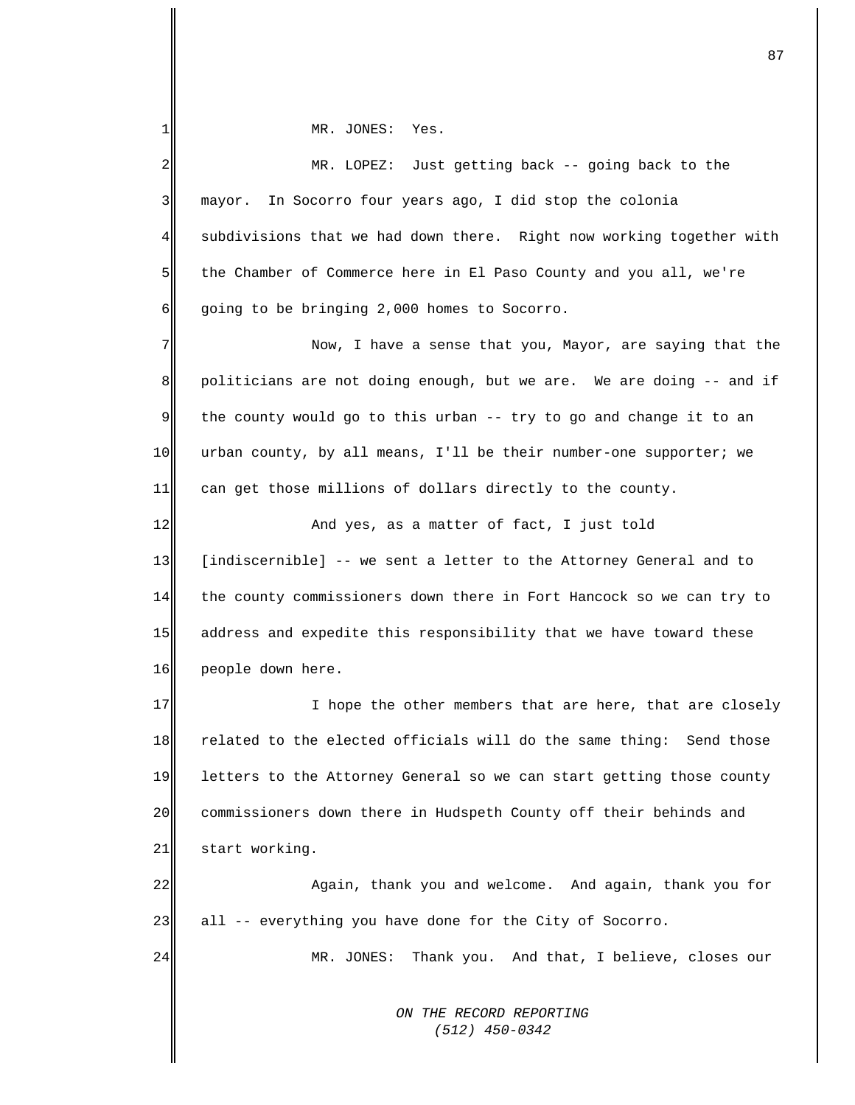MR. JONES: Yes.

1

| 2              | MR. LOPEZ: Just getting back -- going back to the                    |
|----------------|----------------------------------------------------------------------|
| 3              | In Socorro four years ago, I did stop the colonia<br>mayor.          |
| 4              | subdivisions that we had down there. Right now working together with |
| 5 <sub>l</sub> | the Chamber of Commerce here in El Paso County and you all, we're    |
| $6 \mid$       | going to be bringing 2,000 homes to Socorro.                         |
| 7              | Now, I have a sense that you, Mayor, are saying that the             |
| 8 <sup>8</sup> | politicians are not doing enough, but we are. We are doing -- and if |
| 9              | the county would go to this urban -- try to go and change it to an   |
| 10             | urban county, by all means, I'll be their number-one supporter; we   |
| 11             | can get those millions of dollars directly to the county.            |
| 12             | And yes, as a matter of fact, I just told                            |
| 13             | [indiscernible] -- we sent a letter to the Attorney General and to   |
| 14             | the county commissioners down there in Fort Hancock so we can try to |
| 15             | address and expedite this responsibility that we have toward these   |
| 16             | people down here.                                                    |
| 17             | I hope the other members that are here, that are closely             |
| 18             | related to the elected officials will do the same thing: Send those  |
| 19             | letters to the Attorney General so we can start getting those county |
| 20             | commissioners down there in Hudspeth County off their behinds and    |
| 21             | start working.                                                       |
| 22             | Again, thank you and welcome. And again, thank you for               |
| 23             | all -- everything you have done for the City of Socorro.             |
| 24             | MR. JONES:<br>Thank you. And that, I believe, closes our             |
|                | ON THE RECORD REPORTING<br>(512) 450-0342                            |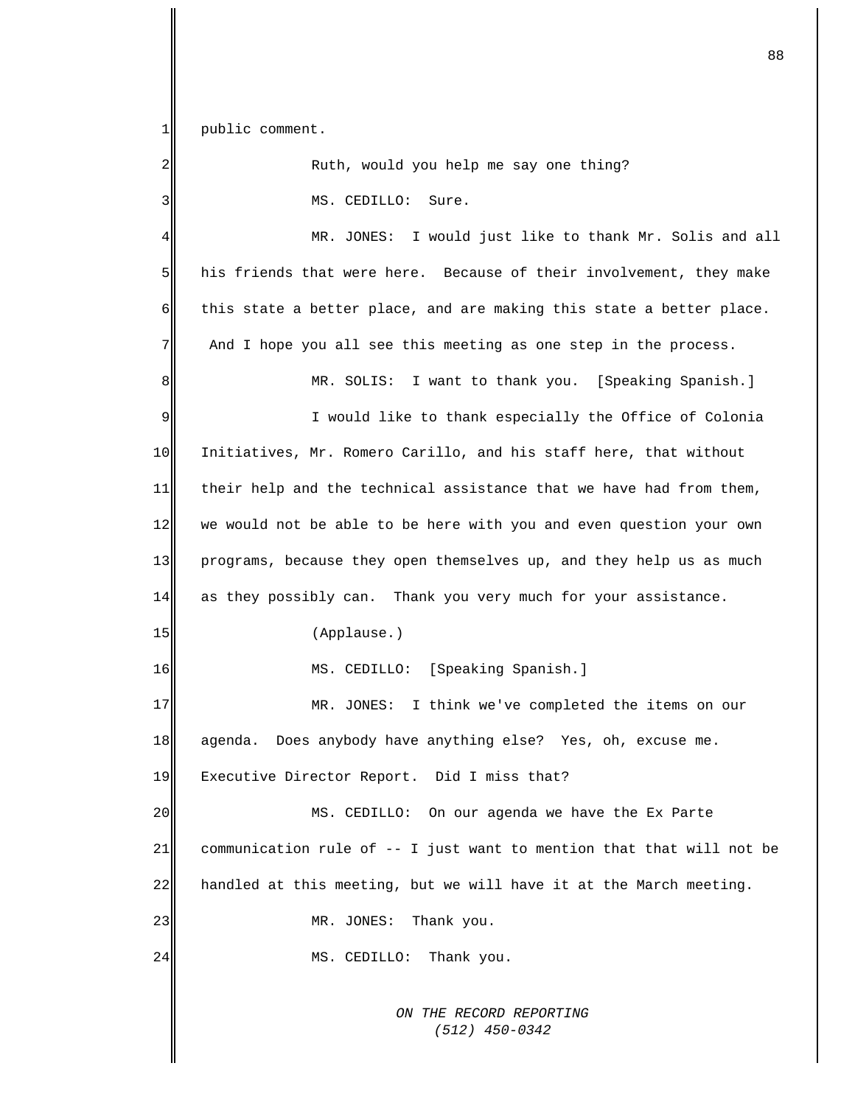$1$ public comment.

| 2  | Ruth, would you help me say one thing?                                |
|----|-----------------------------------------------------------------------|
| 3  | MS. CEDILLO: Sure.                                                    |
| 4  | MR. JONES: I would just like to thank Mr. Solis and all               |
| 5  | his friends that were here. Because of their involvement, they make   |
| 6  | this state a better place, and are making this state a better place.  |
| 7  | And I hope you all see this meeting as one step in the process.       |
| 8  | MR. SOLIS: I want to thank you. [Speaking Spanish.]                   |
| 9  | I would like to thank especially the Office of Colonia                |
| 10 | Initiatives, Mr. Romero Carillo, and his staff here, that without     |
| 11 | their help and the technical assistance that we have had from them,   |
| 12 | we would not be able to be here with you and even question your own   |
| 13 | programs, because they open themselves up, and they help us as much   |
| 14 | as they possibly can. Thank you very much for your assistance.        |
| 15 | (Applause.)                                                           |
| 16 | MS. CEDILLO: [Speaking Spanish.]                                      |
| 17 | MR. JONES: I think we've completed the items on our                   |
| 18 | Does anybody have anything else? Yes, oh, excuse me.<br>aqenda.       |
| 19 | Executive Director Report. Did I miss that?                           |
| 20 | MS. CEDILLO: On our agenda we have the Ex Parte                       |
| 21 | communication rule of -- I just want to mention that that will not be |
| 22 | handled at this meeting, but we will have it at the March meeting.    |
| 23 | MR. JONES:<br>Thank you.                                              |
| 24 | MS. CEDILLO:<br>Thank you.                                            |
|    |                                                                       |
|    | ON THE RECORD REPORTING<br>$(512)$ 450-0342                           |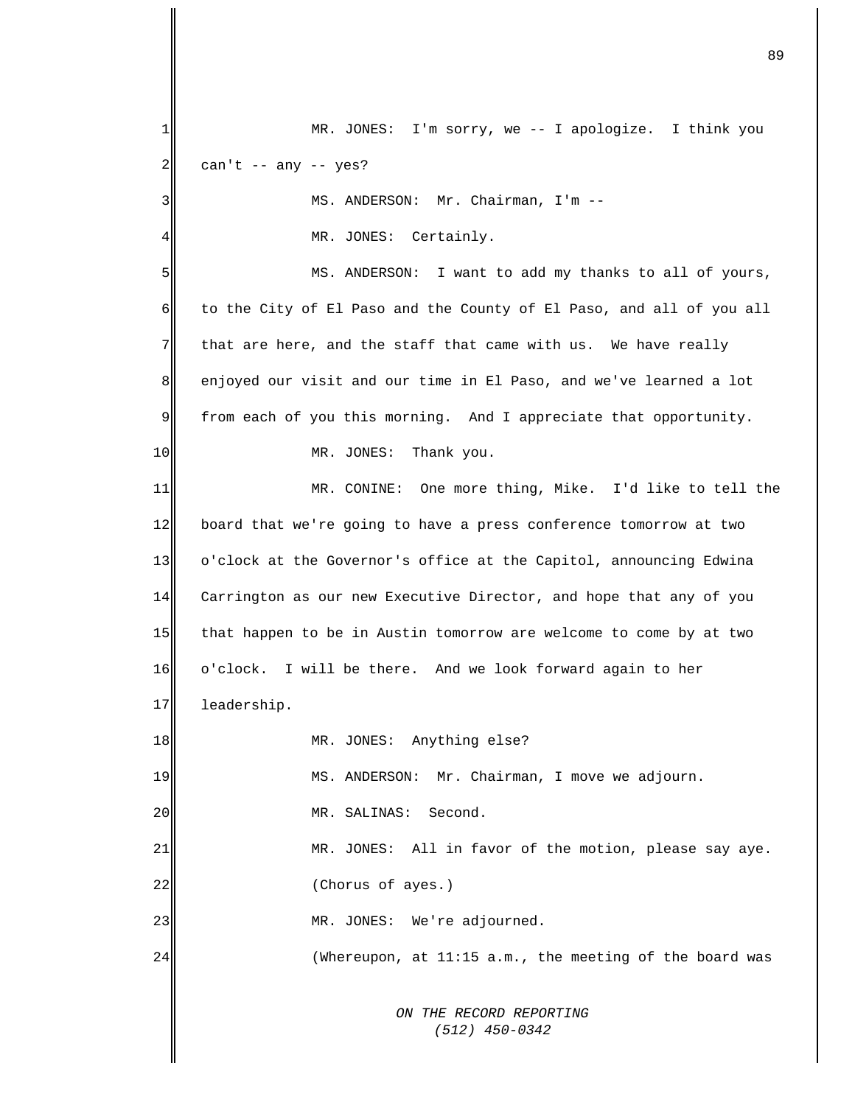*ON THE RECORD REPORTING (512) 450-0342* 1 2 3 4 5 6 7 8 9 10 11 12 13 14 15 16 17 18 19 20 21 22 23 24 MR. JONES: I'm sorry, we -- I apologize. I think you can't  $--$  any  $--$  yes? MS. ANDERSON: Mr. Chairman, I'm -- MR. JONES: Certainly. MS. ANDERSON: I want to add my thanks to all of yours, to the City of El Paso and the County of El Paso, and all of you all that are here, and the staff that came with us. We have really enjoyed our visit and our time in El Paso, and we've learned a lot from each of you this morning. And I appreciate that opportunity. MR. JONES: Thank you. MR. CONINE: One more thing, Mike. I'd like to tell the board that we're going to have a press conference tomorrow at two o'clock at the Governor's office at the Capitol, announcing Edwina Carrington as our new Executive Director, and hope that any of you that happen to be in Austin tomorrow are welcome to come by at two o'clock. I will be there. And we look forward again to her leadership. MR. JONES: Anything else? MS. ANDERSON: Mr. Chairman, I move we adjourn. MR. SALINAS: Second. MR. JONES: All in favor of the motion, please say aye. (Chorus of ayes.) MR. JONES: We're adjourned. (Whereupon, at 11:15 a.m., the meeting of the board was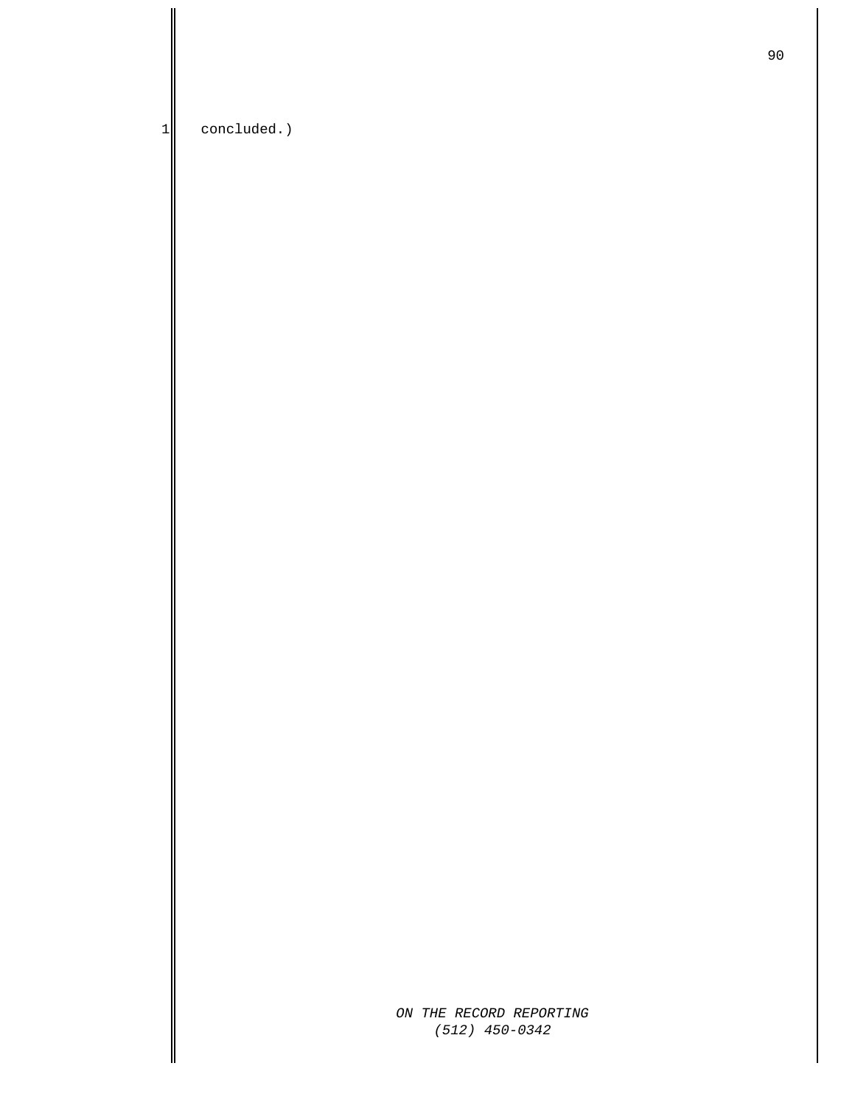1 concluded.)